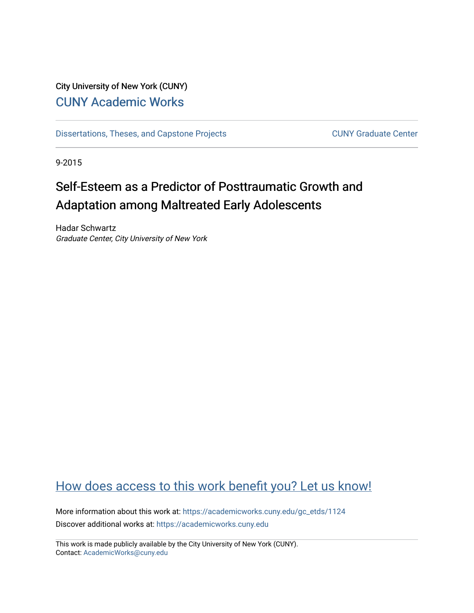## City University of New York (CUNY) [CUNY Academic Works](https://academicworks.cuny.edu/)

[Dissertations, Theses, and Capstone Projects](https://academicworks.cuny.edu/gc_etds) CUNY Graduate Center

9-2015

# Self-Esteem as a Predictor of Posttraumatic Growth and Adaptation among Maltreated Early Adolescents

Hadar Schwartz Graduate Center, City University of New York

## [How does access to this work benefit you? Let us know!](http://ols.cuny.edu/academicworks/?ref=https://academicworks.cuny.edu/gc_etds/1124)

More information about this work at: [https://academicworks.cuny.edu/gc\\_etds/1124](https://academicworks.cuny.edu/gc_etds/1124) Discover additional works at: [https://academicworks.cuny.edu](https://academicworks.cuny.edu/?)

This work is made publicly available by the City University of New York (CUNY). Contact: [AcademicWorks@cuny.edu](mailto:AcademicWorks@cuny.edu)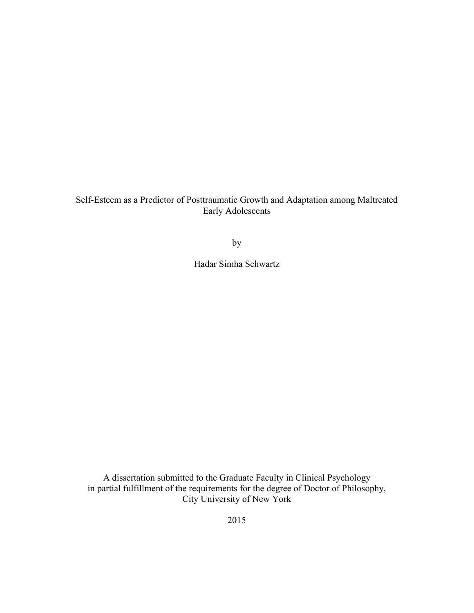Self-Esteem as a Predictor of Posttraumatic Growth and Adaptation among Maltreated Early Adolescents

by

Hadar Simha Schwartz

A dissertation submitted to the Graduate Faculty in Clinical Psychology in partial fulfillment of the requirements for the degree of Doctor of Philosophy, City University of New York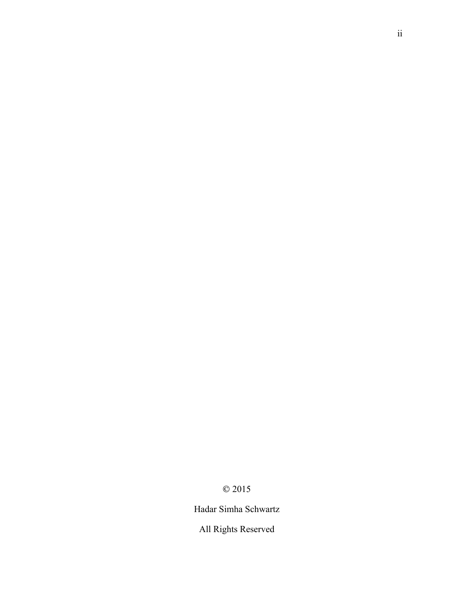© 2015

Hadar Simha Schwartz

All Rights Reserved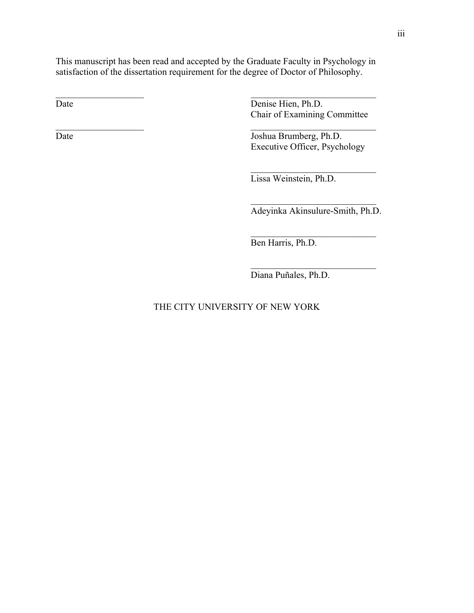This manuscript has been read and accepted by the Graduate Faculty in Psychology in satisfaction of the dissertation requirement for the degree of Doctor of Philosophy.

 $\mathcal{L}_\text{max}$  and  $\mathcal{L}_\text{max}$  and  $\mathcal{L}_\text{max}$  and  $\mathcal{L}_\text{max}$  and  $\mathcal{L}_\text{max}$ 

 $\mathcal{L}_\text{max}$  , and the contract of the contract of the contract of the contract of the contract of the contract of

Date Denise Hien, Ph.D. Chair of Examining Committee

Date Joshua Brumberg, Ph.D. Executive Officer, Psychology

 $\mathcal{L}_\text{max}$  , where  $\mathcal{L}_\text{max}$  , we have the set of  $\mathcal{L}_\text{max}$ 

Lissa Weinstein, Ph.D.

 $\mathcal{L}_\text{max}$ Adeyinka Akinsulure-Smith, Ph.D.

 $\mathcal{L}_\text{max}$  , where  $\mathcal{L}_\text{max}$  , we have the set of  $\mathcal{L}_\text{max}$ 

 $\mathcal{L}_\text{max}$  , where  $\mathcal{L}_\text{max}$  , we have the set of  $\mathcal{L}_\text{max}$ 

Ben Harris, Ph.D.

Diana Puñales, Ph.D.

### THE CITY UNIVERSITY OF NEW YORK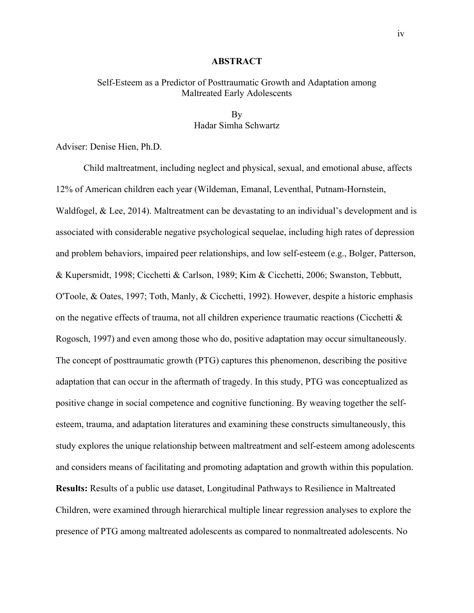#### **ABSTRACT**

#### Self-Esteem as a Predictor of Posttraumatic Growth and Adaptation among Maltreated Early Adolescents

#### By Hadar Simha Schwartz

Adviser: Denise Hien, Ph.D.

Child maltreatment, including neglect and physical, sexual, and emotional abuse, affects 12% of American children each year (Wildeman, Emanal, Leventhal, Putnam-Hornstein, Waldfogel, & Lee, 2014). Maltreatment can be devastating to an individual's development and is associated with considerable negative psychological sequelae, including high rates of depression and problem behaviors, impaired peer relationships, and low self-esteem (e.g., Bolger, Patterson, & Kupersmidt, 1998; Cicchetti & Carlson, 1989; Kim & Cicchetti, 2006; Swanston, Tebbutt, O'Toole, & Oates, 1997; Toth, Manly, & Cicchetti, 1992). However, despite a historic emphasis on the negative effects of trauma, not all children experience traumatic reactions (Cicchetti  $\&$ Rogosch, 1997) and even among those who do, positive adaptation may occur simultaneously. The concept of posttraumatic growth (PTG) captures this phenomenon, describing the positive adaptation that can occur in the aftermath of tragedy. In this study, PTG was conceptualized as positive change in social competence and cognitive functioning. By weaving together the selfesteem, trauma, and adaptation literatures and examining these constructs simultaneously, this study explores the unique relationship between maltreatment and self-esteem among adolescents and considers means of facilitating and promoting adaptation and growth within this population. **Results:** Results of a public use dataset, Longitudinal Pathways to Resilience in Maltreated Children, were examined through hierarchical multiple linear regression analyses to explore the presence of PTG among maltreated adolescents as compared to nonmaltreated adolescents. No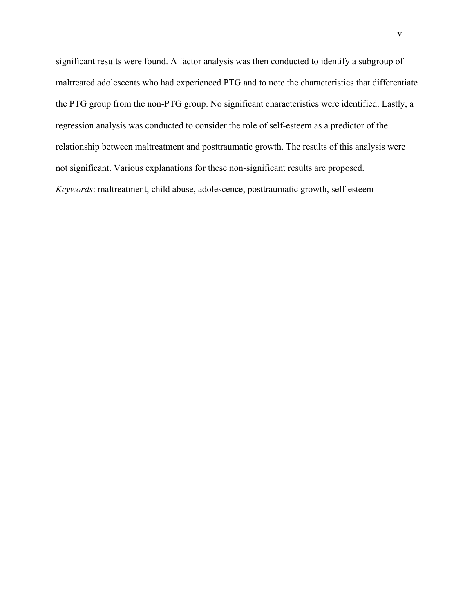significant results were found. A factor analysis was then conducted to identify a subgroup of maltreated adolescents who had experienced PTG and to note the characteristics that differentiate the PTG group from the non-PTG group. No significant characteristics were identified. Lastly, a regression analysis was conducted to consider the role of self-esteem as a predictor of the relationship between maltreatment and posttraumatic growth. The results of this analysis were not significant. Various explanations for these non-significant results are proposed. *Keywords*: maltreatment, child abuse, adolescence, posttraumatic growth, self-esteem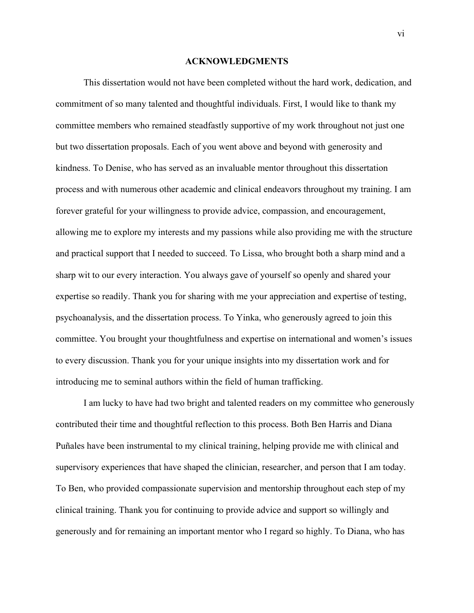#### **ACKNOWLEDGMENTS**

This dissertation would not have been completed without the hard work, dedication, and commitment of so many talented and thoughtful individuals. First, I would like to thank my committee members who remained steadfastly supportive of my work throughout not just one but two dissertation proposals. Each of you went above and beyond with generosity and kindness. To Denise, who has served as an invaluable mentor throughout this dissertation process and with numerous other academic and clinical endeavors throughout my training. I am forever grateful for your willingness to provide advice, compassion, and encouragement, allowing me to explore my interests and my passions while also providing me with the structure and practical support that I needed to succeed. To Lissa, who brought both a sharp mind and a sharp wit to our every interaction. You always gave of yourself so openly and shared your expertise so readily. Thank you for sharing with me your appreciation and expertise of testing, psychoanalysis, and the dissertation process. To Yinka, who generously agreed to join this committee. You brought your thoughtfulness and expertise on international and women's issues to every discussion. Thank you for your unique insights into my dissertation work and for introducing me to seminal authors within the field of human trafficking.

I am lucky to have had two bright and talented readers on my committee who generously contributed their time and thoughtful reflection to this process. Both Ben Harris and Diana Puñales have been instrumental to my clinical training, helping provide me with clinical and supervisory experiences that have shaped the clinician, researcher, and person that I am today. To Ben, who provided compassionate supervision and mentorship throughout each step of my clinical training. Thank you for continuing to provide advice and support so willingly and generously and for remaining an important mentor who I regard so highly. To Diana, who has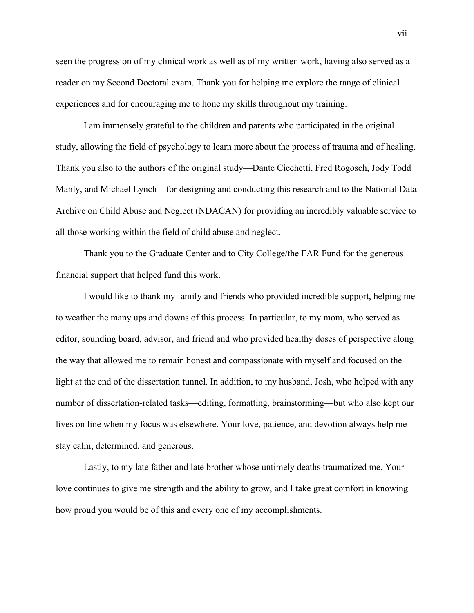seen the progression of my clinical work as well as of my written work, having also served as a reader on my Second Doctoral exam. Thank you for helping me explore the range of clinical experiences and for encouraging me to hone my skills throughout my training.

I am immensely grateful to the children and parents who participated in the original study, allowing the field of psychology to learn more about the process of trauma and of healing. Thank you also to the authors of the original study—Dante Cicchetti, Fred Rogosch, Jody Todd Manly, and Michael Lynch—for designing and conducting this research and to the National Data Archive on Child Abuse and Neglect (NDACAN) for providing an incredibly valuable service to all those working within the field of child abuse and neglect.

Thank you to the Graduate Center and to City College/the FAR Fund for the generous financial support that helped fund this work.

I would like to thank my family and friends who provided incredible support, helping me to weather the many ups and downs of this process. In particular, to my mom, who served as editor, sounding board, advisor, and friend and who provided healthy doses of perspective along the way that allowed me to remain honest and compassionate with myself and focused on the light at the end of the dissertation tunnel. In addition, to my husband, Josh, who helped with any number of dissertation-related tasks—editing, formatting, brainstorming—but who also kept our lives on line when my focus was elsewhere. Your love, patience, and devotion always help me stay calm, determined, and generous.

Lastly, to my late father and late brother whose untimely deaths traumatized me. Your love continues to give me strength and the ability to grow, and I take great comfort in knowing how proud you would be of this and every one of my accomplishments.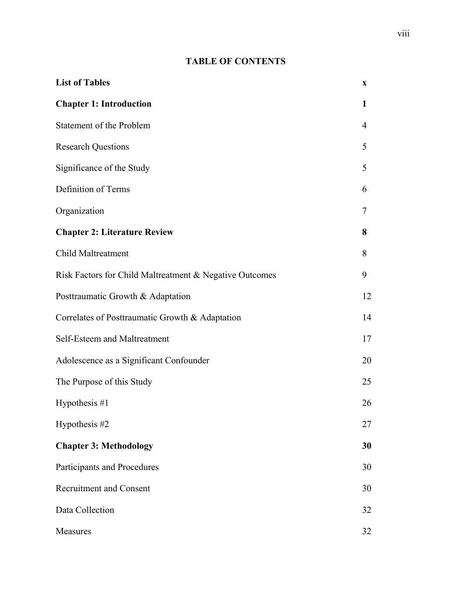## **TABLE OF CONTENTS**

| <b>List of Tables</b>                                   | X            |
|---------------------------------------------------------|--------------|
| <b>Chapter 1: Introduction</b>                          | $\mathbf{1}$ |
| Statement of the Problem                                | 4            |
| <b>Research Questions</b>                               | 5            |
| Significance of the Study                               | 5            |
| Definition of Terms                                     | 6            |
| Organization                                            | 7            |
| <b>Chapter 2: Literature Review</b>                     | 8            |
| Child Maltreatment                                      | 8            |
| Risk Factors for Child Maltreatment & Negative Outcomes | 9            |
| Posttraumatic Growth & Adaptation                       | 12           |
| Correlates of Posttraumatic Growth & Adaptation         | 14           |
| Self-Esteem and Maltreatment                            | 17           |
| Adolescence as a Significant Confounder                 | 20           |
| The Purpose of this Study                               | 25           |
| Hypothesis $#1$                                         | 26           |
| Hypothesis #2                                           | 27           |
| <b>Chapter 3: Methodology</b>                           | 30           |
| Participants and Procedures                             | 30           |
| <b>Recruitment and Consent</b>                          | 30           |
| Data Collection                                         | 32           |
| Measures                                                | 32           |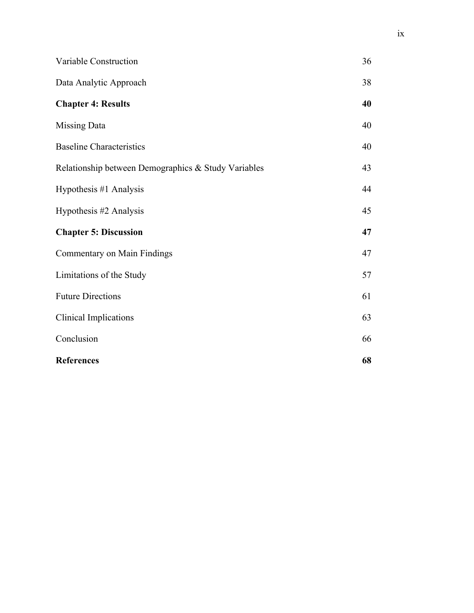| Variable Construction                               | 36 |
|-----------------------------------------------------|----|
| Data Analytic Approach                              | 38 |
| <b>Chapter 4: Results</b>                           | 40 |
| Missing Data                                        | 40 |
| <b>Baseline Characteristics</b>                     | 40 |
| Relationship between Demographics & Study Variables | 43 |
| Hypothesis #1 Analysis                              | 44 |
| Hypothesis #2 Analysis                              | 45 |
| <b>Chapter 5: Discussion</b>                        | 47 |
| Commentary on Main Findings                         | 47 |
| Limitations of the Study                            | 57 |
| <b>Future Directions</b>                            | 61 |
| Clinical Implications                               | 63 |
| Conclusion                                          | 66 |
| <b>References</b>                                   | 68 |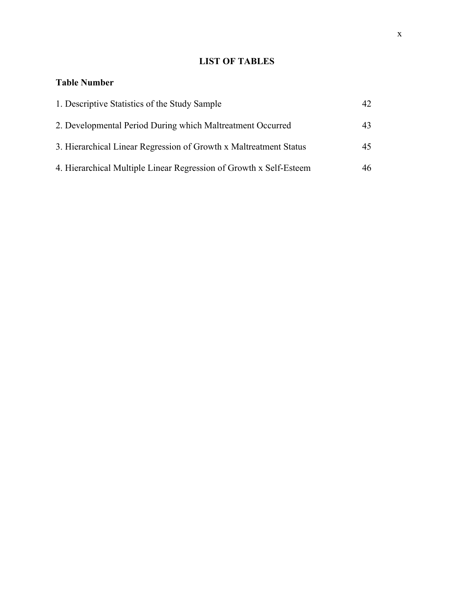## **LIST OF TABLES**

### **Table Number**

| 1. Descriptive Statistics of the Study Sample                      | 42 |
|--------------------------------------------------------------------|----|
| 2. Developmental Period During which Maltreatment Occurred         | 43 |
| 3. Hierarchical Linear Regression of Growth x Maltreatment Status  | 45 |
| 4. Hierarchical Multiple Linear Regression of Growth x Self-Esteem | 46 |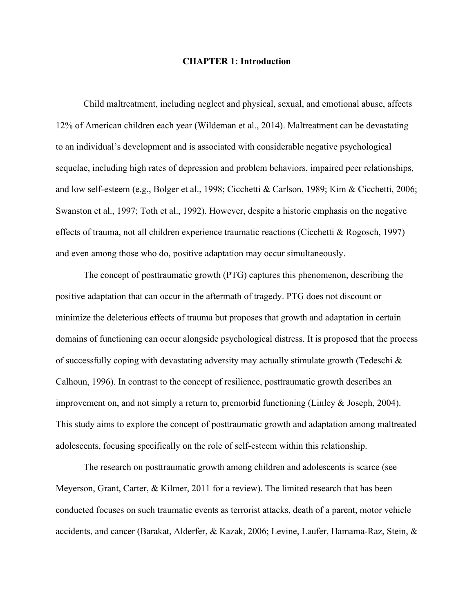#### **CHAPTER 1: Introduction**

Child maltreatment, including neglect and physical, sexual, and emotional abuse, affects 12% of American children each year (Wildeman et al., 2014). Maltreatment can be devastating to an individual's development and is associated with considerable negative psychological sequelae, including high rates of depression and problem behaviors, impaired peer relationships, and low self-esteem (e.g., Bolger et al., 1998; Cicchetti & Carlson, 1989; Kim & Cicchetti, 2006; Swanston et al., 1997; Toth et al., 1992). However, despite a historic emphasis on the negative effects of trauma, not all children experience traumatic reactions (Cicchetti & Rogosch, 1997) and even among those who do, positive adaptation may occur simultaneously.

The concept of posttraumatic growth (PTG) captures this phenomenon, describing the positive adaptation that can occur in the aftermath of tragedy. PTG does not discount or minimize the deleterious effects of trauma but proposes that growth and adaptation in certain domains of functioning can occur alongside psychological distress. It is proposed that the process of successfully coping with devastating adversity may actually stimulate growth (Tedeschi & Calhoun, 1996). In contrast to the concept of resilience, posttraumatic growth describes an improvement on, and not simply a return to, premorbid functioning (Linley & Joseph, 2004). This study aims to explore the concept of posttraumatic growth and adaptation among maltreated adolescents, focusing specifically on the role of self-esteem within this relationship.

The research on posttraumatic growth among children and adolescents is scarce (see Meyerson, Grant, Carter, & Kilmer, 2011 for a review). The limited research that has been conducted focuses on such traumatic events as terrorist attacks, death of a parent, motor vehicle accidents, and cancer (Barakat, Alderfer, & Kazak, 2006; Levine, Laufer, Hamama-Raz, Stein, &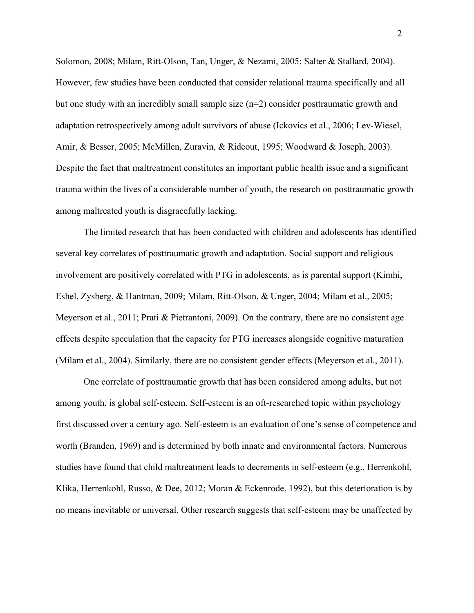Solomon, 2008; Milam, Ritt-Olson, Tan, Unger, & Nezami, 2005; Salter & Stallard, 2004). However, few studies have been conducted that consider relational trauma specifically and all but one study with an incredibly small sample size (n=2) consider posttraumatic growth and adaptation retrospectively among adult survivors of abuse (Ickovics et al., 2006; Lev-Wiesel, Amir, & Besser, 2005; McMillen, Zuravin, & Rideout, 1995; Woodward & Joseph, 2003). Despite the fact that maltreatment constitutes an important public health issue and a significant trauma within the lives of a considerable number of youth, the research on posttraumatic growth among maltreated youth is disgracefully lacking.

The limited research that has been conducted with children and adolescents has identified several key correlates of posttraumatic growth and adaptation. Social support and religious involvement are positively correlated with PTG in adolescents, as is parental support (Kimhi, Eshel, Zysberg, & Hantman, 2009; Milam, Ritt-Olson, & Unger, 2004; Milam et al., 2005; Meyerson et al., 2011; Prati & Pietrantoni, 2009). On the contrary, there are no consistent age effects despite speculation that the capacity for PTG increases alongside cognitive maturation (Milam et al., 2004). Similarly, there are no consistent gender effects (Meyerson et al., 2011).

One correlate of posttraumatic growth that has been considered among adults, but not among youth, is global self-esteem. Self-esteem is an oft-researched topic within psychology first discussed over a century ago. Self-esteem is an evaluation of one's sense of competence and worth (Branden, 1969) and is determined by both innate and environmental factors. Numerous studies have found that child maltreatment leads to decrements in self-esteem (e.g., Herrenkohl, Klika, Herrenkohl, Russo, & Dee, 2012; Moran & Eckenrode, 1992), but this deterioration is by no means inevitable or universal. Other research suggests that self-esteem may be unaffected by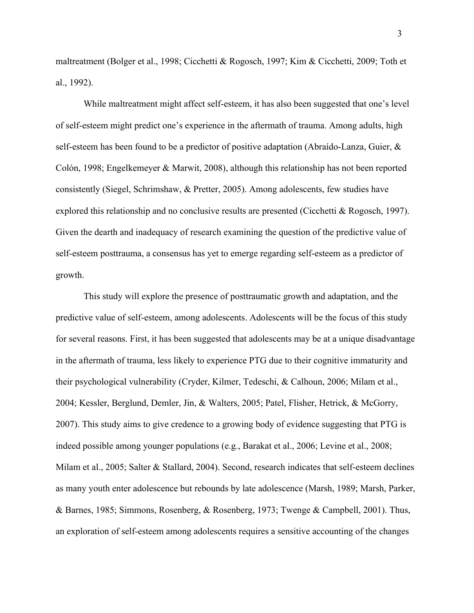maltreatment (Bolger et al., 1998; Cicchetti & Rogosch, 1997; Kim & Cicchetti, 2009; Toth et al., 1992).

While maltreatment might affect self-esteem, it has also been suggested that one's level of self-esteem might predict one's experience in the aftermath of trauma. Among adults, high self-esteem has been found to be a predictor of positive adaptation (Abraído-Lanza, Guier, & Colón, 1998; Engelkemeyer & Marwit, 2008), although this relationship has not been reported consistently (Siegel, Schrimshaw, & Pretter, 2005). Among adolescents, few studies have explored this relationship and no conclusive results are presented (Cicchetti & Rogosch, 1997). Given the dearth and inadequacy of research examining the question of the predictive value of self-esteem posttrauma, a consensus has yet to emerge regarding self-esteem as a predictor of growth.

This study will explore the presence of posttraumatic growth and adaptation, and the predictive value of self-esteem, among adolescents. Adolescents will be the focus of this study for several reasons. First, it has been suggested that adolescents may be at a unique disadvantage in the aftermath of trauma, less likely to experience PTG due to their cognitive immaturity and their psychological vulnerability (Cryder, Kilmer, Tedeschi, & Calhoun, 2006; Milam et al., 2004; Kessler, Berglund, Demler, Jin, & Walters, 2005; Patel, Flisher, Hetrick, & McGorry, 2007). This study aims to give credence to a growing body of evidence suggesting that PTG is indeed possible among younger populations (e.g., Barakat et al., 2006; Levine et al., 2008; Milam et al., 2005; Salter & Stallard, 2004). Second, research indicates that self-esteem declines as many youth enter adolescence but rebounds by late adolescence (Marsh, 1989; Marsh, Parker, & Barnes, 1985; Simmons, Rosenberg, & Rosenberg, 1973; Twenge & Campbell, 2001). Thus, an exploration of self-esteem among adolescents requires a sensitive accounting of the changes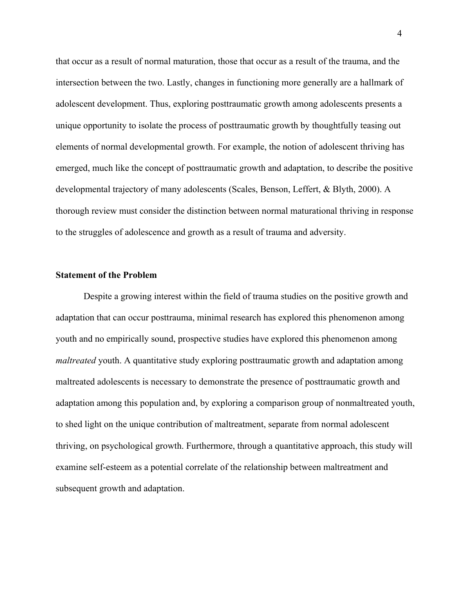that occur as a result of normal maturation, those that occur as a result of the trauma, and the intersection between the two. Lastly, changes in functioning more generally are a hallmark of adolescent development. Thus, exploring posttraumatic growth among adolescents presents a unique opportunity to isolate the process of posttraumatic growth by thoughtfully teasing out elements of normal developmental growth. For example, the notion of adolescent thriving has emerged, much like the concept of posttraumatic growth and adaptation, to describe the positive developmental trajectory of many adolescents (Scales, Benson, Leffert, & Blyth, 2000). A thorough review must consider the distinction between normal maturational thriving in response to the struggles of adolescence and growth as a result of trauma and adversity.

#### **Statement of the Problem**

Despite a growing interest within the field of trauma studies on the positive growth and adaptation that can occur posttrauma, minimal research has explored this phenomenon among youth and no empirically sound, prospective studies have explored this phenomenon among *maltreated* youth. A quantitative study exploring posttraumatic growth and adaptation among maltreated adolescents is necessary to demonstrate the presence of posttraumatic growth and adaptation among this population and, by exploring a comparison group of nonmaltreated youth, to shed light on the unique contribution of maltreatment, separate from normal adolescent thriving, on psychological growth. Furthermore, through a quantitative approach, this study will examine self-esteem as a potential correlate of the relationship between maltreatment and subsequent growth and adaptation.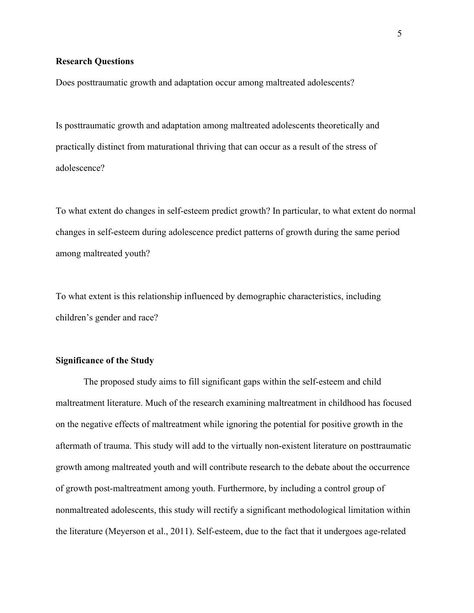#### **Research Questions**

Does posttraumatic growth and adaptation occur among maltreated adolescents?

Is posttraumatic growth and adaptation among maltreated adolescents theoretically and practically distinct from maturational thriving that can occur as a result of the stress of adolescence?

To what extent do changes in self-esteem predict growth? In particular, to what extent do normal changes in self-esteem during adolescence predict patterns of growth during the same period among maltreated youth?

To what extent is this relationship influenced by demographic characteristics, including children's gender and race?

#### **Significance of the Study**

The proposed study aims to fill significant gaps within the self-esteem and child maltreatment literature. Much of the research examining maltreatment in childhood has focused on the negative effects of maltreatment while ignoring the potential for positive growth in the aftermath of trauma. This study will add to the virtually non-existent literature on posttraumatic growth among maltreated youth and will contribute research to the debate about the occurrence of growth post-maltreatment among youth. Furthermore, by including a control group of nonmaltreated adolescents, this study will rectify a significant methodological limitation within the literature (Meyerson et al., 2011). Self-esteem, due to the fact that it undergoes age-related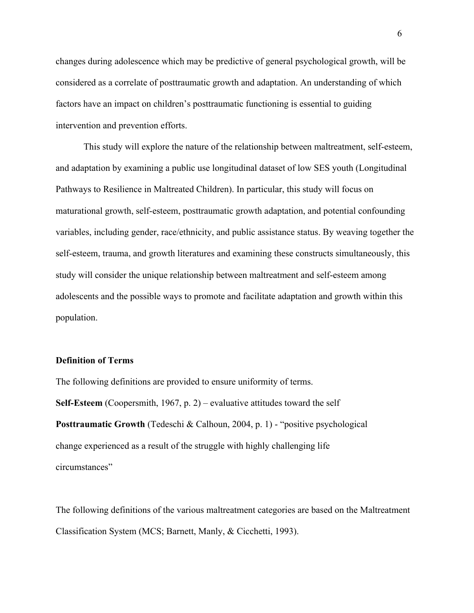changes during adolescence which may be predictive of general psychological growth, will be considered as a correlate of posttraumatic growth and adaptation. An understanding of which factors have an impact on children's posttraumatic functioning is essential to guiding intervention and prevention efforts.

This study will explore the nature of the relationship between maltreatment, self-esteem, and adaptation by examining a public use longitudinal dataset of low SES youth (Longitudinal Pathways to Resilience in Maltreated Children). In particular, this study will focus on maturational growth, self-esteem, posttraumatic growth adaptation, and potential confounding variables, including gender, race/ethnicity, and public assistance status. By weaving together the self-esteem, trauma, and growth literatures and examining these constructs simultaneously, this study will consider the unique relationship between maltreatment and self-esteem among adolescents and the possible ways to promote and facilitate adaptation and growth within this population.

#### **Definition of Terms**

The following definitions are provided to ensure uniformity of terms. **Self-Esteem** (Coopersmith, 1967, p. 2) – evaluative attitudes toward the self **Posttraumatic Growth (Tedeschi & Calhoun, 2004, p. 1) - "positive psychological** change experienced as a result of the struggle with highly challenging life circumstances"

The following definitions of the various maltreatment categories are based on the Maltreatment Classification System (MCS; Barnett, Manly, & Cicchetti, 1993).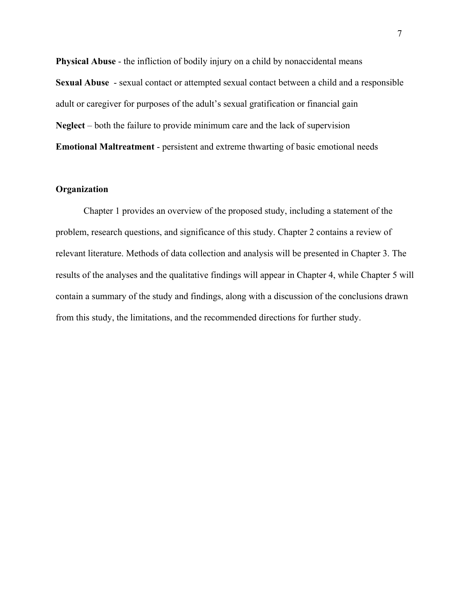**Physical Abuse - the infliction of bodily injury on a child by nonaccidental means Sexual Abuse** - sexual contact or attempted sexual contact between a child and a responsible adult or caregiver for purposes of the adult's sexual gratification or financial gain **Neglect** – both the failure to provide minimum care and the lack of supervision **Emotional Maltreatment** - persistent and extreme thwarting of basic emotional needs

#### **Organization**

Chapter 1 provides an overview of the proposed study, including a statement of the problem, research questions, and significance of this study. Chapter 2 contains a review of relevant literature. Methods of data collection and analysis will be presented in Chapter 3. The results of the analyses and the qualitative findings will appear in Chapter 4, while Chapter 5 will contain a summary of the study and findings, along with a discussion of the conclusions drawn from this study, the limitations, and the recommended directions for further study.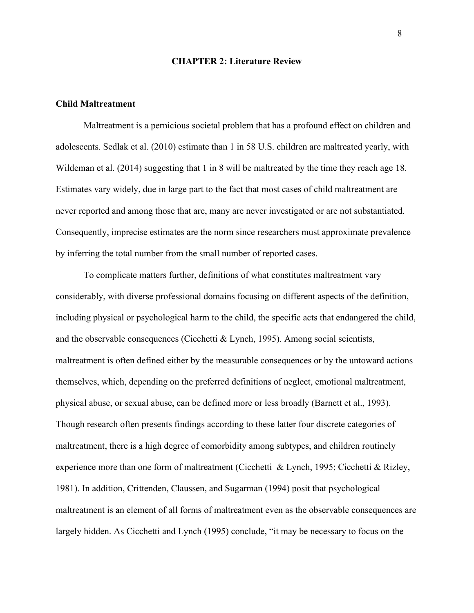#### **CHAPTER 2: Literature Review**

#### **Child Maltreatment**

Maltreatment is a pernicious societal problem that has a profound effect on children and adolescents. Sedlak et al. (2010) estimate than 1 in 58 U.S. children are maltreated yearly, with Wildeman et al. (2014) suggesting that 1 in 8 will be maltreated by the time they reach age 18. Estimates vary widely, due in large part to the fact that most cases of child maltreatment are never reported and among those that are, many are never investigated or are not substantiated. Consequently, imprecise estimates are the norm since researchers must approximate prevalence by inferring the total number from the small number of reported cases.

To complicate matters further, definitions of what constitutes maltreatment vary considerably, with diverse professional domains focusing on different aspects of the definition, including physical or psychological harm to the child, the specific acts that endangered the child, and the observable consequences (Cicchetti & Lynch, 1995). Among social scientists, maltreatment is often defined either by the measurable consequences or by the untoward actions themselves, which, depending on the preferred definitions of neglect, emotional maltreatment, physical abuse, or sexual abuse, can be defined more or less broadly (Barnett et al., 1993). Though research often presents findings according to these latter four discrete categories of maltreatment, there is a high degree of comorbidity among subtypes, and children routinely experience more than one form of maltreatment (Cicchetti & Lynch, 1995; Cicchetti & Rizley, 1981). In addition, Crittenden, Claussen, and Sugarman (1994) posit that psychological maltreatment is an element of all forms of maltreatment even as the observable consequences are largely hidden. As Cicchetti and Lynch (1995) conclude, "it may be necessary to focus on the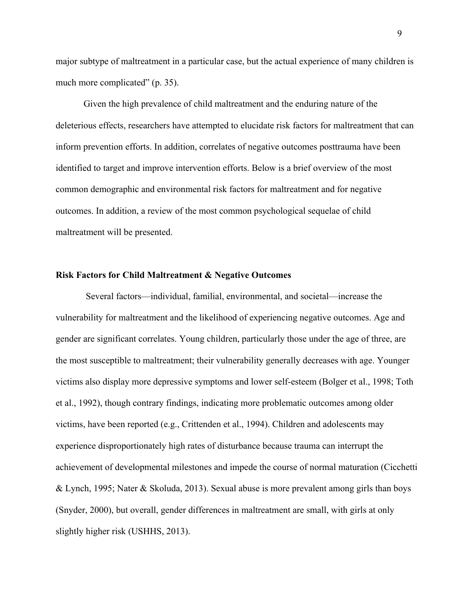major subtype of maltreatment in a particular case, but the actual experience of many children is much more complicated" (p. 35).

Given the high prevalence of child maltreatment and the enduring nature of the deleterious effects, researchers have attempted to elucidate risk factors for maltreatment that can inform prevention efforts. In addition, correlates of negative outcomes posttrauma have been identified to target and improve intervention efforts. Below is a brief overview of the most common demographic and environmental risk factors for maltreatment and for negative outcomes. In addition, a review of the most common psychological sequelae of child maltreatment will be presented.

#### **Risk Factors for Child Maltreatment & Negative Outcomes**

Several factors—individual, familial, environmental, and societal—increase the vulnerability for maltreatment and the likelihood of experiencing negative outcomes. Age and gender are significant correlates. Young children, particularly those under the age of three, are the most susceptible to maltreatment; their vulnerability generally decreases with age. Younger victims also display more depressive symptoms and lower self-esteem (Bolger et al., 1998; Toth et al., 1992), though contrary findings, indicating more problematic outcomes among older victims, have been reported (e.g., Crittenden et al., 1994). Children and adolescents may experience disproportionately high rates of disturbance because trauma can interrupt the achievement of developmental milestones and impede the course of normal maturation (Cicchetti & Lynch, 1995; Nater & Skoluda, 2013). Sexual abuse is more prevalent among girls than boys (Snyder, 2000), but overall, gender differences in maltreatment are small, with girls at only slightly higher risk (USHHS, 2013).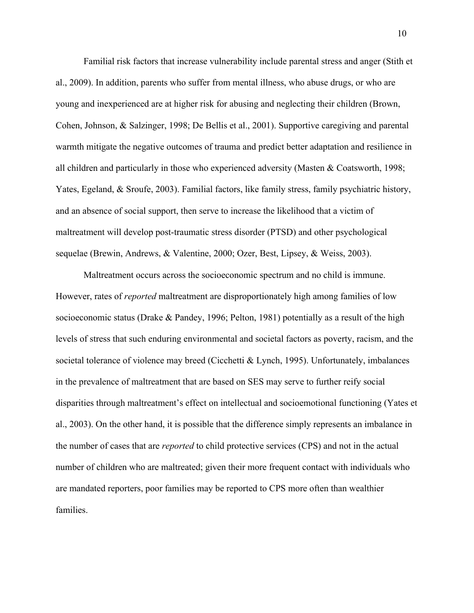Familial risk factors that increase vulnerability include parental stress and anger (Stith et al., 2009). In addition, parents who suffer from mental illness, who abuse drugs, or who are young and inexperienced are at higher risk for abusing and neglecting their children (Brown, Cohen, Johnson, & Salzinger, 1998; De Bellis et al., 2001). Supportive caregiving and parental warmth mitigate the negative outcomes of trauma and predict better adaptation and resilience in all children and particularly in those who experienced adversity (Masten & Coatsworth, 1998; Yates, Egeland, & Sroufe, 2003). Familial factors, like family stress, family psychiatric history, and an absence of social support, then serve to increase the likelihood that a victim of maltreatment will develop post-traumatic stress disorder (PTSD) and other psychological sequelae (Brewin, Andrews, & Valentine, 2000; Ozer, Best, Lipsey, & Weiss, 2003).

Maltreatment occurs across the socioeconomic spectrum and no child is immune. However, rates of *reported* maltreatment are disproportionately high among families of low socioeconomic status (Drake & Pandey, 1996; Pelton, 1981) potentially as a result of the high levels of stress that such enduring environmental and societal factors as poverty, racism, and the societal tolerance of violence may breed (Cicchetti & Lynch, 1995). Unfortunately, imbalances in the prevalence of maltreatment that are based on SES may serve to further reify social disparities through maltreatment's effect on intellectual and socioemotional functioning (Yates et al., 2003). On the other hand, it is possible that the difference simply represents an imbalance in the number of cases that are *reported* to child protective services (CPS) and not in the actual number of children who are maltreated; given their more frequent contact with individuals who are mandated reporters, poor families may be reported to CPS more often than wealthier families.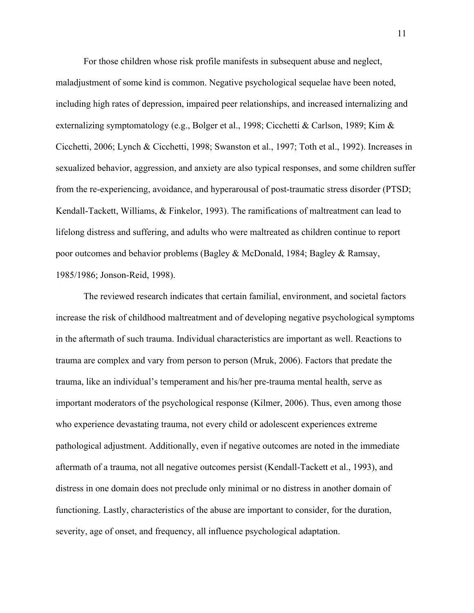For those children whose risk profile manifests in subsequent abuse and neglect, maladjustment of some kind is common. Negative psychological sequelae have been noted, including high rates of depression, impaired peer relationships, and increased internalizing and externalizing symptomatology (e.g., Bolger et al., 1998; Cicchetti & Carlson, 1989; Kim & Cicchetti, 2006; Lynch & Cicchetti, 1998; Swanston et al., 1997; Toth et al., 1992). Increases in sexualized behavior, aggression, and anxiety are also typical responses, and some children suffer from the re-experiencing, avoidance, and hyperarousal of post-traumatic stress disorder (PTSD; Kendall-Tackett, Williams, & Finkelor, 1993). The ramifications of maltreatment can lead to lifelong distress and suffering, and adults who were maltreated as children continue to report poor outcomes and behavior problems (Bagley & McDonald, 1984; Bagley & Ramsay, 1985/1986; Jonson-Reid, 1998).

The reviewed research indicates that certain familial, environment, and societal factors increase the risk of childhood maltreatment and of developing negative psychological symptoms in the aftermath of such trauma. Individual characteristics are important as well. Reactions to trauma are complex and vary from person to person (Mruk, 2006). Factors that predate the trauma, like an individual's temperament and his/her pre-trauma mental health, serve as important moderators of the psychological response (Kilmer, 2006). Thus, even among those who experience devastating trauma, not every child or adolescent experiences extreme pathological adjustment. Additionally, even if negative outcomes are noted in the immediate aftermath of a trauma, not all negative outcomes persist (Kendall-Tackett et al., 1993), and distress in one domain does not preclude only minimal or no distress in another domain of functioning. Lastly, characteristics of the abuse are important to consider, for the duration, severity, age of onset, and frequency, all influence psychological adaptation.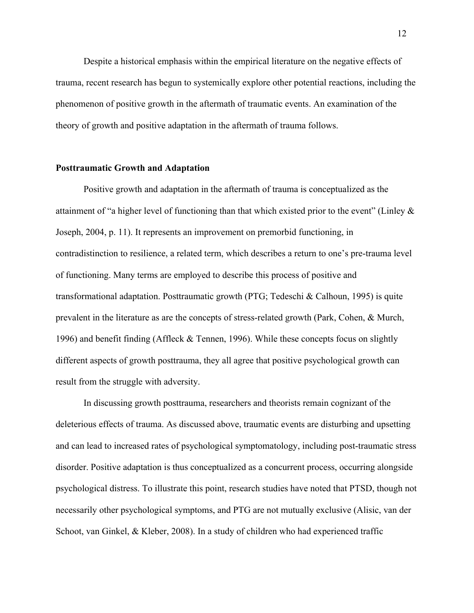Despite a historical emphasis within the empirical literature on the negative effects of trauma, recent research has begun to systemically explore other potential reactions, including the phenomenon of positive growth in the aftermath of traumatic events. An examination of the theory of growth and positive adaptation in the aftermath of trauma follows.

#### **Posttraumatic Growth and Adaptation**

Positive growth and adaptation in the aftermath of trauma is conceptualized as the attainment of "a higher level of functioning than that which existed prior to the event" (Linley & Joseph, 2004, p. 11). It represents an improvement on premorbid functioning, in contradistinction to resilience, a related term, which describes a return to one's pre-trauma level of functioning. Many terms are employed to describe this process of positive and transformational adaptation. Posttraumatic growth (PTG; Tedeschi & Calhoun, 1995) is quite prevalent in the literature as are the concepts of stress-related growth (Park, Cohen, & Murch, 1996) and benefit finding (Affleck & Tennen, 1996). While these concepts focus on slightly different aspects of growth posttrauma, they all agree that positive psychological growth can result from the struggle with adversity.

In discussing growth posttrauma, researchers and theorists remain cognizant of the deleterious effects of trauma. As discussed above, traumatic events are disturbing and upsetting and can lead to increased rates of psychological symptomatology, including post-traumatic stress disorder. Positive adaptation is thus conceptualized as a concurrent process, occurring alongside psychological distress. To illustrate this point, research studies have noted that PTSD, though not necessarily other psychological symptoms, and PTG are not mutually exclusive (Alisic, van der Schoot, van Ginkel, & Kleber, 2008). In a study of children who had experienced traffic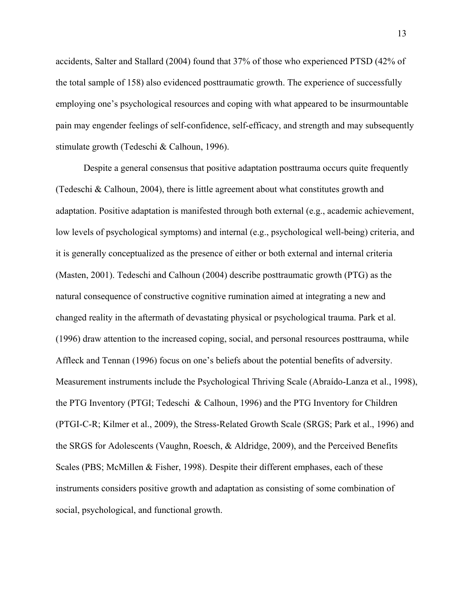accidents, Salter and Stallard (2004) found that 37% of those who experienced PTSD (42% of the total sample of 158) also evidenced posttraumatic growth. The experience of successfully employing one's psychological resources and coping with what appeared to be insurmountable pain may engender feelings of self-confidence, self-efficacy, and strength and may subsequently stimulate growth (Tedeschi & Calhoun, 1996).

Despite a general consensus that positive adaptation posttrauma occurs quite frequently (Tedeschi & Calhoun, 2004), there is little agreement about what constitutes growth and adaptation. Positive adaptation is manifested through both external (e.g., academic achievement, low levels of psychological symptoms) and internal (e.g., psychological well-being) criteria, and it is generally conceptualized as the presence of either or both external and internal criteria (Masten, 2001). Tedeschi and Calhoun (2004) describe posttraumatic growth (PTG) as the natural consequence of constructive cognitive rumination aimed at integrating a new and changed reality in the aftermath of devastating physical or psychological trauma. Park et al. (1996) draw attention to the increased coping, social, and personal resources posttrauma, while Affleck and Tennan (1996) focus on one's beliefs about the potential benefits of adversity. Measurement instruments include the Psychological Thriving Scale (Abraído-Lanza et al., 1998), the PTG Inventory (PTGI; Tedeschi & Calhoun, 1996) and the PTG Inventory for Children (PTGI-C-R; Kilmer et al., 2009), the Stress-Related Growth Scale (SRGS; Park et al., 1996) and the SRGS for Adolescents (Vaughn, Roesch, & Aldridge, 2009), and the Perceived Benefits Scales (PBS; McMillen & Fisher, 1998). Despite their different emphases, each of these instruments considers positive growth and adaptation as consisting of some combination of social, psychological, and functional growth.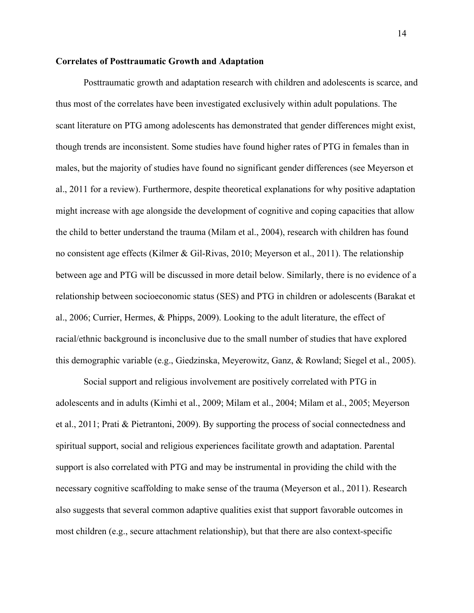#### **Correlates of Posttraumatic Growth and Adaptation**

Posttraumatic growth and adaptation research with children and adolescents is scarce, and thus most of the correlates have been investigated exclusively within adult populations. The scant literature on PTG among adolescents has demonstrated that gender differences might exist, though trends are inconsistent. Some studies have found higher rates of PTG in females than in males, but the majority of studies have found no significant gender differences (see Meyerson et al., 2011 for a review). Furthermore, despite theoretical explanations for why positive adaptation might increase with age alongside the development of cognitive and coping capacities that allow the child to better understand the trauma (Milam et al., 2004), research with children has found no consistent age effects (Kilmer & Gil-Rivas, 2010; Meyerson et al., 2011). The relationship between age and PTG will be discussed in more detail below. Similarly, there is no evidence of a relationship between socioeconomic status (SES) and PTG in children or adolescents (Barakat et al., 2006; Currier, Hermes, & Phipps, 2009). Looking to the adult literature, the effect of racial/ethnic background is inconclusive due to the small number of studies that have explored this demographic variable (e.g., Giedzinska, Meyerowitz, Ganz, & Rowland; Siegel et al., 2005).

Social support and religious involvement are positively correlated with PTG in adolescents and in adults (Kimhi et al., 2009; Milam et al., 2004; Milam et al., 2005; Meyerson et al., 2011; Prati & Pietrantoni, 2009). By supporting the process of social connectedness and spiritual support, social and religious experiences facilitate growth and adaptation. Parental support is also correlated with PTG and may be instrumental in providing the child with the necessary cognitive scaffolding to make sense of the trauma (Meyerson et al., 2011). Research also suggests that several common adaptive qualities exist that support favorable outcomes in most children (e.g., secure attachment relationship), but that there are also context-specific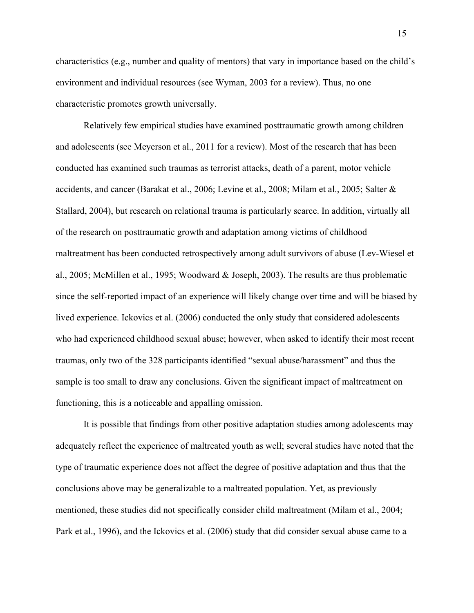characteristics (e.g., number and quality of mentors) that vary in importance based on the child's environment and individual resources (see Wyman, 2003 for a review). Thus, no one characteristic promotes growth universally.

Relatively few empirical studies have examined posttraumatic growth among children and adolescents (see Meyerson et al., 2011 for a review). Most of the research that has been conducted has examined such traumas as terrorist attacks, death of a parent, motor vehicle accidents, and cancer (Barakat et al., 2006; Levine et al., 2008; Milam et al., 2005; Salter & Stallard, 2004), but research on relational trauma is particularly scarce. In addition, virtually all of the research on posttraumatic growth and adaptation among victims of childhood maltreatment has been conducted retrospectively among adult survivors of abuse (Lev-Wiesel et al., 2005; McMillen et al., 1995; Woodward & Joseph, 2003). The results are thus problematic since the self-reported impact of an experience will likely change over time and will be biased by lived experience. Ickovics et al. (2006) conducted the only study that considered adolescents who had experienced childhood sexual abuse; however, when asked to identify their most recent traumas, only two of the 328 participants identified "sexual abuse/harassment" and thus the sample is too small to draw any conclusions. Given the significant impact of maltreatment on functioning, this is a noticeable and appalling omission.

It is possible that findings from other positive adaptation studies among adolescents may adequately reflect the experience of maltreated youth as well; several studies have noted that the type of traumatic experience does not affect the degree of positive adaptation and thus that the conclusions above may be generalizable to a maltreated population. Yet, as previously mentioned, these studies did not specifically consider child maltreatment (Milam et al., 2004; Park et al., 1996), and the Ickovics et al. (2006) study that did consider sexual abuse came to a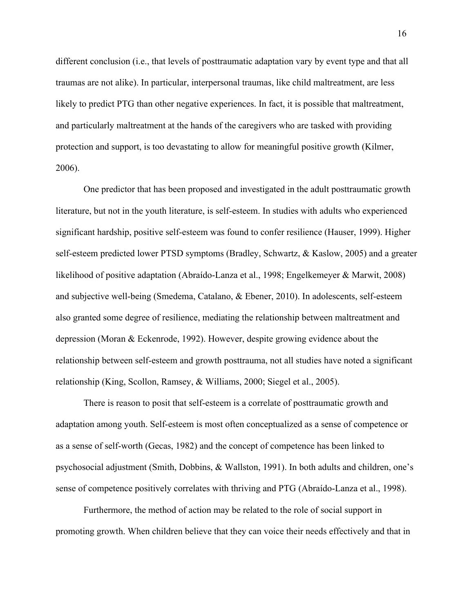different conclusion (i.e., that levels of posttraumatic adaptation vary by event type and that all traumas are not alike). In particular, interpersonal traumas, like child maltreatment, are less likely to predict PTG than other negative experiences. In fact, it is possible that maltreatment, and particularly maltreatment at the hands of the caregivers who are tasked with providing protection and support, is too devastating to allow for meaningful positive growth (Kilmer, 2006).

One predictor that has been proposed and investigated in the adult posttraumatic growth literature, but not in the youth literature, is self-esteem. In studies with adults who experienced significant hardship, positive self-esteem was found to confer resilience (Hauser, 1999). Higher self-esteem predicted lower PTSD symptoms (Bradley, Schwartz, & Kaslow, 2005) and a greater likelihood of positive adaptation (Abraído-Lanza et al., 1998; Engelkemeyer & Marwit, 2008) and subjective well-being (Smedema, Catalano, & Ebener, 2010). In adolescents, self-esteem also granted some degree of resilience, mediating the relationship between maltreatment and depression (Moran & Eckenrode, 1992). However, despite growing evidence about the relationship between self-esteem and growth posttrauma, not all studies have noted a significant relationship (King, Scollon, Ramsey, & Williams, 2000; Siegel et al., 2005).

There is reason to posit that self-esteem is a correlate of posttraumatic growth and adaptation among youth. Self-esteem is most often conceptualized as a sense of competence or as a sense of self-worth (Gecas, 1982) and the concept of competence has been linked to psychosocial adjustment (Smith, Dobbins, & Wallston, 1991). In both adults and children, one's sense of competence positively correlates with thriving and PTG (Abraído-Lanza et al., 1998).

Furthermore, the method of action may be related to the role of social support in promoting growth. When children believe that they can voice their needs effectively and that in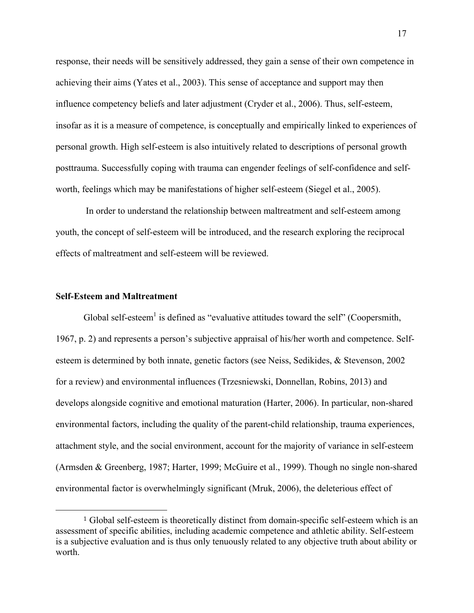response, their needs will be sensitively addressed, they gain a sense of their own competence in achieving their aims (Yates et al., 2003). This sense of acceptance and support may then influence competency beliefs and later adjustment (Cryder et al., 2006). Thus, self-esteem, insofar as it is a measure of competence, is conceptually and empirically linked to experiences of personal growth. High self-esteem is also intuitively related to descriptions of personal growth posttrauma. Successfully coping with trauma can engender feelings of self-confidence and selfworth, feelings which may be manifestations of higher self-esteem (Siegel et al., 2005).

In order to understand the relationship between maltreatment and self-esteem among youth, the concept of self-esteem will be introduced, and the research exploring the reciprocal effects of maltreatment and self-esteem will be reviewed.

#### **Self-Esteem and Maltreatment**

 

Global self-esteem<sup>1</sup> is defined as "evaluative attitudes toward the self" (Coopersmith, 1967, p. 2) and represents a person's subjective appraisal of his/her worth and competence. Selfesteem is determined by both innate, genetic factors (see Neiss, Sedikides, & Stevenson, 2002 for a review) and environmental influences (Trzesniewski, Donnellan, Robins, 2013) and develops alongside cognitive and emotional maturation (Harter, 2006). In particular, non-shared environmental factors, including the quality of the parent-child relationship, trauma experiences, attachment style, and the social environment, account for the majority of variance in self-esteem (Armsden & Greenberg, 1987; Harter, 1999; McGuire et al., 1999). Though no single non-shared environmental factor is overwhelmingly significant (Mruk, 2006), the deleterious effect of

<sup>1</sup> Global self-esteem is theoretically distinct from domain-specific self-esteem which is an assessment of specific abilities, including academic competence and athletic ability. Self-esteem is a subjective evaluation and is thus only tenuously related to any objective truth about ability or worth.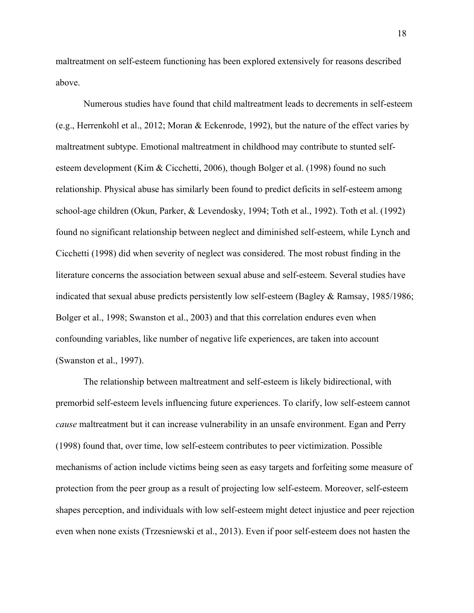maltreatment on self-esteem functioning has been explored extensively for reasons described above.

Numerous studies have found that child maltreatment leads to decrements in self-esteem (e.g., Herrenkohl et al., 2012; Moran & Eckenrode, 1992), but the nature of the effect varies by maltreatment subtype. Emotional maltreatment in childhood may contribute to stunted selfesteem development (Kim & Cicchetti, 2006), though Bolger et al. (1998) found no such relationship. Physical abuse has similarly been found to predict deficits in self-esteem among school-age children (Okun, Parker, & Levendosky, 1994; Toth et al., 1992). Toth et al. (1992) found no significant relationship between neglect and diminished self-esteem, while Lynch and Cicchetti (1998) did when severity of neglect was considered. The most robust finding in the literature concerns the association between sexual abuse and self-esteem. Several studies have indicated that sexual abuse predicts persistently low self-esteem (Bagley & Ramsay, 1985/1986; Bolger et al., 1998; Swanston et al., 2003) and that this correlation endures even when confounding variables, like number of negative life experiences, are taken into account (Swanston et al., 1997).

The relationship between maltreatment and self-esteem is likely bidirectional, with premorbid self-esteem levels influencing future experiences. To clarify, low self-esteem cannot *cause* maltreatment but it can increase vulnerability in an unsafe environment. Egan and Perry (1998) found that, over time, low self-esteem contributes to peer victimization. Possible mechanisms of action include victims being seen as easy targets and forfeiting some measure of protection from the peer group as a result of projecting low self-esteem. Moreover, self-esteem shapes perception, and individuals with low self-esteem might detect injustice and peer rejection even when none exists (Trzesniewski et al., 2013). Even if poor self-esteem does not hasten the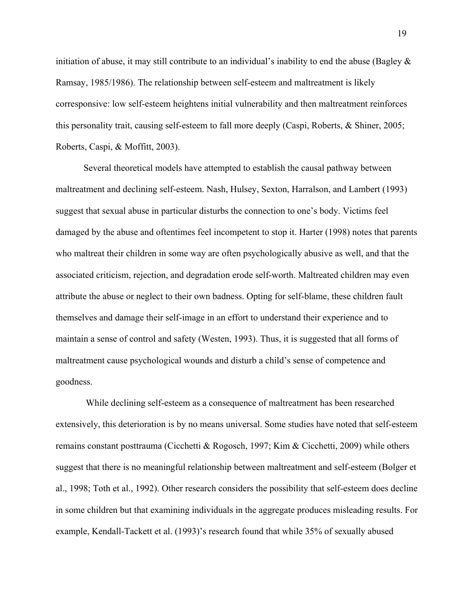initiation of abuse, it may still contribute to an individual's inability to end the abuse (Bagley  $\&$ Ramsay, 1985/1986). The relationship between self-esteem and maltreatment is likely corresponsive: low self-esteem heightens initial vulnerability and then maltreatment reinforces this personality trait, causing self-esteem to fall more deeply (Caspi, Roberts, & Shiner, 2005; Roberts, Caspi, & Moffitt, 2003).

Several theoretical models have attempted to establish the causal pathway between maltreatment and declining self-esteem. Nash, Hulsey, Sexton, Harralson, and Lambert (1993) suggest that sexual abuse in particular disturbs the connection to one's body. Victims feel damaged by the abuse and oftentimes feel incompetent to stop it. Harter (1998) notes that parents who maltreat their children in some way are often psychologically abusive as well, and that the associated criticism, rejection, and degradation erode self-worth. Maltreated children may even attribute the abuse or neglect to their own badness. Opting for self-blame, these children fault themselves and damage their self-image in an effort to understand their experience and to maintain a sense of control and safety (Westen, 1993). Thus, it is suggested that all forms of maltreatment cause psychological wounds and disturb a child's sense of competence and goodness.

While declining self-esteem as a consequence of maltreatment has been researched extensively, this deterioration is by no means universal. Some studies have noted that self-esteem remains constant posttrauma (Cicchetti & Rogosch, 1997; Kim & Cicchetti, 2009) while others suggest that there is no meaningful relationship between maltreatment and self-esteem (Bolger et al., 1998; Toth et al., 1992). Other research considers the possibility that self-esteem does decline in some children but that examining individuals in the aggregate produces misleading results. For example, Kendall-Tackett et al. (1993)'s research found that while 35% of sexually abused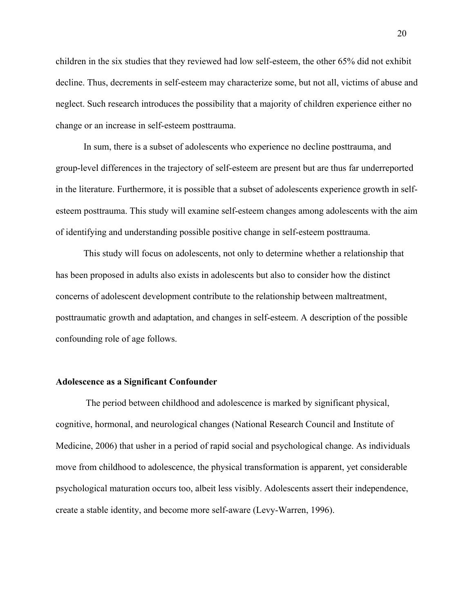children in the six studies that they reviewed had low self-esteem, the other 65% did not exhibit decline. Thus, decrements in self-esteem may characterize some, but not all, victims of abuse and neglect. Such research introduces the possibility that a majority of children experience either no change or an increase in self-esteem posttrauma.

In sum, there is a subset of adolescents who experience no decline posttrauma, and group-level differences in the trajectory of self-esteem are present but are thus far underreported in the literature. Furthermore, it is possible that a subset of adolescents experience growth in selfesteem posttrauma. This study will examine self-esteem changes among adolescents with the aim of identifying and understanding possible positive change in self-esteem posttrauma.

This study will focus on adolescents, not only to determine whether a relationship that has been proposed in adults also exists in adolescents but also to consider how the distinct concerns of adolescent development contribute to the relationship between maltreatment, posttraumatic growth and adaptation, and changes in self-esteem. A description of the possible confounding role of age follows.

#### **Adolescence as a Significant Confounder**

The period between childhood and adolescence is marked by significant physical, cognitive, hormonal, and neurological changes (National Research Council and Institute of Medicine, 2006) that usher in a period of rapid social and psychological change. As individuals move from childhood to adolescence, the physical transformation is apparent, yet considerable psychological maturation occurs too, albeit less visibly. Adolescents assert their independence, create a stable identity, and become more self-aware (Levy-Warren, 1996).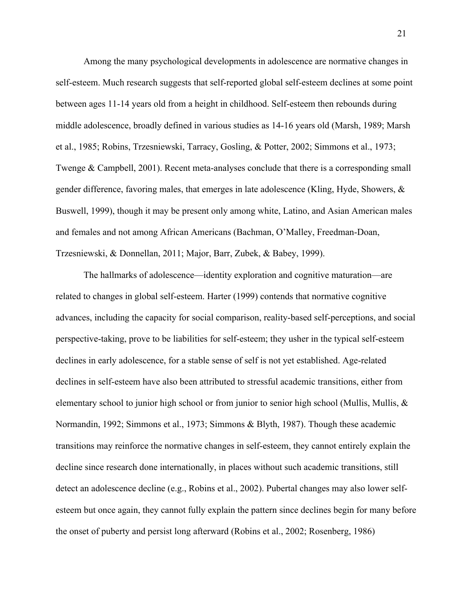Among the many psychological developments in adolescence are normative changes in self-esteem. Much research suggests that self-reported global self-esteem declines at some point between ages 11-14 years old from a height in childhood. Self-esteem then rebounds during middle adolescence, broadly defined in various studies as 14-16 years old (Marsh, 1989; Marsh et al., 1985; Robins, Trzesniewski, Tarracy, Gosling, & Potter, 2002; Simmons et al., 1973; Twenge & Campbell, 2001). Recent meta-analyses conclude that there is a corresponding small gender difference, favoring males, that emerges in late adolescence (Kling, Hyde, Showers,  $\&$ Buswell, 1999), though it may be present only among white, Latino, and Asian American males and females and not among African Americans (Bachman, O'Malley, Freedman-Doan, Trzesniewski, & Donnellan, 2011; Major, Barr, Zubek, & Babey, 1999).

The hallmarks of adolescence—identity exploration and cognitive maturation—are related to changes in global self-esteem. Harter (1999) contends that normative cognitive advances, including the capacity for social comparison, reality-based self-perceptions, and social perspective-taking, prove to be liabilities for self-esteem; they usher in the typical self-esteem declines in early adolescence, for a stable sense of self is not yet established. Age-related declines in self-esteem have also been attributed to stressful academic transitions, either from elementary school to junior high school or from junior to senior high school (Mullis, Mullis,  $\&$ Normandin, 1992; Simmons et al., 1973; Simmons & Blyth, 1987). Though these academic transitions may reinforce the normative changes in self-esteem, they cannot entirely explain the decline since research done internationally, in places without such academic transitions, still detect an adolescence decline (e.g., Robins et al., 2002). Pubertal changes may also lower selfesteem but once again, they cannot fully explain the pattern since declines begin for many before the onset of puberty and persist long afterward (Robins et al., 2002; Rosenberg, 1986)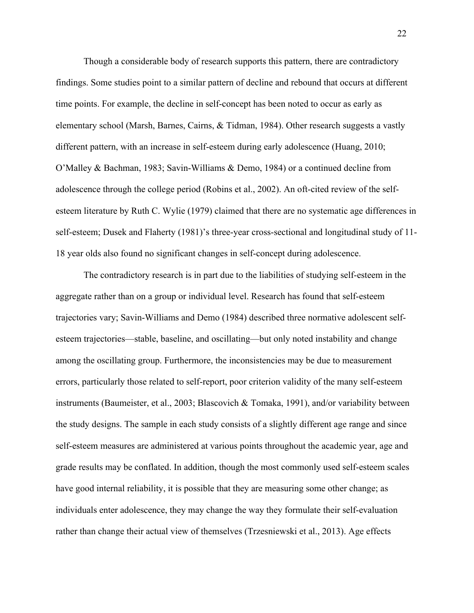Though a considerable body of research supports this pattern, there are contradictory findings. Some studies point to a similar pattern of decline and rebound that occurs at different time points. For example, the decline in self-concept has been noted to occur as early as elementary school (Marsh, Barnes, Cairns, & Tidman, 1984). Other research suggests a vastly different pattern, with an increase in self-esteem during early adolescence (Huang, 2010; O'Malley & Bachman, 1983; Savin-Williams & Demo, 1984) or a continued decline from adolescence through the college period (Robins et al., 2002). An oft-cited review of the selfesteem literature by Ruth C. Wylie (1979) claimed that there are no systematic age differences in self-esteem; Dusek and Flaherty (1981)'s three-year cross-sectional and longitudinal study of 11- 18 year olds also found no significant changes in self-concept during adolescence.

The contradictory research is in part due to the liabilities of studying self-esteem in the aggregate rather than on a group or individual level. Research has found that self-esteem trajectories vary; Savin-Williams and Demo (1984) described three normative adolescent selfesteem trajectories—stable, baseline, and oscillating—but only noted instability and change among the oscillating group. Furthermore, the inconsistencies may be due to measurement errors, particularly those related to self-report, poor criterion validity of the many self-esteem instruments (Baumeister, et al., 2003; Blascovich & Tomaka, 1991), and/or variability between the study designs. The sample in each study consists of a slightly different age range and since self-esteem measures are administered at various points throughout the academic year, age and grade results may be conflated. In addition, though the most commonly used self-esteem scales have good internal reliability, it is possible that they are measuring some other change; as individuals enter adolescence, they may change the way they formulate their self-evaluation rather than change their actual view of themselves (Trzesniewski et al., 2013). Age effects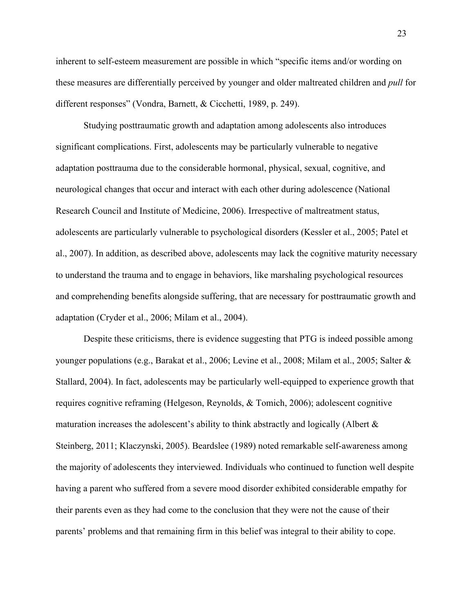inherent to self-esteem measurement are possible in which "specific items and/or wording on these measures are differentially perceived by younger and older maltreated children and *pull* for different responses" (Vondra, Barnett, & Cicchetti, 1989, p. 249).

Studying posttraumatic growth and adaptation among adolescents also introduces significant complications. First, adolescents may be particularly vulnerable to negative adaptation posttrauma due to the considerable hormonal, physical, sexual, cognitive, and neurological changes that occur and interact with each other during adolescence (National Research Council and Institute of Medicine, 2006). Irrespective of maltreatment status, adolescents are particularly vulnerable to psychological disorders (Kessler et al., 2005; Patel et al., 2007). In addition, as described above, adolescents may lack the cognitive maturity necessary to understand the trauma and to engage in behaviors, like marshaling psychological resources and comprehending benefits alongside suffering, that are necessary for posttraumatic growth and adaptation (Cryder et al., 2006; Milam et al., 2004).

Despite these criticisms, there is evidence suggesting that PTG is indeed possible among younger populations (e.g., Barakat et al., 2006; Levine et al., 2008; Milam et al., 2005; Salter & Stallard, 2004). In fact, adolescents may be particularly well-equipped to experience growth that requires cognitive reframing (Helgeson, Reynolds, & Tomich, 2006); adolescent cognitive maturation increases the adolescent's ability to think abstractly and logically (Albert & Steinberg, 2011; Klaczynski, 2005). Beardslee (1989) noted remarkable self-awareness among the majority of adolescents they interviewed. Individuals who continued to function well despite having a parent who suffered from a severe mood disorder exhibited considerable empathy for their parents even as they had come to the conclusion that they were not the cause of their parents' problems and that remaining firm in this belief was integral to their ability to cope.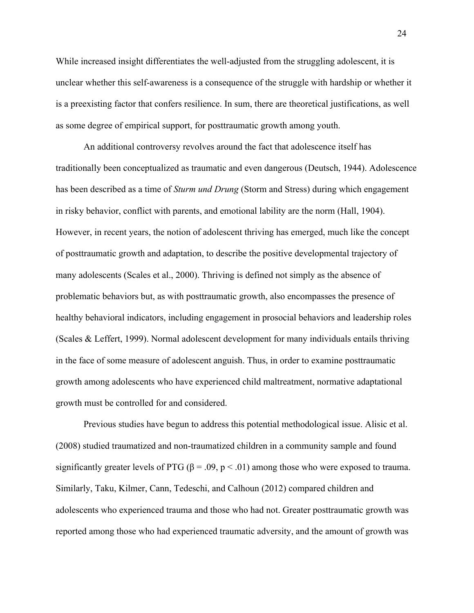While increased insight differentiates the well-adjusted from the struggling adolescent, it is unclear whether this self-awareness is a consequence of the struggle with hardship or whether it is a preexisting factor that confers resilience. In sum, there are theoretical justifications, as well as some degree of empirical support, for posttraumatic growth among youth.

An additional controversy revolves around the fact that adolescence itself has traditionally been conceptualized as traumatic and even dangerous (Deutsch, 1944). Adolescence has been described as a time of *Sturm und Drung* (Storm and Stress) during which engagement in risky behavior, conflict with parents, and emotional lability are the norm (Hall, 1904). However, in recent years, the notion of adolescent thriving has emerged, much like the concept of posttraumatic growth and adaptation, to describe the positive developmental trajectory of many adolescents (Scales et al., 2000). Thriving is defined not simply as the absence of problematic behaviors but, as with posttraumatic growth, also encompasses the presence of healthy behavioral indicators, including engagement in prosocial behaviors and leadership roles (Scales & Leffert, 1999). Normal adolescent development for many individuals entails thriving in the face of some measure of adolescent anguish. Thus, in order to examine posttraumatic growth among adolescents who have experienced child maltreatment, normative adaptational growth must be controlled for and considered.

Previous studies have begun to address this potential methodological issue. Alisic et al. (2008) studied traumatized and non-traumatized children in a community sample and found significantly greater levels of PTG ( $\beta$  = .09, p < .01) among those who were exposed to trauma. Similarly, Taku, Kilmer, Cann, Tedeschi, and Calhoun (2012) compared children and adolescents who experienced trauma and those who had not. Greater posttraumatic growth was reported among those who had experienced traumatic adversity, and the amount of growth was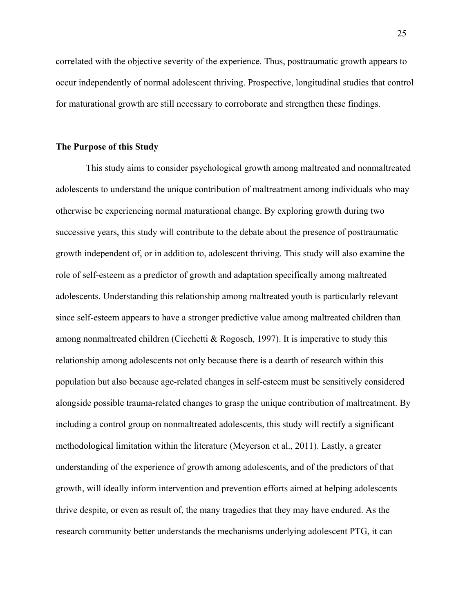correlated with the objective severity of the experience. Thus, posttraumatic growth appears to occur independently of normal adolescent thriving. Prospective, longitudinal studies that control for maturational growth are still necessary to corroborate and strengthen these findings.

#### **The Purpose of this Study**

This study aims to consider psychological growth among maltreated and nonmaltreated adolescents to understand the unique contribution of maltreatment among individuals who may otherwise be experiencing normal maturational change. By exploring growth during two successive years, this study will contribute to the debate about the presence of posttraumatic growth independent of, or in addition to, adolescent thriving. This study will also examine the role of self-esteem as a predictor of growth and adaptation specifically among maltreated adolescents. Understanding this relationship among maltreated youth is particularly relevant since self-esteem appears to have a stronger predictive value among maltreated children than among nonmaltreated children (Cicchetti & Rogosch, 1997). It is imperative to study this relationship among adolescents not only because there is a dearth of research within this population but also because age-related changes in self-esteem must be sensitively considered alongside possible trauma-related changes to grasp the unique contribution of maltreatment. By including a control group on nonmaltreated adolescents, this study will rectify a significant methodological limitation within the literature (Meyerson et al., 2011). Lastly, a greater understanding of the experience of growth among adolescents, and of the predictors of that growth, will ideally inform intervention and prevention efforts aimed at helping adolescents thrive despite, or even as result of, the many tragedies that they may have endured. As the research community better understands the mechanisms underlying adolescent PTG, it can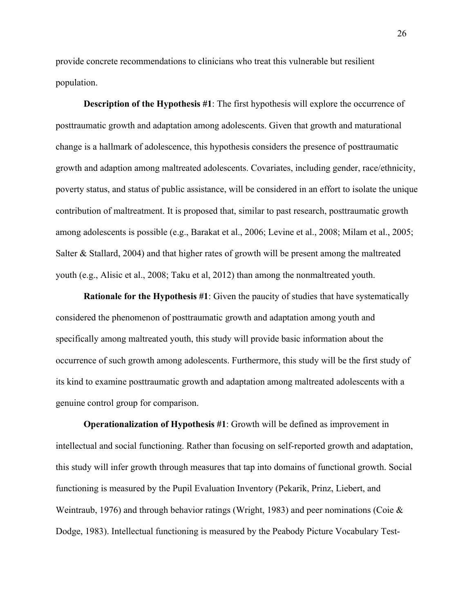provide concrete recommendations to clinicians who treat this vulnerable but resilient population.

**Description of the Hypothesis #1**: The first hypothesis will explore the occurrence of posttraumatic growth and adaptation among adolescents. Given that growth and maturational change is a hallmark of adolescence, this hypothesis considers the presence of posttraumatic growth and adaption among maltreated adolescents. Covariates, including gender, race/ethnicity, poverty status, and status of public assistance, will be considered in an effort to isolate the unique contribution of maltreatment. It is proposed that, similar to past research, posttraumatic growth among adolescents is possible (e.g., Barakat et al., 2006; Levine et al., 2008; Milam et al., 2005; Salter & Stallard, 2004) and that higher rates of growth will be present among the maltreated youth (e.g., Alisic et al., 2008; Taku et al, 2012) than among the nonmaltreated youth.

**Rationale for the Hypothesis #1**: Given the paucity of studies that have systematically considered the phenomenon of posttraumatic growth and adaptation among youth and specifically among maltreated youth, this study will provide basic information about the occurrence of such growth among adolescents. Furthermore, this study will be the first study of its kind to examine posttraumatic growth and adaptation among maltreated adolescents with a genuine control group for comparison.

**Operationalization of Hypothesis #1**: Growth will be defined as improvement in intellectual and social functioning. Rather than focusing on self-reported growth and adaptation, this study will infer growth through measures that tap into domains of functional growth. Social functioning is measured by the Pupil Evaluation Inventory (Pekarik, Prinz, Liebert, and Weintraub, 1976) and through behavior ratings (Wright, 1983) and peer nominations (Coie  $\&$ Dodge, 1983). Intellectual functioning is measured by the Peabody Picture Vocabulary Test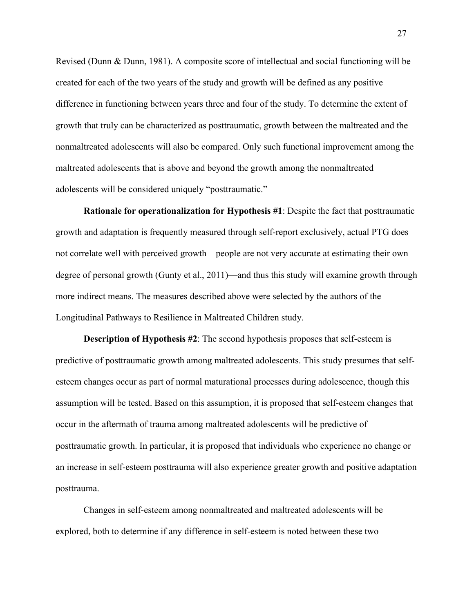Revised (Dunn & Dunn, 1981). A composite score of intellectual and social functioning will be created for each of the two years of the study and growth will be defined as any positive difference in functioning between years three and four of the study. To determine the extent of growth that truly can be characterized as posttraumatic, growth between the maltreated and the nonmaltreated adolescents will also be compared. Only such functional improvement among the maltreated adolescents that is above and beyond the growth among the nonmaltreated adolescents will be considered uniquely "posttraumatic."

**Rationale for operationalization for Hypothesis #1**: Despite the fact that posttraumatic growth and adaptation is frequently measured through self-report exclusively, actual PTG does not correlate well with perceived growth—people are not very accurate at estimating their own degree of personal growth (Gunty et al., 2011)—and thus this study will examine growth through more indirect means. The measures described above were selected by the authors of the Longitudinal Pathways to Resilience in Maltreated Children study.

**Description of Hypothesis #2**: The second hypothesis proposes that self-esteem is predictive of posttraumatic growth among maltreated adolescents. This study presumes that selfesteem changes occur as part of normal maturational processes during adolescence, though this assumption will be tested. Based on this assumption, it is proposed that self-esteem changes that occur in the aftermath of trauma among maltreated adolescents will be predictive of posttraumatic growth. In particular, it is proposed that individuals who experience no change or an increase in self-esteem posttrauma will also experience greater growth and positive adaptation posttrauma.

Changes in self-esteem among nonmaltreated and maltreated adolescents will be explored, both to determine if any difference in self-esteem is noted between these two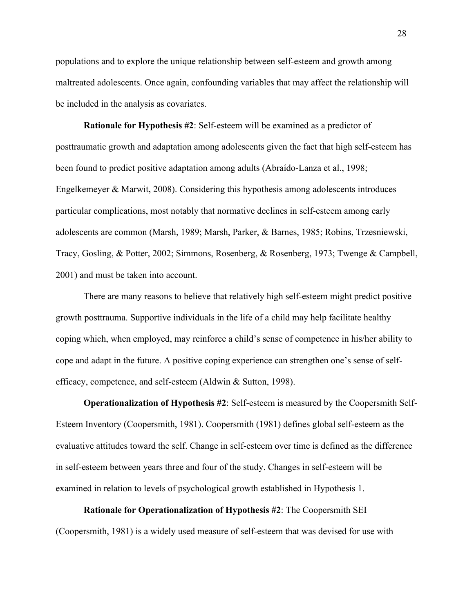populations and to explore the unique relationship between self-esteem and growth among maltreated adolescents. Once again, confounding variables that may affect the relationship will be included in the analysis as covariates.

**Rationale for Hypothesis #2**: Self-esteem will be examined as a predictor of posttraumatic growth and adaptation among adolescents given the fact that high self-esteem has been found to predict positive adaptation among adults (Abraído-Lanza et al., 1998; Engelkemeyer & Marwit, 2008). Considering this hypothesis among adolescents introduces particular complications, most notably that normative declines in self-esteem among early adolescents are common (Marsh, 1989; Marsh, Parker, & Barnes, 1985; Robins, Trzesniewski, Tracy, Gosling, & Potter, 2002; Simmons, Rosenberg, & Rosenberg, 1973; Twenge & Campbell, 2001) and must be taken into account.

There are many reasons to believe that relatively high self-esteem might predict positive growth posttrauma. Supportive individuals in the life of a child may help facilitate healthy coping which, when employed, may reinforce a child's sense of competence in his/her ability to cope and adapt in the future. A positive coping experience can strengthen one's sense of selfefficacy, competence, and self-esteem (Aldwin & Sutton, 1998).

**Operationalization of Hypothesis #2**: Self-esteem is measured by the Coopersmith Self-Esteem Inventory (Coopersmith, 1981). Coopersmith (1981) defines global self-esteem as the evaluative attitudes toward the self. Change in self-esteem over time is defined as the difference in self-esteem between years three and four of the study. Changes in self-esteem will be examined in relation to levels of psychological growth established in Hypothesis 1.

**Rationale for Operationalization of Hypothesis #2**: The Coopersmith SEI (Coopersmith, 1981) is a widely used measure of self-esteem that was devised for use with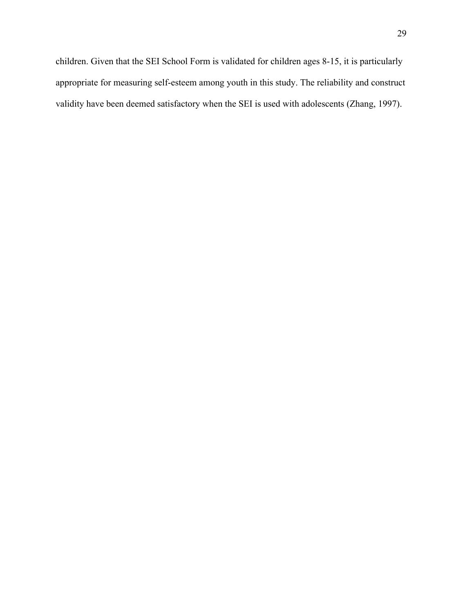validity have been deemed satisfactory when the SEI is used with adolescents (Zhang, 1997).

appropriate for measuring self-esteem among youth in this study. The reliability and construct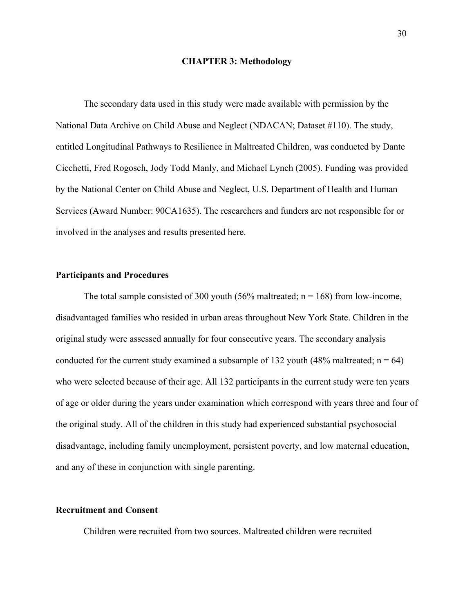#### **CHAPTER 3: Methodology**

The secondary data used in this study were made available with permission by the National Data Archive on Child Abuse and Neglect (NDACAN; Dataset #110). The study, entitled Longitudinal Pathways to Resilience in Maltreated Children, was conducted by Dante Cicchetti, Fred Rogosch, Jody Todd Manly, and Michael Lynch (2005). Funding was provided by the National Center on Child Abuse and Neglect, U.S. Department of Health and Human Services (Award Number: 90CA1635). The researchers and funders are not responsible for or involved in the analyses and results presented here.

## **Participants and Procedures**

The total sample consisted of 300 youth (56% maltreated;  $n = 168$ ) from low-income, disadvantaged families who resided in urban areas throughout New York State. Children in the original study were assessed annually for four consecutive years. The secondary analysis conducted for the current study examined a subsample of 132 youth (48% maltreated;  $n = 64$ ) who were selected because of their age. All 132 participants in the current study were ten years of age or older during the years under examination which correspond with years three and four of the original study. All of the children in this study had experienced substantial psychosocial disadvantage, including family unemployment, persistent poverty, and low maternal education, and any of these in conjunction with single parenting.

#### **Recruitment and Consent**

Children were recruited from two sources. Maltreated children were recruited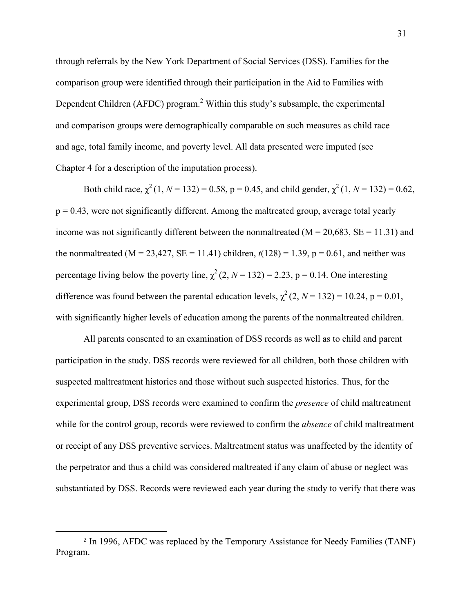through referrals by the New York Department of Social Services (DSS). Families for the comparison group were identified through their participation in the Aid to Families with Dependent Children (AFDC) program.<sup>2</sup> Within this study's subsample, the experimental and comparison groups were demographically comparable on such measures as child race and age, total family income, and poverty level. All data presented were imputed (see Chapter 4 for a description of the imputation process).

Both child race,  $\chi^2(1, N = 132) = 0.58$ ,  $p = 0.45$ , and child gender,  $\chi^2(1, N = 132) = 0.62$ ,  $p = 0.43$ , were not significantly different. Among the maltreated group, average total yearly income was not significantly different between the nonmaltreated ( $M = 20,683$ ,  $SE = 11.31$ ) and the nonmaltreated ( $M = 23,427$ ,  $SE = 11.41$ ) children,  $t(128) = 1.39$ ,  $p = 0.61$ , and neither was percentage living below the poverty line,  $\chi^2$  (2, *N* = 132) = 2.23, p = 0.14. One interesting difference was found between the parental education levels,  $\chi^2$  (2, *N* = 132) = 10.24, p = 0.01, with significantly higher levels of education among the parents of the nonmaltreated children.

All parents consented to an examination of DSS records as well as to child and parent participation in the study. DSS records were reviewed for all children, both those children with suspected maltreatment histories and those without such suspected histories. Thus, for the experimental group, DSS records were examined to confirm the *presence* of child maltreatment while for the control group, records were reviewed to confirm the *absence* of child maltreatment or receipt of any DSS preventive services. Maltreatment status was unaffected by the identity of the perpetrator and thus a child was considered maltreated if any claim of abuse or neglect was substantiated by DSS. Records were reviewed each year during the study to verify that there was

 

<sup>2</sup> In 1996, AFDC was replaced by the Temporary Assistance for Needy Families (TANF) Program.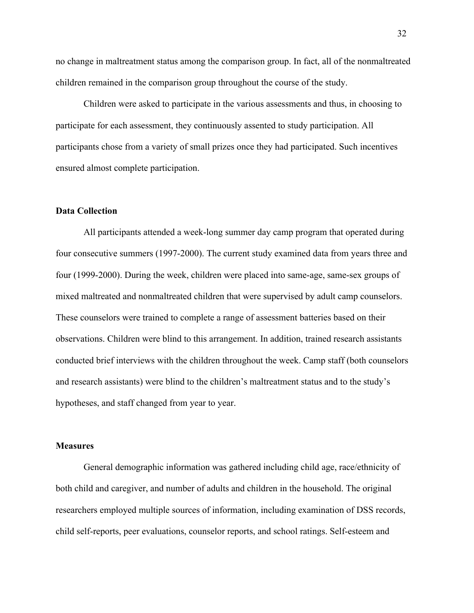no change in maltreatment status among the comparison group. In fact, all of the nonmaltreated children remained in the comparison group throughout the course of the study.

Children were asked to participate in the various assessments and thus, in choosing to participate for each assessment, they continuously assented to study participation. All participants chose from a variety of small prizes once they had participated. Such incentives ensured almost complete participation.

### **Data Collection**

All participants attended a week-long summer day camp program that operated during four consecutive summers (1997-2000). The current study examined data from years three and four (1999-2000). During the week, children were placed into same-age, same-sex groups of mixed maltreated and nonmaltreated children that were supervised by adult camp counselors. These counselors were trained to complete a range of assessment batteries based on their observations. Children were blind to this arrangement. In addition, trained research assistants conducted brief interviews with the children throughout the week. Camp staff (both counselors and research assistants) were blind to the children's maltreatment status and to the study's hypotheses, and staff changed from year to year.

### **Measures**

General demographic information was gathered including child age, race/ethnicity of both child and caregiver, and number of adults and children in the household. The original researchers employed multiple sources of information, including examination of DSS records, child self-reports, peer evaluations, counselor reports, and school ratings. Self-esteem and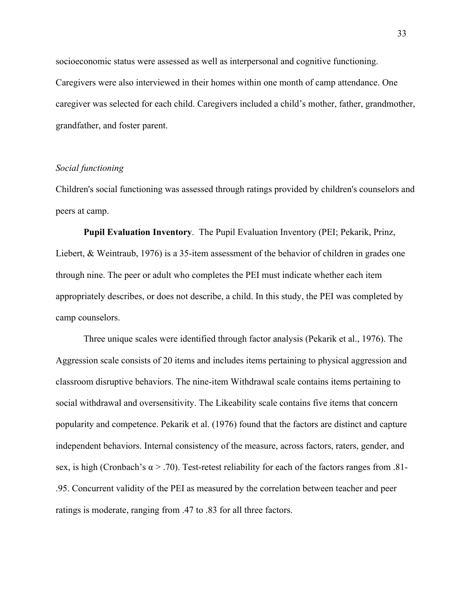socioeconomic status were assessed as well as interpersonal and cognitive functioning. Caregivers were also interviewed in their homes within one month of camp attendance. One caregiver was selected for each child. Caregivers included a child's mother, father, grandmother, grandfather, and foster parent.

# *Social functioning*

Children's social functioning was assessed through ratings provided by children's counselors and peers at camp.

**Pupil Evaluation Inventory**. The Pupil Evaluation Inventory (PEI; Pekarik, Prinz, Liebert, & Weintraub, 1976) is a 35-item assessment of the behavior of children in grades one through nine. The peer or adult who completes the PEI must indicate whether each item appropriately describes, or does not describe, a child. In this study, the PEI was completed by camp counselors.

Three unique scales were identified through factor analysis (Pekarik et al., 1976). The Aggression scale consists of 20 items and includes items pertaining to physical aggression and classroom disruptive behaviors. The nine-item Withdrawal scale contains items pertaining to social withdrawal and oversensitivity. The Likeability scale contains five items that concern popularity and competence. Pekarik et al. (1976) found that the factors are distinct and capture independent behaviors. Internal consistency of the measure, across factors, raters, gender, and sex, is high (Cronbach's  $\alpha$  > .70). Test-retest reliability for each of the factors ranges from .81-.95. Concurrent validity of the PEI as measured by the correlation between teacher and peer ratings is moderate, ranging from .47 to .83 for all three factors.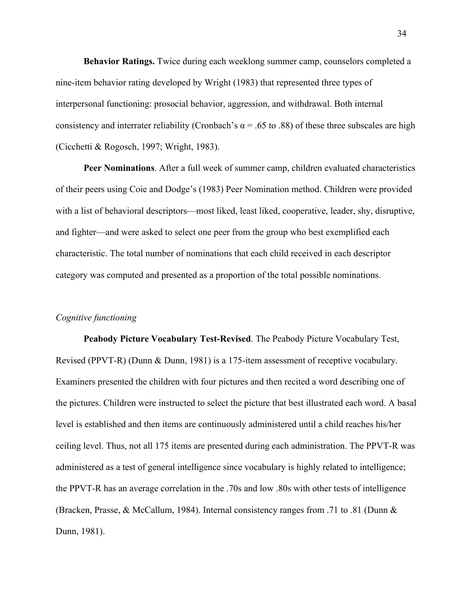**Behavior Ratings.** Twice during each weeklong summer camp, counselors completed a nine-item behavior rating developed by Wright (1983) that represented three types of interpersonal functioning: prosocial behavior, aggression, and withdrawal. Both internal consistency and interrater reliability (Cronbach's  $\alpha$  = .65 to .88) of these three subscales are high (Cicchetti & Rogosch, 1997; Wright, 1983).

**Peer Nominations**. After a full week of summer camp, children evaluated characteristics of their peers using Coie and Dodge's (1983) Peer Nomination method. Children were provided with a list of behavioral descriptors—most liked, least liked, cooperative, leader, shy, disruptive, and fighter—and were asked to select one peer from the group who best exemplified each characteristic. The total number of nominations that each child received in each descriptor category was computed and presented as a proportion of the total possible nominations.

# *Cognitive functioning*

**Peabody Picture Vocabulary Test-Revised**. The Peabody Picture Vocabulary Test, Revised (PPVT-R) (Dunn & Dunn, 1981) is a 175-item assessment of receptive vocabulary. Examiners presented the children with four pictures and then recited a word describing one of the pictures. Children were instructed to select the picture that best illustrated each word. A basal level is established and then items are continuously administered until a child reaches his/her ceiling level. Thus, not all 175 items are presented during each administration. The PPVT-R was administered as a test of general intelligence since vocabulary is highly related to intelligence; the PPVT-R has an average correlation in the .70s and low .80s with other tests of intelligence (Bracken, Prasse, & McCallum, 1984). Internal consistency ranges from .71 to .81 (Dunn & Dunn, 1981).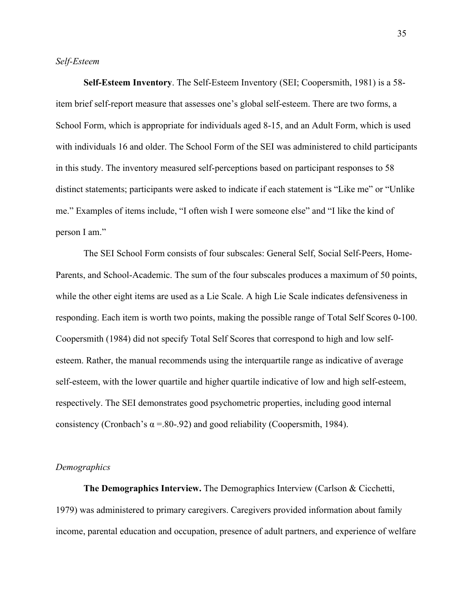### *Self-Esteem*

**Self-Esteem Inventory**. The Self-Esteem Inventory (SEI; Coopersmith, 1981) is a 58 item brief self-report measure that assesses one's global self-esteem. There are two forms, a School Form, which is appropriate for individuals aged 8-15, and an Adult Form, which is used with individuals 16 and older. The School Form of the SEI was administered to child participants in this study. The inventory measured self-perceptions based on participant responses to 58 distinct statements; participants were asked to indicate if each statement is "Like me" or "Unlike me." Examples of items include, "I often wish I were someone else" and "I like the kind of person I am."

The SEI School Form consists of four subscales: General Self, Social Self-Peers, Home-Parents, and School-Academic. The sum of the four subscales produces a maximum of 50 points, while the other eight items are used as a Lie Scale. A high Lie Scale indicates defensiveness in responding. Each item is worth two points, making the possible range of Total Self Scores 0-100. Coopersmith (1984) did not specify Total Self Scores that correspond to high and low selfesteem. Rather, the manual recommends using the interquartile range as indicative of average self-esteem, with the lower quartile and higher quartile indicative of low and high self-esteem, respectively. The SEI demonstrates good psychometric properties, including good internal consistency (Cronbach's  $\alpha$  =.80-.92) and good reliability (Coopersmith, 1984).

### *Demographics*

**The Demographics Interview.** The Demographics Interview (Carlson & Cicchetti, 1979) was administered to primary caregivers. Caregivers provided information about family income, parental education and occupation, presence of adult partners, and experience of welfare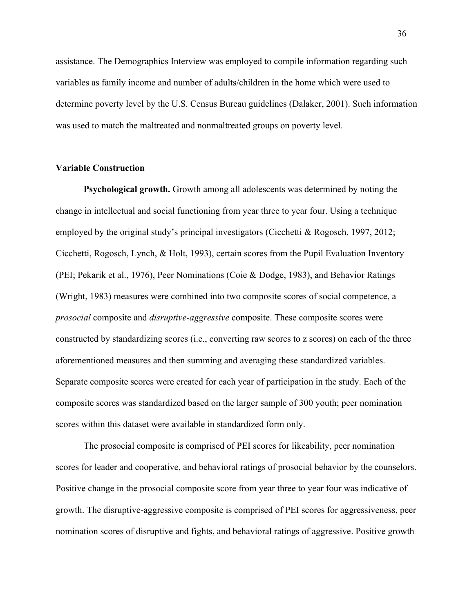assistance. The Demographics Interview was employed to compile information regarding such variables as family income and number of adults/children in the home which were used to determine poverty level by the U.S. Census Bureau guidelines (Dalaker, 2001). Such information was used to match the maltreated and nonmaltreated groups on poverty level.

### **Variable Construction**

**Psychological growth.** Growth among all adolescents was determined by noting the change in intellectual and social functioning from year three to year four. Using a technique employed by the original study's principal investigators (Cicchetti & Rogosch, 1997, 2012; Cicchetti, Rogosch, Lynch, & Holt, 1993), certain scores from the Pupil Evaluation Inventory (PEI; Pekarik et al., 1976), Peer Nominations (Coie & Dodge, 1983), and Behavior Ratings (Wright, 1983) measures were combined into two composite scores of social competence, a *prosocial* composite and *disruptive-aggressive* composite. These composite scores were constructed by standardizing scores (i.e., converting raw scores to z scores) on each of the three aforementioned measures and then summing and averaging these standardized variables. Separate composite scores were created for each year of participation in the study. Each of the composite scores was standardized based on the larger sample of 300 youth; peer nomination scores within this dataset were available in standardized form only.

The prosocial composite is comprised of PEI scores for likeability, peer nomination scores for leader and cooperative, and behavioral ratings of prosocial behavior by the counselors. Positive change in the prosocial composite score from year three to year four was indicative of growth. The disruptive-aggressive composite is comprised of PEI scores for aggressiveness, peer nomination scores of disruptive and fights, and behavioral ratings of aggressive. Positive growth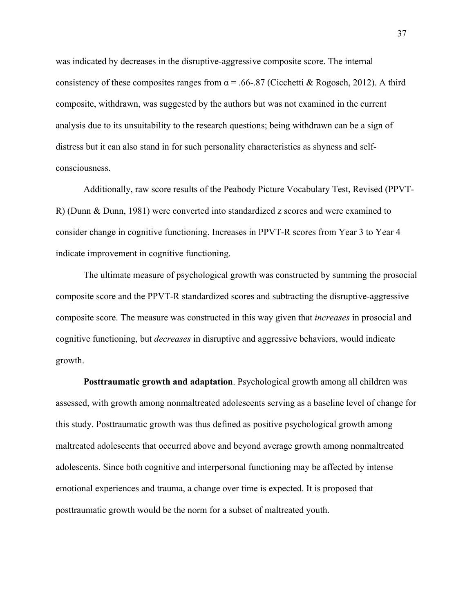was indicated by decreases in the disruptive-aggressive composite score. The internal consistency of these composites ranges from  $\alpha$  = .66-.87 (Cicchetti & Rogosch, 2012). A third composite, withdrawn, was suggested by the authors but was not examined in the current analysis due to its unsuitability to the research questions; being withdrawn can be a sign of distress but it can also stand in for such personality characteristics as shyness and selfconsciousness.

Additionally, raw score results of the Peabody Picture Vocabulary Test, Revised (PPVT-R) (Dunn & Dunn, 1981) were converted into standardized z scores and were examined to consider change in cognitive functioning. Increases in PPVT-R scores from Year 3 to Year 4 indicate improvement in cognitive functioning.

The ultimate measure of psychological growth was constructed by summing the prosocial composite score and the PPVT-R standardized scores and subtracting the disruptive-aggressive composite score. The measure was constructed in this way given that *increases* in prosocial and cognitive functioning, but *decreases* in disruptive and aggressive behaviors, would indicate growth.

**Posttraumatic growth and adaptation**. Psychological growth among all children was assessed, with growth among nonmaltreated adolescents serving as a baseline level of change for this study. Posttraumatic growth was thus defined as positive psychological growth among maltreated adolescents that occurred above and beyond average growth among nonmaltreated adolescents. Since both cognitive and interpersonal functioning may be affected by intense emotional experiences and trauma, a change over time is expected. It is proposed that posttraumatic growth would be the norm for a subset of maltreated youth.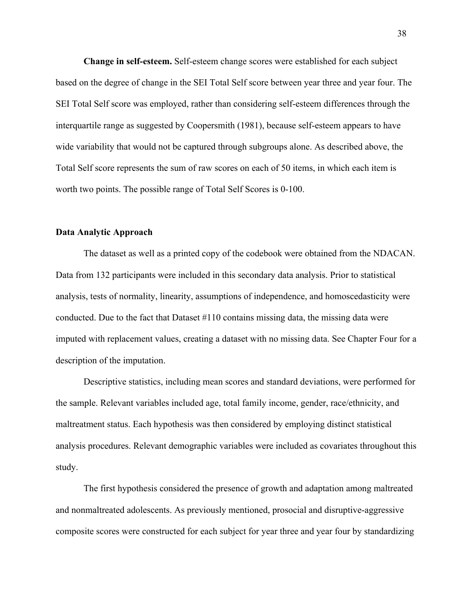**Change in self-esteem.** Self-esteem change scores were established for each subject based on the degree of change in the SEI Total Self score between year three and year four. The SEI Total Self score was employed, rather than considering self-esteem differences through the interquartile range as suggested by Coopersmith (1981), because self-esteem appears to have wide variability that would not be captured through subgroups alone. As described above, the Total Self score represents the sum of raw scores on each of 50 items, in which each item is worth two points. The possible range of Total Self Scores is 0-100.

## **Data Analytic Approach**

The dataset as well as a printed copy of the codebook were obtained from the NDACAN. Data from 132 participants were included in this secondary data analysis. Prior to statistical analysis, tests of normality, linearity, assumptions of independence, and homoscedasticity were conducted. Due to the fact that Dataset #110 contains missing data, the missing data were imputed with replacement values, creating a dataset with no missing data. See Chapter Four for a description of the imputation.

Descriptive statistics, including mean scores and standard deviations, were performed for the sample. Relevant variables included age, total family income, gender, race/ethnicity, and maltreatment status. Each hypothesis was then considered by employing distinct statistical analysis procedures. Relevant demographic variables were included as covariates throughout this study.

The first hypothesis considered the presence of growth and adaptation among maltreated and nonmaltreated adolescents. As previously mentioned, prosocial and disruptive-aggressive composite scores were constructed for each subject for year three and year four by standardizing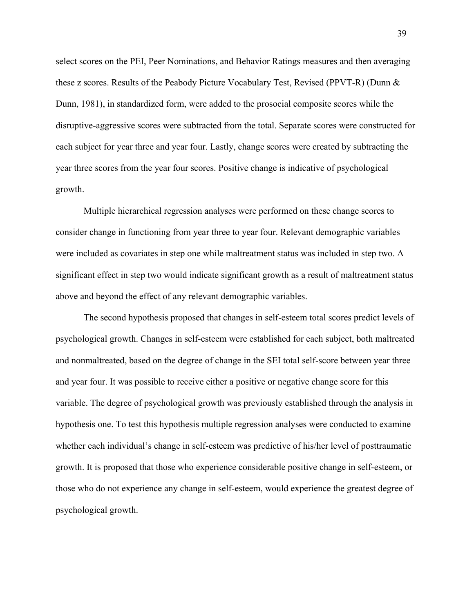select scores on the PEI, Peer Nominations, and Behavior Ratings measures and then averaging these z scores. Results of the Peabody Picture Vocabulary Test, Revised (PPVT-R) (Dunn & Dunn, 1981), in standardized form, were added to the prosocial composite scores while the disruptive-aggressive scores were subtracted from the total. Separate scores were constructed for each subject for year three and year four. Lastly, change scores were created by subtracting the year three scores from the year four scores. Positive change is indicative of psychological growth.

Multiple hierarchical regression analyses were performed on these change scores to consider change in functioning from year three to year four. Relevant demographic variables were included as covariates in step one while maltreatment status was included in step two. A significant effect in step two would indicate significant growth as a result of maltreatment status above and beyond the effect of any relevant demographic variables.

The second hypothesis proposed that changes in self-esteem total scores predict levels of psychological growth. Changes in self-esteem were established for each subject, both maltreated and nonmaltreated, based on the degree of change in the SEI total self-score between year three and year four. It was possible to receive either a positive or negative change score for this variable. The degree of psychological growth was previously established through the analysis in hypothesis one. To test this hypothesis multiple regression analyses were conducted to examine whether each individual's change in self-esteem was predictive of his/her level of posttraumatic growth. It is proposed that those who experience considerable positive change in self-esteem, or those who do not experience any change in self-esteem, would experience the greatest degree of psychological growth.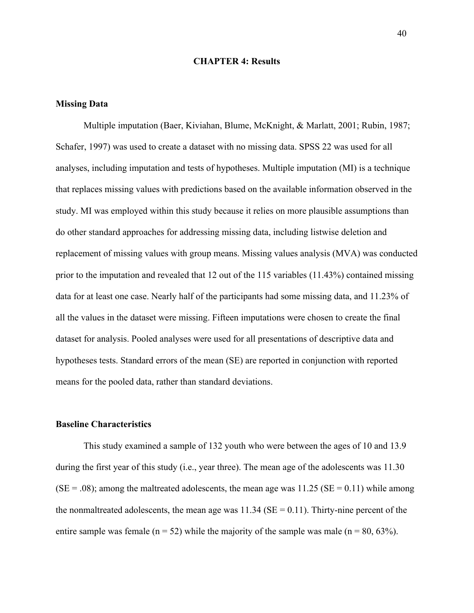## **CHAPTER 4: Results**

### **Missing Data**

Multiple imputation (Baer, Kiviahan, Blume, McKnight, & Marlatt, 2001; Rubin, 1987; Schafer, 1997) was used to create a dataset with no missing data. SPSS 22 was used for all analyses, including imputation and tests of hypotheses. Multiple imputation (MI) is a technique that replaces missing values with predictions based on the available information observed in the study. MI was employed within this study because it relies on more plausible assumptions than do other standard approaches for addressing missing data, including listwise deletion and replacement of missing values with group means. Missing values analysis (MVA) was conducted prior to the imputation and revealed that 12 out of the 115 variables (11.43%) contained missing data for at least one case. Nearly half of the participants had some missing data, and 11.23% of all the values in the dataset were missing. Fifteen imputations were chosen to create the final dataset for analysis. Pooled analyses were used for all presentations of descriptive data and hypotheses tests. Standard errors of the mean (SE) are reported in conjunction with reported means for the pooled data, rather than standard deviations.

#### **Baseline Characteristics**

This study examined a sample of 132 youth who were between the ages of 10 and 13.9 during the first year of this study (i.e., year three). The mean age of the adolescents was 11.30  $(SE = .08)$ ; among the maltreated adolescents, the mean age was 11.25  $(SE = 0.11)$  while among the nonmaltreated adolescents, the mean age was  $11.34$  (SE = 0.11). Thirty-nine percent of the entire sample was female ( $n = 52$ ) while the majority of the sample was male ( $n = 80, 63\%$ ).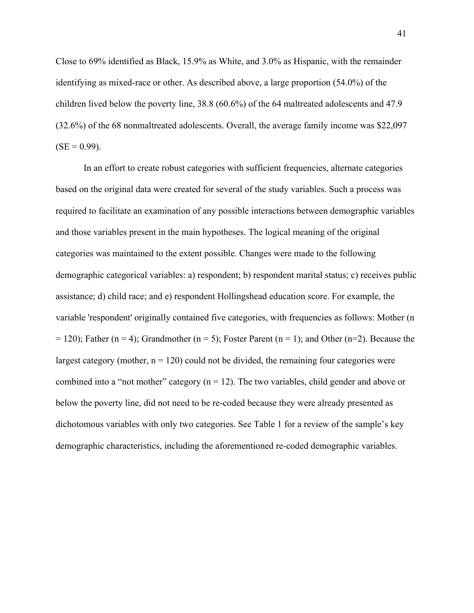Close to 69% identified as Black, 15.9% as White, and 3.0% as Hispanic, with the remainder identifying as mixed-race or other. As described above, a large proportion (54.0%) of the children lived below the poverty line, 38.8 (60.6%) of the 64 maltreated adolescents and 47.9 (32.6%) of the 68 nonmaltreated adolescents. Overall, the average family income was \$22,097  $(SE = 0.99)$ .

In an effort to create robust categories with sufficient frequencies, alternate categories based on the original data were created for several of the study variables. Such a process was required to facilitate an examination of any possible interactions between demographic variables and those variables present in the main hypotheses. The logical meaning of the original categories was maintained to the extent possible. Changes were made to the following demographic categorical variables: a) respondent; b) respondent marital status; c) receives public assistance; d) child race; and e) respondent Hollingshead education score. For example, the variable 'respondent' originally contained five categories, with frequencies as follows: Mother (n  $= 120$ ); Father (n = 4); Grandmother (n = 5); Foster Parent (n = 1); and Other (n=2). Because the largest category (mother,  $n = 120$ ) could not be divided, the remaining four categories were combined into a "not mother" category ( $n = 12$ ). The two variables, child gender and above or below the poverty line, did not need to be re-coded because they were already presented as dichotomous variables with only two categories. See Table 1 for a review of the sample's key demographic characteristics, including the aforementioned re-coded demographic variables.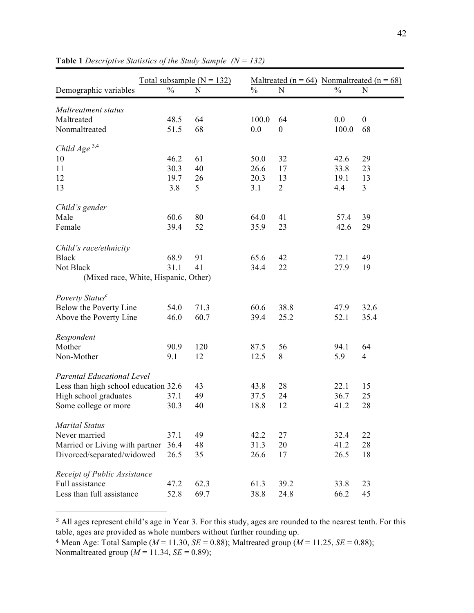|                                      | Total subsample $(N = 132)$ |      | Maltreated ( $n = 64$ ) Nonmaltreated ( $n = 68$ ) |                  |               |                  |
|--------------------------------------|-----------------------------|------|----------------------------------------------------|------------------|---------------|------------------|
| Demographic variables                | $\frac{0}{0}$               | N    | $\frac{0}{0}$                                      | N                | $\frac{0}{0}$ | N                |
|                                      |                             |      |                                                    |                  |               |                  |
| Maltreatment status<br>Maltreated    |                             |      |                                                    |                  |               |                  |
|                                      | 48.5                        | 64   | 100.0                                              | 64               | 0.0           | $\boldsymbol{0}$ |
| Nonmaltreated                        | 51.5                        | 68   | 0.0                                                | $\boldsymbol{0}$ | 100.0         | 68               |
| Child $Age$ <sup>3,4</sup>           |                             |      |                                                    |                  |               |                  |
| 10                                   | 46.2                        | 61   | 50.0                                               | 32               | 42.6          | 29               |
| 11                                   | 30.3                        | 40   | 26.6                                               | 17               | 33.8          | 23               |
| 12                                   | 19.7                        | 26   | 20.3                                               | 13               | 19.1          | 13               |
| 13                                   | 3.8                         | 5    | 3.1                                                | $\overline{2}$   | 4.4           | $\overline{3}$   |
| Child's gender                       |                             |      |                                                    |                  |               |                  |
| Male                                 | 60.6                        | 80   | 64.0                                               | 41               | 57.4          | 39               |
| Female                               | 39.4                        | 52   | 35.9                                               | 23               | 42.6          | 29               |
|                                      |                             |      |                                                    |                  |               |                  |
| Child's race/ethnicity               |                             |      |                                                    |                  |               |                  |
| <b>Black</b>                         | 68.9                        | 91   | 65.6                                               | 42               | 72.1          | 49               |
| Not Black                            | 31.1                        | 41   | 34.4                                               | 22               | 27.9          | 19               |
| (Mixed race, White, Hispanic, Other) |                             |      |                                                    |                  |               |                  |
| Poverty Status <sup>c</sup>          |                             |      |                                                    |                  |               |                  |
| Below the Poverty Line               | 54.0                        | 71.3 | 60.6                                               | 38.8             | 47.9          | 32.6             |
|                                      | 46.0                        | 60.7 | 39.4                                               | 25.2             | 52.1          | 35.4             |
| Above the Poverty Line               |                             |      |                                                    |                  |               |                  |
| Respondent                           |                             |      |                                                    |                  |               |                  |
| Mother                               | 90.9                        | 120  | 87.5                                               | 56               | 94.1          | 64               |
| Non-Mother                           | 9.1                         | 12   | 12.5                                               | 8                | 5.9           | $\overline{4}$   |
|                                      |                             |      |                                                    |                  |               |                  |
| <b>Parental Educational Level</b>    |                             |      |                                                    |                  |               |                  |
| Less than high school education 32.6 |                             | 43   | 43.8                                               | 28               | 22.1          | 15               |
| High school graduates                | 37.1                        | 49   | 37.5                                               | 24               | 36.7          | 25               |
| Some college or more                 | 30.3                        | 40   | 18.8                                               | 12               | 41.2          | 28               |
| <b>Marital Status</b>                |                             |      |                                                    |                  |               |                  |
| Never married                        | 37.1                        | 49   | 42.2                                               | 27               | 32.4          | 22               |
| Married or Living with partner       | 36.4                        | 48   | 31.3                                               | 20               | 41.2          | 28               |
| Divorced/separated/widowed           | 26.5                        | 35   | 26.6                                               | 17               | 26.5          | 18               |
|                                      |                             |      |                                                    |                  |               |                  |
| Receipt of Public Assistance         |                             |      |                                                    |                  |               |                  |
| Full assistance                      | 47.2                        | 62.3 | 61.3                                               | 39.2             | 33.8          | 23               |
| Less than full assistance            | 52.8                        | 69.7 | 38.8                                               | 24.8             | 66.2          | 45               |

**Table 1** *Descriptive Statistics of the Study Sample (N = 132)*

<sup>3</sup> All ages represent child's age in Year 3. For this study, ages are rounded to the nearest tenth. For this table, ages are provided as whole numbers without further rounding up.

 

<sup>&</sup>lt;sup>4</sup> Mean Age: Total Sample ( $M = 11.30$ ,  $SE = 0.88$ ); Maltreated group ( $M = 11.25$ ,  $SE = 0.88$ ); Nonmaltreated group  $(M = 11.34, SE = 0.89)$ ;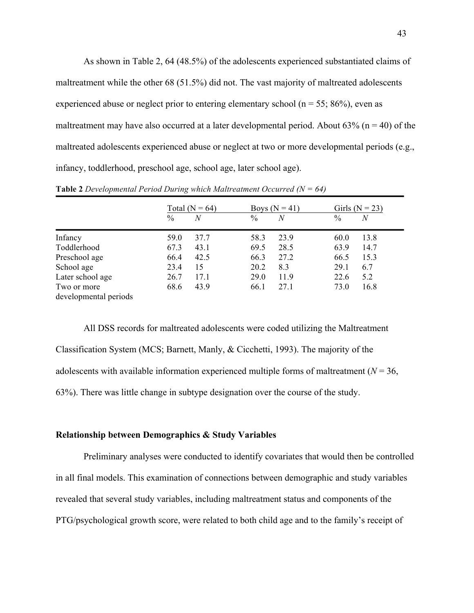As shown in Table 2, 64 (48.5%) of the adolescents experienced substantiated claims of maltreatment while the other 68 (51.5%) did not. The vast majority of maltreated adolescents experienced abuse or neglect prior to entering elementary school ( $n = 55$ ; 86%), even as maltreatment may have also occurred at a later developmental period. About  $63\%$  (n = 40) of the maltreated adolescents experienced abuse or neglect at two or more developmental periods (e.g., infancy, toddlerhood, preschool age, school age, later school age).

|                       | $\frac{0}{0}$ | Total ( $N = 64$ )<br>N | $\frac{0}{0}$ | Boys $(N = 41)$<br>N | $\frac{0}{0}$ | Girls ( $N = 23$ )<br>$\boldsymbol{N}$ |
|-----------------------|---------------|-------------------------|---------------|----------------------|---------------|----------------------------------------|
| Infancy               | 59.0          | 37.7                    | 58.3          | 23.9                 | 60.0          | 13.8                                   |
| Toddlerhood           | 67.3          | 43.1                    | 69.5          | 28.5                 | 63.9          | 14.7                                   |
| Preschool age         | 66.4          | 42.5                    | 66.3          | 27.2                 | 66.5          | 15.3                                   |
| School age            | 23.4          | 15                      | 20.2          | 8.3                  | 29.1          | 6.7                                    |
| Later school age      | 26.7          | 17.1                    | 29.0          | 11.9                 | 22.6          | 5.2                                    |
| Two or more           | 68.6          | 43.9                    | 66.1          | 27.1                 | 73.0          | 16.8                                   |
| developmental periods |               |                         |               |                      |               |                                        |

**Table 2** *Developmental Period During which Maltreatment Occurred (N = 64)*

All DSS records for maltreated adolescents were coded utilizing the Maltreatment Classification System (MCS; Barnett, Manly, & Cicchetti, 1993). The majority of the adolescents with available information experienced multiple forms of maltreatment ( $N = 36$ , 63%). There was little change in subtype designation over the course of the study.

# **Relationship between Demographics & Study Variables**

Preliminary analyses were conducted to identify covariates that would then be controlled in all final models. This examination of connections between demographic and study variables revealed that several study variables, including maltreatment status and components of the PTG/psychological growth score, were related to both child age and to the family's receipt of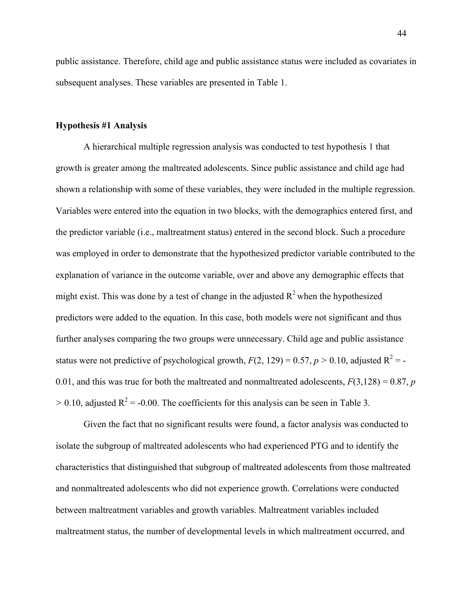public assistance. Therefore, child age and public assistance status were included as covariates in subsequent analyses. These variables are presented in Table 1.

## **Hypothesis #1 Analysis**

A hierarchical multiple regression analysis was conducted to test hypothesis 1 that growth is greater among the maltreated adolescents. Since public assistance and child age had shown a relationship with some of these variables, they were included in the multiple regression. Variables were entered into the equation in two blocks, with the demographics entered first, and the predictor variable (i.e., maltreatment status) entered in the second block. Such a procedure was employed in order to demonstrate that the hypothesized predictor variable contributed to the explanation of variance in the outcome variable, over and above any demographic effects that might exist. This was done by a test of change in the adjusted  $R^2$  when the hypothesized predictors were added to the equation. In this case, both models were not significant and thus further analyses comparing the two groups were unnecessary. Child age and public assistance status were not predictive of psychological growth,  $F(2, 129) = 0.57$ ,  $p > 0.10$ , adjusted  $R^2 = -1$ 0.01, and this was true for both the maltreated and nonmaltreated adolescents,  $F(3,128) = 0.87$ , *p*  $> 0.10$ , adjusted R<sup>2</sup> = -0.00. The coefficients for this analysis can be seen in Table 3.

Given the fact that no significant results were found, a factor analysis was conducted to isolate the subgroup of maltreated adolescents who had experienced PTG and to identify the characteristics that distinguished that subgroup of maltreated adolescents from those maltreated and nonmaltreated adolescents who did not experience growth. Correlations were conducted between maltreatment variables and growth variables. Maltreatment variables included maltreatment status, the number of developmental levels in which maltreatment occurred, and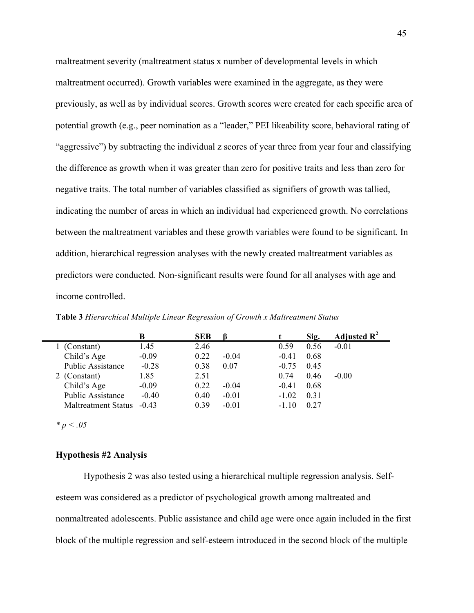maltreatment severity (maltreatment status x number of developmental levels in which maltreatment occurred). Growth variables were examined in the aggregate, as they were previously, as well as by individual scores. Growth scores were created for each specific area of potential growth (e.g., peer nomination as a "leader," PEI likeability score, behavioral rating of "aggressive") by subtracting the individual z scores of year three from year four and classifying the difference as growth when it was greater than zero for positive traits and less than zero for negative traits. The total number of variables classified as signifiers of growth was tallied, indicating the number of areas in which an individual had experienced growth. No correlations between the maltreatment variables and these growth variables were found to be significant. In addition, hierarchical regression analyses with the newly created maltreatment variables as predictors were conducted. Non-significant results were found for all analyses with age and income controlled.

|                            | B       | <b>SEB</b> |         |         | Sig. | Adjusted $\mathbb{R}^2$ |
|----------------------------|---------|------------|---------|---------|------|-------------------------|
| 1 (Constant)               | 1.45    | 2.46       |         | 0.59    | 0.56 | $-0.01$                 |
| Child's Age                | $-0.09$ | 0.22       | $-0.04$ | $-0.41$ | 0.68 |                         |
| <b>Public Assistance</b>   | $-0.28$ | 0.38       | 0.07    | $-0.75$ | 0.45 |                         |
| 2 (Constant)               | 1.85    | 2.51       |         | 0.74    | 0.46 | $-0.00$                 |
| Child's Age                | $-0.09$ | 0.22       | $-0.04$ | $-0.41$ | 0.68 |                         |
| <b>Public Assistance</b>   | $-0.40$ | 0.40       | $-0.01$ | $-1.02$ | 0.31 |                         |
| <b>Maltreatment Status</b> | $-0.43$ | 0.39       | $-0.01$ | $-1.10$ | 0.27 |                         |

**Table 3** *Hierarchical Multiple Linear Regression of Growth x Maltreatment Status*

*\* p < .05*

## **Hypothesis #2 Analysis**

Hypothesis 2 was also tested using a hierarchical multiple regression analysis. Selfesteem was considered as a predictor of psychological growth among maltreated and nonmaltreated adolescents. Public assistance and child age were once again included in the first block of the multiple regression and self-esteem introduced in the second block of the multiple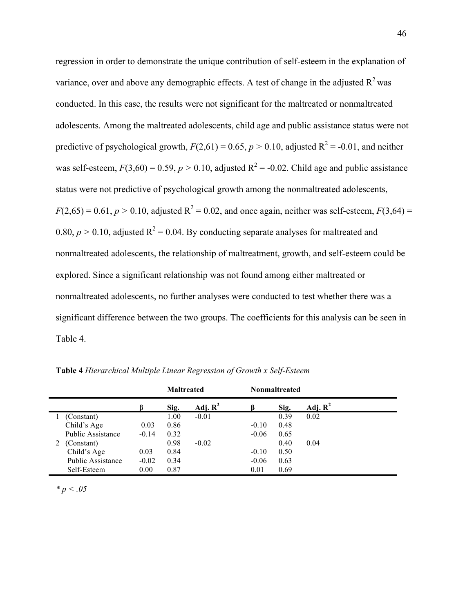regression in order to demonstrate the unique contribution of self-esteem in the explanation of variance, over and above any demographic effects. A test of change in the adjusted  $R^2$  was conducted. In this case, the results were not significant for the maltreated or nonmaltreated adolescents. Among the maltreated adolescents, child age and public assistance status were not predictive of psychological growth,  $F(2,61) = 0.65$ ,  $p > 0.10$ , adjusted  $R^2 = -0.01$ , and neither was self-esteem,  $F(3,60) = 0.59$ ,  $p > 0.10$ , adjusted  $R^2 = -0.02$ . Child age and public assistance status were not predictive of psychological growth among the nonmaltreated adolescents,  $F(2,65) = 0.61, p > 0.10$ , adjusted  $R^2 = 0.02$ , and once again, neither was self-esteem,  $F(3,64) =$ 0.80,  $p > 0.10$ , adjusted  $R^2 = 0.04$ . By conducting separate analyses for maltreated and nonmaltreated adolescents, the relationship of maltreatment, growth, and self-esteem could be explored. Since a significant relationship was not found among either maltreated or nonmaltreated adolescents, no further analyses were conducted to test whether there was a significant difference between the two groups. The coefficients for this analysis can be seen in Table 4.

|                          |         | <b>Maltreated</b> |                     |         | <b>Nonmaltreated</b> |            |
|--------------------------|---------|-------------------|---------------------|---------|----------------------|------------|
|                          |         | Sig.              | Adj. $\mathbf{R}^2$ |         | Sig.                 | Adj. $R^2$ |
| (Constant)               |         | 1.00              | $-0.01$             |         | 0.39                 | 0.02       |
| Child's Age              | 0.03    | 0.86              |                     | $-0.10$ | 0.48                 |            |
| <b>Public Assistance</b> | $-0.14$ | 0.32              |                     | $-0.06$ | 0.65                 |            |
| (Constant)               |         | 0.98              | $-0.02$             |         | 0.40                 | 0.04       |
| Child's Age              | 0.03    | 0.84              |                     | $-0.10$ | 0.50                 |            |
| <b>Public Assistance</b> | $-0.02$ | 0.34              |                     | $-0.06$ | 0.63                 |            |
| Self-Esteem              | 0.00    | 0.87              |                     | 0.01    | 0.69                 |            |

**Table 4** *Hierarchical Multiple Linear Regression of Growth x Self-Esteem* 

*\* p < .05*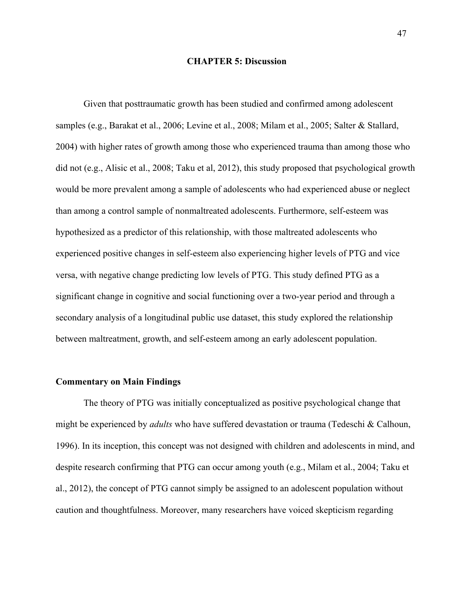### **CHAPTER 5: Discussion**

Given that posttraumatic growth has been studied and confirmed among adolescent samples (e.g., Barakat et al., 2006; Levine et al., 2008; Milam et al., 2005; Salter & Stallard, 2004) with higher rates of growth among those who experienced trauma than among those who did not (e.g., Alisic et al., 2008; Taku et al, 2012), this study proposed that psychological growth would be more prevalent among a sample of adolescents who had experienced abuse or neglect than among a control sample of nonmaltreated adolescents. Furthermore, self-esteem was hypothesized as a predictor of this relationship, with those maltreated adolescents who experienced positive changes in self-esteem also experiencing higher levels of PTG and vice versa, with negative change predicting low levels of PTG. This study defined PTG as a significant change in cognitive and social functioning over a two-year period and through a secondary analysis of a longitudinal public use dataset, this study explored the relationship between maltreatment, growth, and self-esteem among an early adolescent population.

### **Commentary on Main Findings**

The theory of PTG was initially conceptualized as positive psychological change that might be experienced by *adults* who have suffered devastation or trauma (Tedeschi & Calhoun, 1996). In its inception, this concept was not designed with children and adolescents in mind, and despite research confirming that PTG can occur among youth (e.g., Milam et al., 2004; Taku et al., 2012), the concept of PTG cannot simply be assigned to an adolescent population without caution and thoughtfulness. Moreover, many researchers have voiced skepticism regarding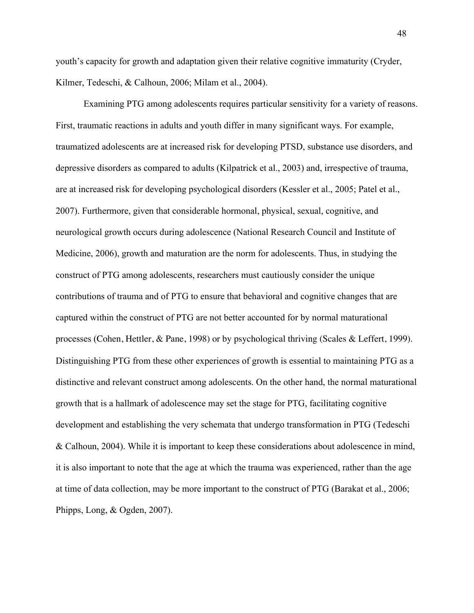youth's capacity for growth and adaptation given their relative cognitive immaturity (Cryder, Kilmer, Tedeschi, & Calhoun, 2006; Milam et al., 2004).

Examining PTG among adolescents requires particular sensitivity for a variety of reasons. First, traumatic reactions in adults and youth differ in many significant ways. For example, traumatized adolescents are at increased risk for developing PTSD, substance use disorders, and depressive disorders as compared to adults (Kilpatrick et al., 2003) and, irrespective of trauma, are at increased risk for developing psychological disorders (Kessler et al., 2005; Patel et al., 2007). Furthermore, given that considerable hormonal, physical, sexual, cognitive, and neurological growth occurs during adolescence (National Research Council and Institute of Medicine, 2006), growth and maturation are the norm for adolescents. Thus, in studying the construct of PTG among adolescents, researchers must cautiously consider the unique contributions of trauma and of PTG to ensure that behavioral and cognitive changes that are captured within the construct of PTG are not better accounted for by normal maturational processes (Cohen, Hettler, & Pane, 1998) or by psychological thriving (Scales & Leffert, 1999). Distinguishing PTG from these other experiences of growth is essential to maintaining PTG as a distinctive and relevant construct among adolescents. On the other hand, the normal maturational growth that is a hallmark of adolescence may set the stage for PTG, facilitating cognitive development and establishing the very schemata that undergo transformation in PTG (Tedeschi & Calhoun, 2004). While it is important to keep these considerations about adolescence in mind, it is also important to note that the age at which the trauma was experienced, rather than the age at time of data collection, may be more important to the construct of PTG (Barakat et al., 2006; Phipps, Long, & Ogden, 2007).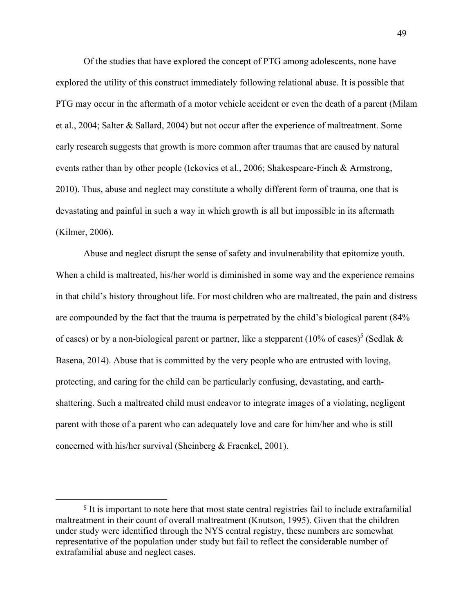Of the studies that have explored the concept of PTG among adolescents, none have explored the utility of this construct immediately following relational abuse. It is possible that PTG may occur in the aftermath of a motor vehicle accident or even the death of a parent (Milam et al., 2004; Salter & Sallard, 2004) but not occur after the experience of maltreatment. Some early research suggests that growth is more common after traumas that are caused by natural events rather than by other people (Ickovics et al., 2006; Shakespeare-Finch & Armstrong, 2010). Thus, abuse and neglect may constitute a wholly different form of trauma, one that is devastating and painful in such a way in which growth is all but impossible in its aftermath (Kilmer, 2006).

Abuse and neglect disrupt the sense of safety and invulnerability that epitomize youth. When a child is maltreated, his/her world is diminished in some way and the experience remains in that child's history throughout life. For most children who are maltreated, the pain and distress are compounded by the fact that the trauma is perpetrated by the child's biological parent (84% of cases) or by a non-biological parent or partner, like a stepparent (10% of cases)<sup>5</sup> (Sedlak  $\&$ Basena, 2014). Abuse that is committed by the very people who are entrusted with loving, protecting, and caring for the child can be particularly confusing, devastating, and earthshattering. Such a maltreated child must endeavor to integrate images of a violating, negligent parent with those of a parent who can adequately love and care for him/her and who is still concerned with his/her survival (Sheinberg & Fraenkel, 2001).

 

<sup>5</sup> It is important to note here that most state central registries fail to include extrafamilial maltreatment in their count of overall maltreatment (Knutson, 1995). Given that the children under study were identified through the NYS central registry, these numbers are somewhat representative of the population under study but fail to reflect the considerable number of extrafamilial abuse and neglect cases.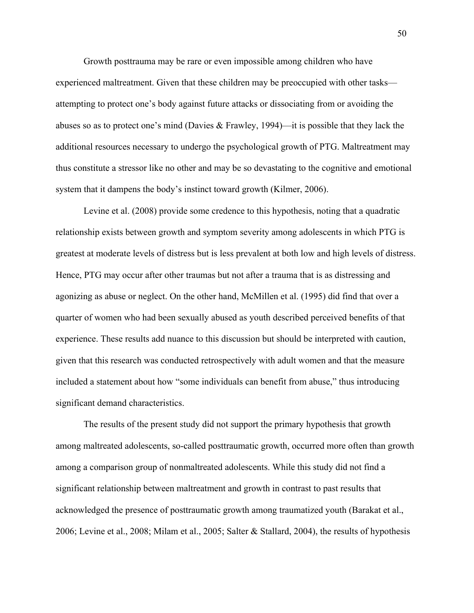Growth posttrauma may be rare or even impossible among children who have experienced maltreatment. Given that these children may be preoccupied with other tasks attempting to protect one's body against future attacks or dissociating from or avoiding the abuses so as to protect one's mind (Davies & Frawley, 1994)—it is possible that they lack the additional resources necessary to undergo the psychological growth of PTG. Maltreatment may thus constitute a stressor like no other and may be so devastating to the cognitive and emotional system that it dampens the body's instinct toward growth (Kilmer, 2006).

Levine et al. (2008) provide some credence to this hypothesis, noting that a quadratic relationship exists between growth and symptom severity among adolescents in which PTG is greatest at moderate levels of distress but is less prevalent at both low and high levels of distress. Hence, PTG may occur after other traumas but not after a trauma that is as distressing and agonizing as abuse or neglect. On the other hand, McMillen et al. (1995) did find that over a quarter of women who had been sexually abused as youth described perceived benefits of that experience. These results add nuance to this discussion but should be interpreted with caution, given that this research was conducted retrospectively with adult women and that the measure included a statement about how "some individuals can benefit from abuse," thus introducing significant demand characteristics.

The results of the present study did not support the primary hypothesis that growth among maltreated adolescents, so-called posttraumatic growth, occurred more often than growth among a comparison group of nonmaltreated adolescents. While this study did not find a significant relationship between maltreatment and growth in contrast to past results that acknowledged the presence of posttraumatic growth among traumatized youth (Barakat et al., 2006; Levine et al., 2008; Milam et al., 2005; Salter & Stallard, 2004), the results of hypothesis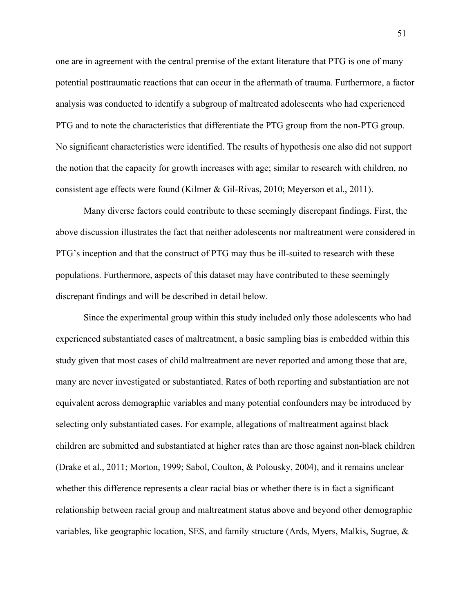one are in agreement with the central premise of the extant literature that PTG is one of many potential posttraumatic reactions that can occur in the aftermath of trauma. Furthermore, a factor analysis was conducted to identify a subgroup of maltreated adolescents who had experienced PTG and to note the characteristics that differentiate the PTG group from the non-PTG group. No significant characteristics were identified. The results of hypothesis one also did not support the notion that the capacity for growth increases with age; similar to research with children, no consistent age effects were found (Kilmer & Gil-Rivas, 2010; Meyerson et al., 2011).

Many diverse factors could contribute to these seemingly discrepant findings. First, the above discussion illustrates the fact that neither adolescents nor maltreatment were considered in PTG's inception and that the construct of PTG may thus be ill-suited to research with these populations. Furthermore, aspects of this dataset may have contributed to these seemingly discrepant findings and will be described in detail below.

Since the experimental group within this study included only those adolescents who had experienced substantiated cases of maltreatment, a basic sampling bias is embedded within this study given that most cases of child maltreatment are never reported and among those that are, many are never investigated or substantiated. Rates of both reporting and substantiation are not equivalent across demographic variables and many potential confounders may be introduced by selecting only substantiated cases. For example, allegations of maltreatment against black children are submitted and substantiated at higher rates than are those against non-black children (Drake et al., 2011; Morton, 1999; Sabol, Coulton, & Polousky, 2004), and it remains unclear whether this difference represents a clear racial bias or whether there is in fact a significant relationship between racial group and maltreatment status above and beyond other demographic variables, like geographic location, SES, and family structure (Ards, Myers, Malkis, Sugrue, &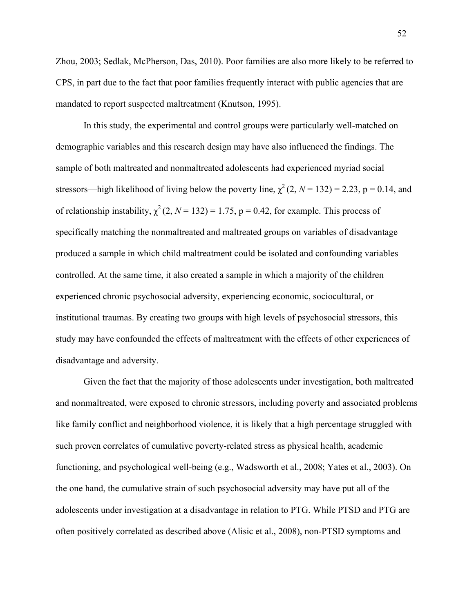Zhou, 2003; Sedlak, McPherson, Das, 2010). Poor families are also more likely to be referred to CPS, in part due to the fact that poor families frequently interact with public agencies that are mandated to report suspected maltreatment (Knutson, 1995).

In this study, the experimental and control groups were particularly well-matched on demographic variables and this research design may have also influenced the findings. The sample of both maltreated and nonmaltreated adolescents had experienced myriad social stressors—high likelihood of living below the poverty line,  $\chi^2(2, N = 132) = 2.23$ , p = 0.14, and of relationship instability,  $\chi^2$  (2, *N* = 132) = 1.75, p = 0.42, for example. This process of specifically matching the nonmaltreated and maltreated groups on variables of disadvantage produced a sample in which child maltreatment could be isolated and confounding variables controlled. At the same time, it also created a sample in which a majority of the children experienced chronic psychosocial adversity, experiencing economic, sociocultural, or institutional traumas. By creating two groups with high levels of psychosocial stressors, this study may have confounded the effects of maltreatment with the effects of other experiences of disadvantage and adversity.

Given the fact that the majority of those adolescents under investigation, both maltreated and nonmaltreated, were exposed to chronic stressors, including poverty and associated problems like family conflict and neighborhood violence, it is likely that a high percentage struggled with such proven correlates of cumulative poverty-related stress as physical health, academic functioning, and psychological well-being (e.g., Wadsworth et al., 2008; Yates et al., 2003). On the one hand, the cumulative strain of such psychosocial adversity may have put all of the adolescents under investigation at a disadvantage in relation to PTG. While PTSD and PTG are often positively correlated as described above (Alisic et al., 2008), non-PTSD symptoms and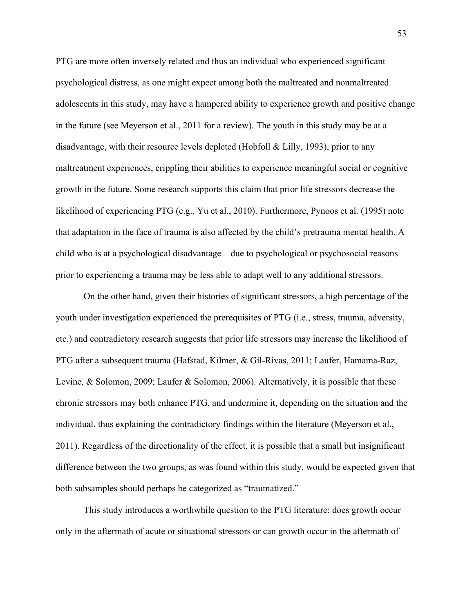PTG are more often inversely related and thus an individual who experienced significant psychological distress, as one might expect among both the maltreated and nonmaltreated adolescents in this study, may have a hampered ability to experience growth and positive change in the future (see Meyerson et al., 2011 for a review). The youth in this study may be at a disadvantage, with their resource levels depleted (Hobfoll & Lilly, 1993), prior to any maltreatment experiences, crippling their abilities to experience meaningful social or cognitive growth in the future. Some research supports this claim that prior life stressors decrease the likelihood of experiencing PTG (e.g., Yu et al., 2010). Furthermore, Pynoos et al. (1995) note that adaptation in the face of trauma is also affected by the child's pretrauma mental health. A child who is at a psychological disadvantage—due to psychological or psychosocial reasons prior to experiencing a trauma may be less able to adapt well to any additional stressors.

On the other hand, given their histories of significant stressors, a high percentage of the youth under investigation experienced the prerequisites of PTG (i.e., stress, trauma, adversity, etc.) and contradictory research suggests that prior life stressors may increase the likelihood of PTG after a subsequent trauma (Hafstad, Kilmer, & Gil-Rivas, 2011; Laufer, Hamama-Raz, Levine, & Solomon, 2009; Laufer & Solomon, 2006). Alternatively, it is possible that these chronic stressors may both enhance PTG, and undermine it, depending on the situation and the individual, thus explaining the contradictory findings within the literature (Meyerson et al., 2011). Regardless of the directionality of the effect, it is possible that a small but insignificant difference between the two groups, as was found within this study, would be expected given that both subsamples should perhaps be categorized as "traumatized."

This study introduces a worthwhile question to the PTG literature: does growth occur only in the aftermath of acute or situational stressors or can growth occur in the aftermath of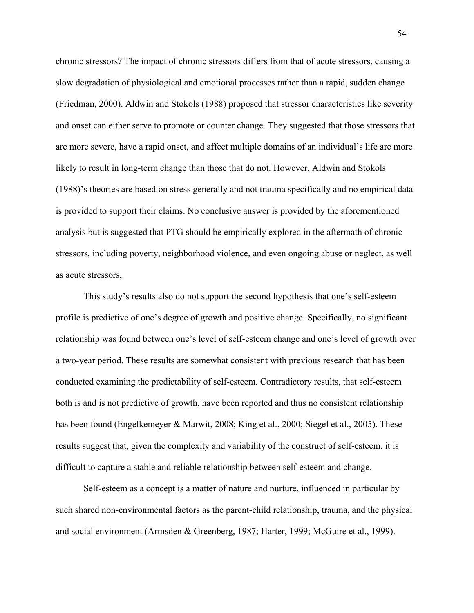chronic stressors? The impact of chronic stressors differs from that of acute stressors, causing a slow degradation of physiological and emotional processes rather than a rapid, sudden change (Friedman, 2000). Aldwin and Stokols (1988) proposed that stressor characteristics like severity and onset can either serve to promote or counter change. They suggested that those stressors that are more severe, have a rapid onset, and affect multiple domains of an individual's life are more likely to result in long-term change than those that do not. However, Aldwin and Stokols (1988)'s theories are based on stress generally and not trauma specifically and no empirical data is provided to support their claims. No conclusive answer is provided by the aforementioned analysis but is suggested that PTG should be empirically explored in the aftermath of chronic stressors, including poverty, neighborhood violence, and even ongoing abuse or neglect, as well as acute stressors,

This study's results also do not support the second hypothesis that one's self-esteem profile is predictive of one's degree of growth and positive change. Specifically, no significant relationship was found between one's level of self-esteem change and one's level of growth over a two-year period. These results are somewhat consistent with previous research that has been conducted examining the predictability of self-esteem. Contradictory results, that self-esteem both is and is not predictive of growth, have been reported and thus no consistent relationship has been found (Engelkemeyer & Marwit, 2008; King et al., 2000; Siegel et al., 2005). These results suggest that, given the complexity and variability of the construct of self-esteem, it is difficult to capture a stable and reliable relationship between self-esteem and change.

Self-esteem as a concept is a matter of nature and nurture, influenced in particular by such shared non-environmental factors as the parent-child relationship, trauma, and the physical and social environment (Armsden & Greenberg, 1987; Harter, 1999; McGuire et al., 1999).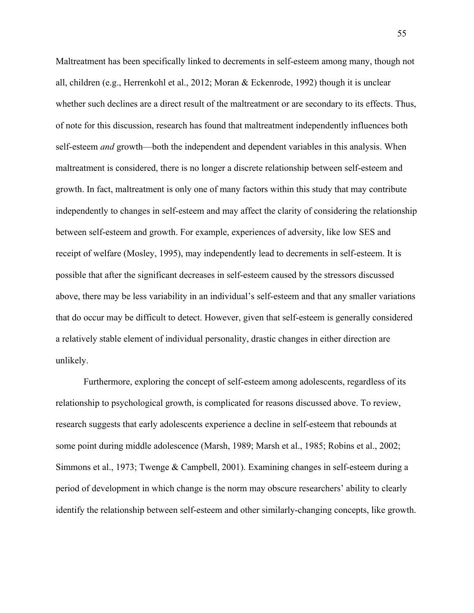Maltreatment has been specifically linked to decrements in self-esteem among many, though not all, children (e.g., Herrenkohl et al., 2012; Moran & Eckenrode, 1992) though it is unclear whether such declines are a direct result of the maltreatment or are secondary to its effects. Thus, of note for this discussion, research has found that maltreatment independently influences both self-esteem *and* growth—both the independent and dependent variables in this analysis. When maltreatment is considered, there is no longer a discrete relationship between self-esteem and growth. In fact, maltreatment is only one of many factors within this study that may contribute independently to changes in self-esteem and may affect the clarity of considering the relationship between self-esteem and growth. For example, experiences of adversity, like low SES and receipt of welfare (Mosley, 1995), may independently lead to decrements in self-esteem. It is possible that after the significant decreases in self-esteem caused by the stressors discussed above, there may be less variability in an individual's self-esteem and that any smaller variations that do occur may be difficult to detect. However, given that self-esteem is generally considered a relatively stable element of individual personality, drastic changes in either direction are unlikely.

Furthermore, exploring the concept of self-esteem among adolescents, regardless of its relationship to psychological growth, is complicated for reasons discussed above. To review, research suggests that early adolescents experience a decline in self-esteem that rebounds at some point during middle adolescence (Marsh, 1989; Marsh et al., 1985; Robins et al., 2002; Simmons et al., 1973; Twenge & Campbell, 2001). Examining changes in self-esteem during a period of development in which change is the norm may obscure researchers' ability to clearly identify the relationship between self-esteem and other similarly-changing concepts, like growth.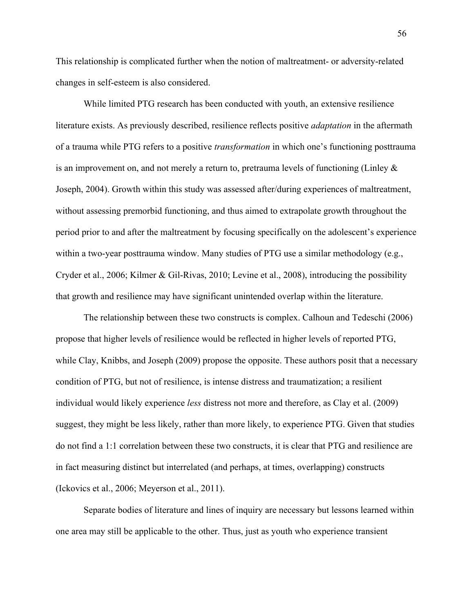This relationship is complicated further when the notion of maltreatment- or adversity-related changes in self-esteem is also considered.

While limited PTG research has been conducted with youth, an extensive resilience literature exists. As previously described, resilience reflects positive *adaptation* in the aftermath of a trauma while PTG refers to a positive *transformation* in which one's functioning posttrauma is an improvement on, and not merely a return to, pretrauma levels of functioning (Linley & Joseph, 2004). Growth within this study was assessed after/during experiences of maltreatment, without assessing premorbid functioning, and thus aimed to extrapolate growth throughout the period prior to and after the maltreatment by focusing specifically on the adolescent's experience within a two-year posttrauma window. Many studies of PTG use a similar methodology (e.g., Cryder et al., 2006; Kilmer & Gil-Rivas, 2010; Levine et al., 2008), introducing the possibility that growth and resilience may have significant unintended overlap within the literature.

The relationship between these two constructs is complex. Calhoun and Tedeschi (2006) propose that higher levels of resilience would be reflected in higher levels of reported PTG, while Clay, Knibbs, and Joseph (2009) propose the opposite. These authors posit that a necessary condition of PTG, but not of resilience, is intense distress and traumatization; a resilient individual would likely experience *less* distress not more and therefore, as Clay et al. (2009) suggest, they might be less likely, rather than more likely, to experience PTG. Given that studies do not find a 1:1 correlation between these two constructs, it is clear that PTG and resilience are in fact measuring distinct but interrelated (and perhaps, at times, overlapping) constructs (Ickovics et al., 2006; Meyerson et al., 2011).

Separate bodies of literature and lines of inquiry are necessary but lessons learned within one area may still be applicable to the other. Thus, just as youth who experience transient

56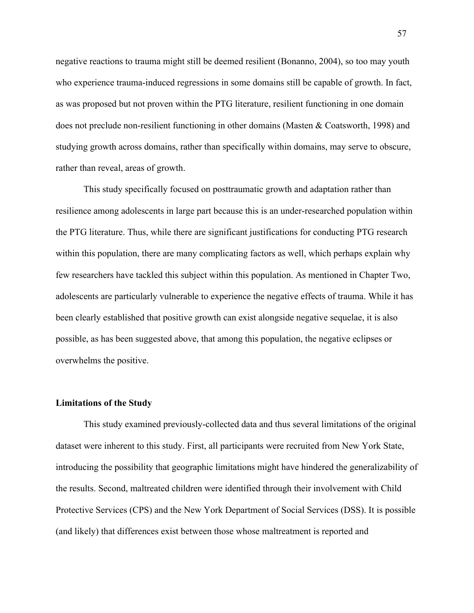negative reactions to trauma might still be deemed resilient (Bonanno, 2004), so too may youth who experience trauma-induced regressions in some domains still be capable of growth. In fact, as was proposed but not proven within the PTG literature, resilient functioning in one domain does not preclude non-resilient functioning in other domains (Masten & Coatsworth, 1998) and studying growth across domains, rather than specifically within domains, may serve to obscure, rather than reveal, areas of growth.

This study specifically focused on posttraumatic growth and adaptation rather than resilience among adolescents in large part because this is an under-researched population within the PTG literature. Thus, while there are significant justifications for conducting PTG research within this population, there are many complicating factors as well, which perhaps explain why few researchers have tackled this subject within this population. As mentioned in Chapter Two, adolescents are particularly vulnerable to experience the negative effects of trauma. While it has been clearly established that positive growth can exist alongside negative sequelae, it is also possible, as has been suggested above, that among this population, the negative eclipses or overwhelms the positive.

#### **Limitations of the Study**

This study examined previously-collected data and thus several limitations of the original dataset were inherent to this study. First, all participants were recruited from New York State, introducing the possibility that geographic limitations might have hindered the generalizability of the results. Second, maltreated children were identified through their involvement with Child Protective Services (CPS) and the New York Department of Social Services (DSS). It is possible (and likely) that differences exist between those whose maltreatment is reported and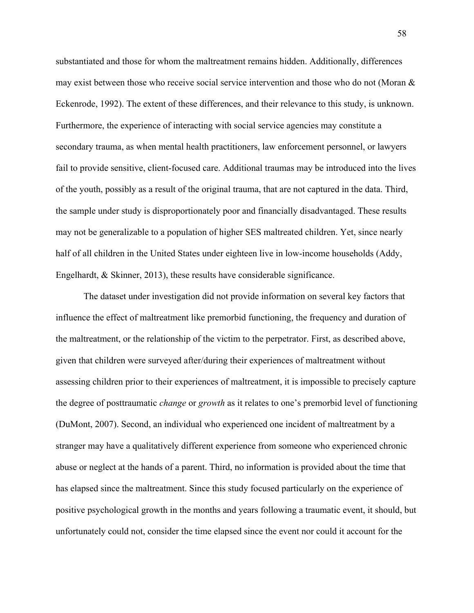substantiated and those for whom the maltreatment remains hidden. Additionally, differences may exist between those who receive social service intervention and those who do not (Moran & Eckenrode, 1992). The extent of these differences, and their relevance to this study, is unknown. Furthermore, the experience of interacting with social service agencies may constitute a secondary trauma, as when mental health practitioners, law enforcement personnel, or lawyers fail to provide sensitive, client-focused care. Additional traumas may be introduced into the lives of the youth, possibly as a result of the original trauma, that are not captured in the data. Third, the sample under study is disproportionately poor and financially disadvantaged. These results may not be generalizable to a population of higher SES maltreated children. Yet, since nearly half of all children in the United States under eighteen live in low-income households (Addy, Engelhardt, & Skinner, 2013), these results have considerable significance.

The dataset under investigation did not provide information on several key factors that influence the effect of maltreatment like premorbid functioning, the frequency and duration of the maltreatment, or the relationship of the victim to the perpetrator. First, as described above, given that children were surveyed after/during their experiences of maltreatment without assessing children prior to their experiences of maltreatment, it is impossible to precisely capture the degree of posttraumatic *change* or *growth* as it relates to one's premorbid level of functioning (DuMont, 2007). Second, an individual who experienced one incident of maltreatment by a stranger may have a qualitatively different experience from someone who experienced chronic abuse or neglect at the hands of a parent. Third, no information is provided about the time that has elapsed since the maltreatment. Since this study focused particularly on the experience of positive psychological growth in the months and years following a traumatic event, it should, but unfortunately could not, consider the time elapsed since the event nor could it account for the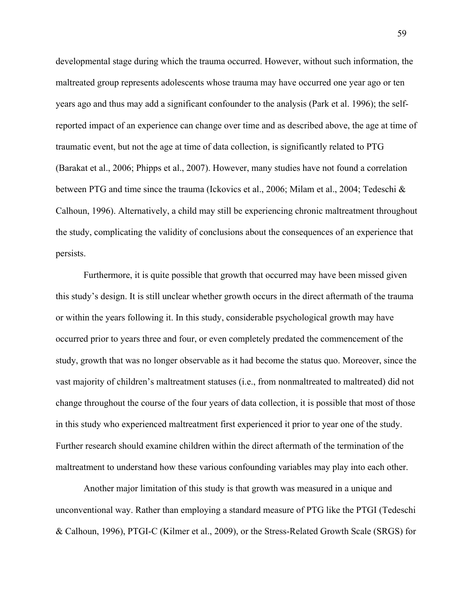developmental stage during which the trauma occurred. However, without such information, the maltreated group represents adolescents whose trauma may have occurred one year ago or ten years ago and thus may add a significant confounder to the analysis (Park et al. 1996); the selfreported impact of an experience can change over time and as described above, the age at time of traumatic event, but not the age at time of data collection, is significantly related to PTG (Barakat et al., 2006; Phipps et al., 2007). However, many studies have not found a correlation between PTG and time since the trauma (Ickovics et al., 2006; Milam et al., 2004; Tedeschi & Calhoun, 1996). Alternatively, a child may still be experiencing chronic maltreatment throughout the study, complicating the validity of conclusions about the consequences of an experience that persists.

Furthermore, it is quite possible that growth that occurred may have been missed given this study's design. It is still unclear whether growth occurs in the direct aftermath of the trauma or within the years following it. In this study, considerable psychological growth may have occurred prior to years three and four, or even completely predated the commencement of the study, growth that was no longer observable as it had become the status quo. Moreover, since the vast majority of children's maltreatment statuses (i.e., from nonmaltreated to maltreated) did not change throughout the course of the four years of data collection, it is possible that most of those in this study who experienced maltreatment first experienced it prior to year one of the study. Further research should examine children within the direct aftermath of the termination of the maltreatment to understand how these various confounding variables may play into each other.

Another major limitation of this study is that growth was measured in a unique and unconventional way. Rather than employing a standard measure of PTG like the PTGI (Tedeschi & Calhoun, 1996), PTGI-C (Kilmer et al., 2009), or the Stress-Related Growth Scale (SRGS) for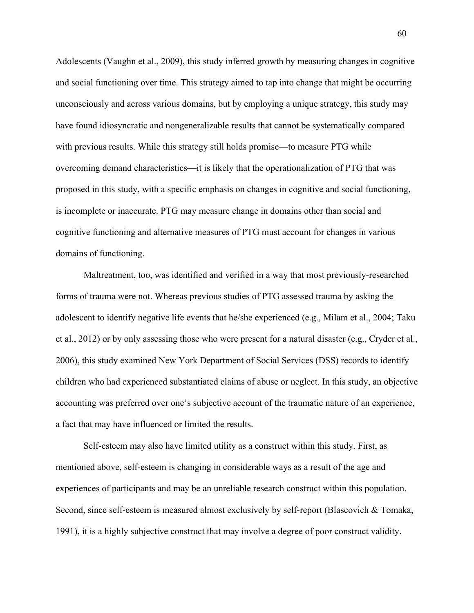Adolescents (Vaughn et al., 2009), this study inferred growth by measuring changes in cognitive and social functioning over time. This strategy aimed to tap into change that might be occurring unconsciously and across various domains, but by employing a unique strategy, this study may have found idiosyncratic and nongeneralizable results that cannot be systematically compared with previous results. While this strategy still holds promise—to measure PTG while overcoming demand characteristics—it is likely that the operationalization of PTG that was proposed in this study, with a specific emphasis on changes in cognitive and social functioning, is incomplete or inaccurate. PTG may measure change in domains other than social and cognitive functioning and alternative measures of PTG must account for changes in various domains of functioning.

Maltreatment, too, was identified and verified in a way that most previously-researched forms of trauma were not. Whereas previous studies of PTG assessed trauma by asking the adolescent to identify negative life events that he/she experienced (e.g., Milam et al., 2004; Taku et al., 2012) or by only assessing those who were present for a natural disaster (e.g., Cryder et al., 2006), this study examined New York Department of Social Services (DSS) records to identify children who had experienced substantiated claims of abuse or neglect. In this study, an objective accounting was preferred over one's subjective account of the traumatic nature of an experience, a fact that may have influenced or limited the results.

Self-esteem may also have limited utility as a construct within this study. First, as mentioned above, self-esteem is changing in considerable ways as a result of the age and experiences of participants and may be an unreliable research construct within this population. Second, since self-esteem is measured almost exclusively by self-report (Blascovich & Tomaka, 1991), it is a highly subjective construct that may involve a degree of poor construct validity.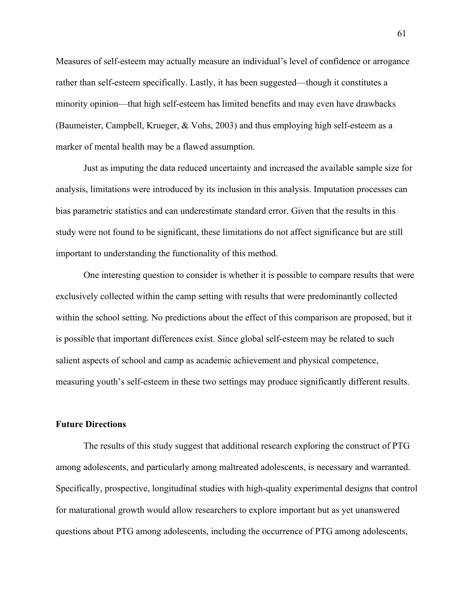Measures of self-esteem may actually measure an individual's level of confidence or arrogance rather than self-esteem specifically. Lastly, it has been suggested—though it constitutes a minority opinion—that high self-esteem has limited benefits and may even have drawbacks (Baumeister, Campbell, Krueger, & Vohs, 2003) and thus employing high self-esteem as a marker of mental health may be a flawed assumption.

Just as imputing the data reduced uncertainty and increased the available sample size for analysis, limitations were introduced by its inclusion in this analysis. Imputation processes can bias parametric statistics and can underestimate standard error. Given that the results in this study were not found to be significant, these limitations do not affect significance but are still important to understanding the functionality of this method.

One interesting question to consider is whether it is possible to compare results that were exclusively collected within the camp setting with results that were predominantly collected within the school setting. No predictions about the effect of this comparison are proposed, but it is possible that important differences exist. Since global self-esteem may be related to such salient aspects of school and camp as academic achievement and physical competence, measuring youth's self-esteem in these two settings may produce significantly different results.

#### **Future Directions**

The results of this study suggest that additional research exploring the construct of PTG among adolescents, and particularly among maltreated adolescents, is necessary and warranted. Specifically, prospective, longitudinal studies with high-quality experimental designs that control for maturational growth would allow researchers to explore important but as yet unanswered questions about PTG among adolescents, including the occurrence of PTG among adolescents,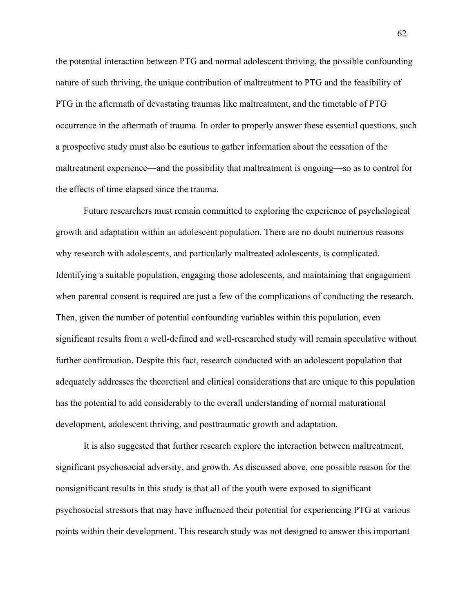the potential interaction between PTG and normal adolescent thriving, the possible confounding nature of such thriving, the unique contribution of maltreatment to PTG and the feasibility of PTG in the aftermath of devastating traumas like maltreatment, and the timetable of PTG occurrence in the aftermath of trauma. In order to properly answer these essential questions, such a prospective study must also be cautious to gather information about the cessation of the maltreatment experience—and the possibility that maltreatment is ongoing—so as to control for the effects of time elapsed since the trauma.

Future researchers must remain committed to exploring the experience of psychological growth and adaptation within an adolescent population. There are no doubt numerous reasons why research with adolescents, and particularly maltreated adolescents, is complicated. Identifying a suitable population, engaging those adolescents, and maintaining that engagement when parental consent is required are just a few of the complications of conducting the research. Then, given the number of potential confounding variables within this population, even significant results from a well-defined and well-researched study will remain speculative without further confirmation. Despite this fact, research conducted with an adolescent population that adequately addresses the theoretical and clinical considerations that are unique to this population has the potential to add considerably to the overall understanding of normal maturational development, adolescent thriving, and posttraumatic growth and adaptation.

It is also suggested that further research explore the interaction between maltreatment, significant psychosocial adversity, and growth. As discussed above, one possible reason for the nonsignificant results in this study is that all of the youth were exposed to significant psychosocial stressors that may have influenced their potential for experiencing PTG at various points within their development. This research study was not designed to answer this important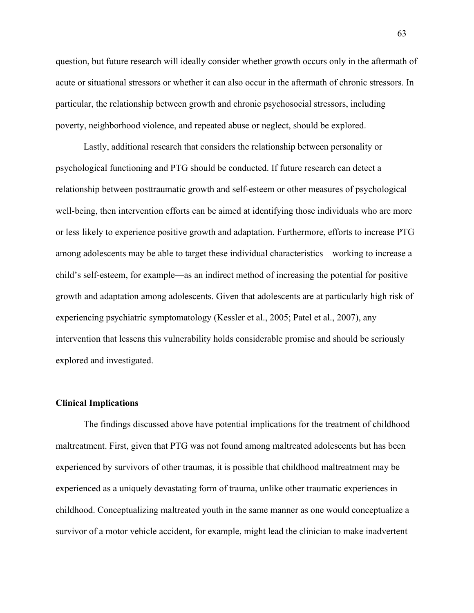question, but future research will ideally consider whether growth occurs only in the aftermath of acute or situational stressors or whether it can also occur in the aftermath of chronic stressors. In particular, the relationship between growth and chronic psychosocial stressors, including poverty, neighborhood violence, and repeated abuse or neglect, should be explored.

Lastly, additional research that considers the relationship between personality or psychological functioning and PTG should be conducted. If future research can detect a relationship between posttraumatic growth and self-esteem or other measures of psychological well-being, then intervention efforts can be aimed at identifying those individuals who are more or less likely to experience positive growth and adaptation. Furthermore, efforts to increase PTG among adolescents may be able to target these individual characteristics—working to increase a child's self-esteem, for example—as an indirect method of increasing the potential for positive growth and adaptation among adolescents. Given that adolescents are at particularly high risk of experiencing psychiatric symptomatology (Kessler et al., 2005; Patel et al., 2007), any intervention that lessens this vulnerability holds considerable promise and should be seriously explored and investigated.

## **Clinical Implications**

The findings discussed above have potential implications for the treatment of childhood maltreatment. First, given that PTG was not found among maltreated adolescents but has been experienced by survivors of other traumas, it is possible that childhood maltreatment may be experienced as a uniquely devastating form of trauma, unlike other traumatic experiences in childhood. Conceptualizing maltreated youth in the same manner as one would conceptualize a survivor of a motor vehicle accident, for example, might lead the clinician to make inadvertent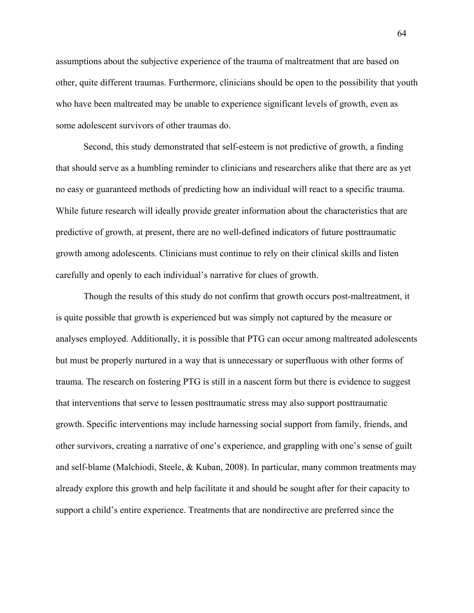assumptions about the subjective experience of the trauma of maltreatment that are based on other, quite different traumas. Furthermore, clinicians should be open to the possibility that youth who have been maltreated may be unable to experience significant levels of growth, even as some adolescent survivors of other traumas do.

Second, this study demonstrated that self-esteem is not predictive of growth, a finding that should serve as a humbling reminder to clinicians and researchers alike that there are as yet no easy or guaranteed methods of predicting how an individual will react to a specific trauma. While future research will ideally provide greater information about the characteristics that are predictive of growth, at present, there are no well-defined indicators of future posttraumatic growth among adolescents. Clinicians must continue to rely on their clinical skills and listen carefully and openly to each individual's narrative for clues of growth.

Though the results of this study do not confirm that growth occurs post-maltreatment, it is quite possible that growth is experienced but was simply not captured by the measure or analyses employed. Additionally, it is possible that PTG can occur among maltreated adolescents but must be properly nurtured in a way that is unnecessary or superfluous with other forms of trauma. The research on fostering PTG is still in a nascent form but there is evidence to suggest that interventions that serve to lessen posttraumatic stress may also support posttraumatic growth. Specific interventions may include harnessing social support from family, friends, and other survivors, creating a narrative of one's experience, and grappling with one's sense of guilt and self-blame (Malchiodi, Steele, & Kuban, 2008). In particular, many common treatments may already explore this growth and help facilitate it and should be sought after for their capacity to support a child's entire experience. Treatments that are nondirective are preferred since the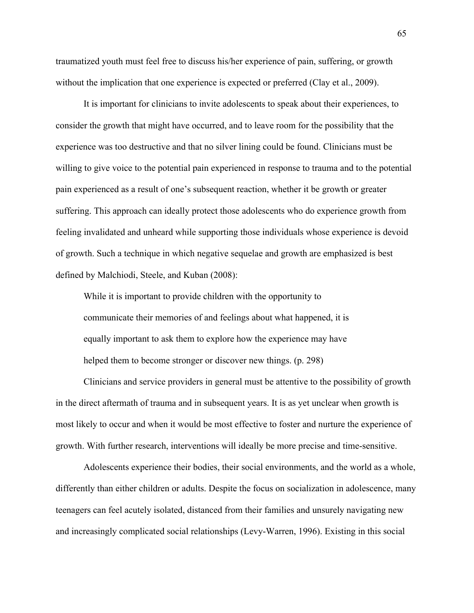traumatized youth must feel free to discuss his/her experience of pain, suffering, or growth without the implication that one experience is expected or preferred (Clay et al., 2009).

It is important for clinicians to invite adolescents to speak about their experiences, to consider the growth that might have occurred, and to leave room for the possibility that the experience was too destructive and that no silver lining could be found. Clinicians must be willing to give voice to the potential pain experienced in response to trauma and to the potential pain experienced as a result of one's subsequent reaction, whether it be growth or greater suffering. This approach can ideally protect those adolescents who do experience growth from feeling invalidated and unheard while supporting those individuals whose experience is devoid of growth. Such a technique in which negative sequelae and growth are emphasized is best defined by Malchiodi, Steele, and Kuban (2008):

While it is important to provide children with the opportunity to communicate their memories of and feelings about what happened, it is equally important to ask them to explore how the experience may have helped them to become stronger or discover new things. (p. 298)

Clinicians and service providers in general must be attentive to the possibility of growth in the direct aftermath of trauma and in subsequent years. It is as yet unclear when growth is most likely to occur and when it would be most effective to foster and nurture the experience of growth. With further research, interventions will ideally be more precise and time-sensitive.

Adolescents experience their bodies, their social environments, and the world as a whole, differently than either children or adults. Despite the focus on socialization in adolescence, many teenagers can feel acutely isolated, distanced from their families and unsurely navigating new and increasingly complicated social relationships (Levy-Warren, 1996). Existing in this social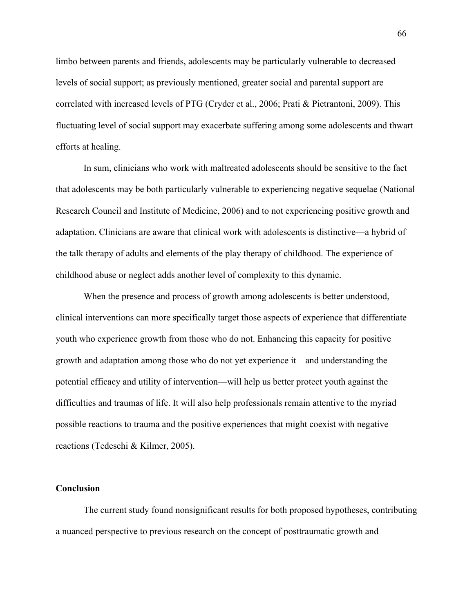limbo between parents and friends, adolescents may be particularly vulnerable to decreased levels of social support; as previously mentioned, greater social and parental support are correlated with increased levels of PTG (Cryder et al., 2006; Prati & Pietrantoni, 2009). This fluctuating level of social support may exacerbate suffering among some adolescents and thwart efforts at healing.

In sum, clinicians who work with maltreated adolescents should be sensitive to the fact that adolescents may be both particularly vulnerable to experiencing negative sequelae (National Research Council and Institute of Medicine, 2006) and to not experiencing positive growth and adaptation. Clinicians are aware that clinical work with adolescents is distinctive—a hybrid of the talk therapy of adults and elements of the play therapy of childhood. The experience of childhood abuse or neglect adds another level of complexity to this dynamic.

When the presence and process of growth among adolescents is better understood, clinical interventions can more specifically target those aspects of experience that differentiate youth who experience growth from those who do not. Enhancing this capacity for positive growth and adaptation among those who do not yet experience it—and understanding the potential efficacy and utility of intervention—will help us better protect youth against the difficulties and traumas of life. It will also help professionals remain attentive to the myriad possible reactions to trauma and the positive experiences that might coexist with negative reactions (Tedeschi & Kilmer, 2005).

## **Conclusion**

The current study found nonsignificant results for both proposed hypotheses, contributing a nuanced perspective to previous research on the concept of posttraumatic growth and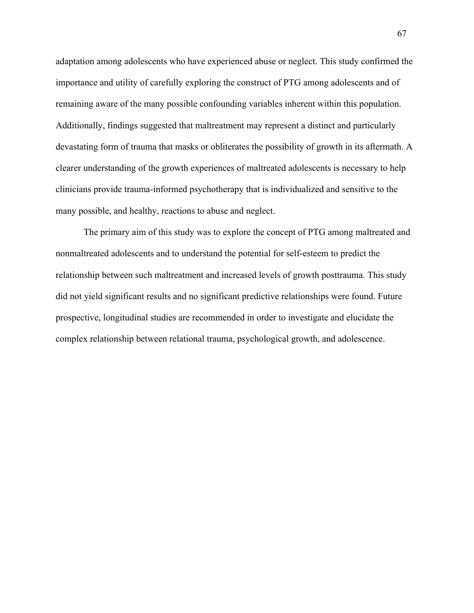adaptation among adolescents who have experienced abuse or neglect. This study confirmed the importance and utility of carefully exploring the construct of PTG among adolescents and of remaining aware of the many possible confounding variables inherent within this population. Additionally, findings suggested that maltreatment may represent a distinct and particularly devastating form of trauma that masks or obliterates the possibility of growth in its aftermath. A clearer understanding of the growth experiences of maltreated adolescents is necessary to help clinicians provide trauma-informed psychotherapy that is individualized and sensitive to the many possible, and healthy, reactions to abuse and neglect.

The primary aim of this study was to explore the concept of PTG among maltreated and nonmaltreated adolescents and to understand the potential for self-esteem to predict the relationship between such maltreatment and increased levels of growth posttrauma. This study did not yield significant results and no significant predictive relationships were found. Future prospective, longitudinal studies are recommended in order to investigate and elucidate the complex relationship between relational trauma, psychological growth, and adolescence.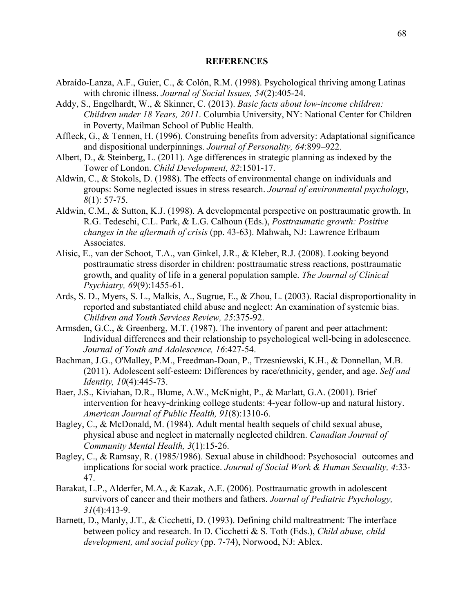## **REFERENCES**

- Abraído-Lanza, A.F., Guier, C., & Colón, R.M. (1998). Psychological thriving among Latinas with chronic illness. *Journal of Social Issues, 54*(2):405-24.
- Addy, S., Engelhardt, W., & Skinner, C. (2013). *Basic facts about low-income children: Children under 18 Years, 2011*. Columbia University, NY: National Center for Children in Poverty, Mailman School of Public Health.
- Affleck, G., & Tennen, H. (1996). Construing benefits from adversity: Adaptational significance and dispositional underpinnings. *Journal of Personality, 64*:899–922.
- Albert, D., & Steinberg, L. (2011). Age differences in strategic planning as indexed by the Tower of London. *Child Development, 82*:1501-17.
- Aldwin, C., & Stokols, D. (1988). The effects of environmental change on individuals and groups: Some neglected issues in stress research. *Journal of environmental psychology*, *8*(1): 57-75.
- Aldwin, C.M., & Sutton, K.J. (1998). A developmental perspective on posttraumatic growth. In R.G. Tedeschi, C.L. Park, & L.G. Calhoun (Eds.), *Posttraumatic growth: Positive changes in the aftermath of crisis* (pp. 43-63). Mahwah, NJ: Lawrence Erlbaum Associates.
- Alisic, E., van der Schoot, T.A., van Ginkel, J.R., & Kleber, R.J. (2008). Looking beyond posttraumatic stress disorder in children: posttraumatic stress reactions, posttraumatic growth, and quality of life in a general population sample. *The Journal of Clinical Psychiatry, 69*(9):1455-61.
- Ards, S. D., Myers, S. L., Malkis, A., Sugrue, E., & Zhou, L. (2003). Racial disproportionality in reported and substantiated child abuse and neglect: An examination of systemic bias. *Children and Youth Services Review, 25*:375-92.
- Armsden, G.C., & Greenberg, M.T. (1987). The inventory of parent and peer attachment: Individual differences and their relationship to psychological well-being in adolescence. *Journal of Youth and Adolescence, 16*:427-54.
- Bachman, J.G., O'Malley, P.M., Freedman-Doan, P., Trzesniewski, K.H., & Donnellan, M.B. (2011). Adolescent self-esteem: Differences by race/ethnicity, gender, and age. *Self and Identity, 10*(4):445-73.
- Baer, J.S., Kiviahan, D.R., Blume, A.W., McKnight, P., & Marlatt, G.A. (2001). Brief intervention for heavy-drinking college students: 4-year follow-up and natural history. *American Journal of Public Health, 91*(8):1310-6.
- Bagley, C., & McDonald, M. (1984). Adult mental health sequels of child sexual abuse, physical abuse and neglect in maternally neglected children. *Canadian Journal of Community Mental Health, 3*(1):15-26.
- Bagley, C., & Ramsay, R. (1985/1986). Sexual abuse in childhood: Psychosocial outcomes and implications for social work practice. *Journal of Social Work & Human Sexuality, 4*:33- 47.
- Barakat, L.P., Alderfer, M.A., & Kazak, A.E. (2006). Posttraumatic growth in adolescent survivors of cancer and their mothers and fathers. *Journal of Pediatric Psychology, 31*(4):413-9.
- Barnett, D., Manly, J.T., & Cicchetti, D. (1993). Defining child maltreatment: The interface between policy and research. In D. Cicchetti & S. Toth (Eds.), *Child abuse, child development, and social policy* (pp. 7-74), Norwood, NJ: Ablex.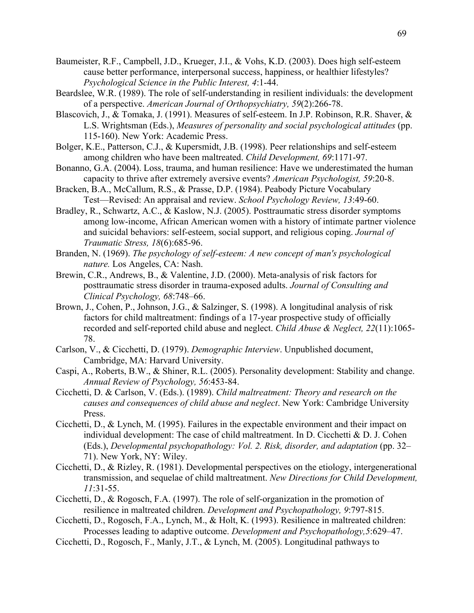- Baumeister, R.F., Campbell, J.D., Krueger, J.I., & Vohs, K.D. (2003). Does high self-esteem cause better performance, interpersonal success, happiness, or healthier lifestyles? *Psychological Science in the Public Interest, 4*:1-44.
- Beardslee, W.R. (1989). The role of self-understanding in resilient individuals: the development of a perspective. *American Journal of Orthopsychiatry, 59*(2):266-78.
- Blascovich, J., & Tomaka, J. (1991). Measures of self-esteem. In J.P. Robinson, R.R. Shaver, & L.S. Wrightsman (Eds.), *Measures of personality and social psychological attitudes* (pp. 115-160). New York: Academic Press.
- Bolger, K.E., Patterson, C.J., & Kupersmidt, J.B. (1998). Peer relationships and self-esteem among children who have been maltreated. *Child Development, 69*:1171-97.
- Bonanno, G.A. (2004). Loss, trauma, and human resilience: Have we underestimated the human capacity to thrive after extremely aversive events? *American Psychologist, 59*:20-8.
- Bracken, B.A., McCallum, R.S., & Prasse, D.P. (1984). Peabody Picture Vocabulary Test—Revised: An appraisal and review. *School Psychology Review, 13*:49-60.
- Bradley, R., Schwartz, A.C., & Kaslow, N.J. (2005). Posttraumatic stress disorder symptoms among low-income, African American women with a history of intimate partner violence and suicidal behaviors: self-esteem, social support, and religious coping. *Journal of Traumatic Stress, 18*(6):685-96.
- Branden, N. (1969). *The psychology of self-esteem: A new concept of man's psychological nature.* Los Angeles, CA: Nash.
- Brewin, C.R., Andrews, B., & Valentine, J.D. (2000). Meta-analysis of risk factors for posttraumatic stress disorder in trauma-exposed adults. *Journal of Consulting and Clinical Psychology, 68*:748–66.
- Brown, J., Cohen, P., Johnson, J.G., & Salzinger, S. (1998). A longitudinal analysis of risk factors for child maltreatment: findings of a 17-year prospective study of officially recorded and self-reported child abuse and neglect. *Child Abuse & Neglect, 22*(11):1065- 78.
- Carlson, V., & Cicchetti, D. (1979). *Demographic Interview*. Unpublished document, Cambridge, MA: Harvard University.
- Caspi, A., Roberts, B.W., & Shiner, R.L. (2005). Personality development: Stability and change. *Annual Review of Psychology, 56*:453-84.
- Cicchetti, D. & Carlson, V. (Eds.). (1989). *Child maltreatment: Theory and research on the causes and consequences of child abuse and neglect*. New York: Cambridge University Press.
- Cicchetti, D., & Lynch, M. (1995). Failures in the expectable environment and their impact on individual development: The case of child maltreatment. In D. Cicchetti & D. J. Cohen (Eds.), *Developmental psychopathology: Vol. 2. Risk, disorder, and adaptation* (pp. 32– 71). New York, NY: Wiley.
- Cicchetti, D., & Rizley, R. (1981). Developmental perspectives on the etiology, intergenerational transmission, and sequelae of child maltreatment. *New Directions for Child Development, 11*:31-55.
- Cicchetti, D., & Rogosch, F.A. (1997). The role of self-organization in the promotion of resilience in maltreated children. *Development and Psychopathology, 9*:797-815.
- Cicchetti, D., Rogosch, F.A., Lynch, M., & Holt, K. (1993). Resilience in maltreated children: Processes leading to adaptive outcome. *Development and Psychopathology,5*:629–47.
- Cicchetti, D., Rogosch, F., Manly, J.T., & Lynch, M. (2005). Longitudinal pathways to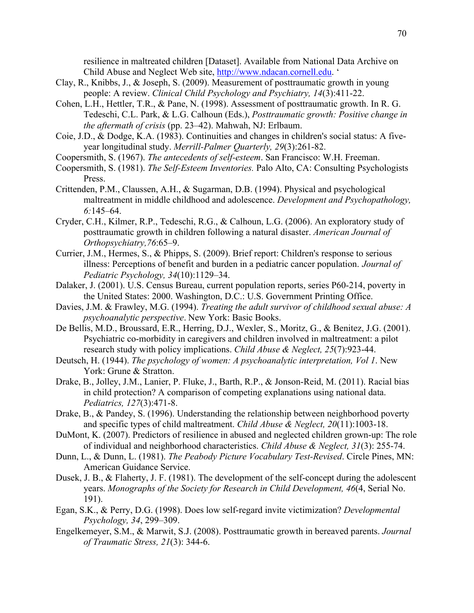resilience in maltreated children [Dataset]. Available from National Data Archive on Child Abuse and Neglect Web site, http://www.ndacan.cornell.edu. '

- Clay, R., Knibbs, J., & Joseph, S. (2009). Measurement of posttraumatic growth in young people: A review. *Clinical Child Psychology and Psychiatry, 14*(3):411-22.
- Cohen, L.H., Hettler, T.R., & Pane, N. (1998). Assessment of posttraumatic growth. In R. G. Tedeschi, C.L. Park, & L.G. Calhoun (Eds.), *Posttraumatic growth: Positive change in the aftermath of crisis* (pp. 23–42). Mahwah, NJ: Erlbaum.
- Coie, J.D., & Dodge, K.A. (1983). Continuities and changes in children's social status: A fiveyear longitudinal study. *Merrill-Palmer Quarterly, 29*(3):261-82.
- Coopersmith, S. (1967). *The antecedents of self-esteem*. San Francisco: W.H. Freeman.
- Coopersmith, S. (1981). *The Self-Esteem Inventories.* Palo Alto, CA: Consulting Psychologists Press.
- Crittenden, P.M., Claussen, A.H., & Sugarman, D.B. (1994). Physical and psychological maltreatment in middle childhood and adolescence. *Development and Psychopathology, 6:*145–64.
- Cryder, C.H., Kilmer, R.P., Tedeschi, R.G., & Calhoun, L.G. (2006). An exploratory study of posttraumatic growth in children following a natural disaster. *American Journal of Orthopsychiatry,76*:65–9.
- Currier, J.M., Hermes, S., & Phipps, S. (2009). Brief report: Children's response to serious illness: Perceptions of benefit and burden in a pediatric cancer population. *Journal of Pediatric Psychology, 34*(10):1129–34.
- Dalaker, J. (2001). U.S. Census Bureau, current population reports, series P60-214, poverty in the United States: 2000. Washington, D.C.: U.S. Government Printing Office.
- Davies, J.M. & Frawley, M.G. (1994). *Treating the adult survivor of childhood sexual abuse: A psychoanalytic perspective*. New York: Basic Books.
- De Bellis, M.D., Broussard, E.R., Herring, D.J., Wexler, S., Moritz, G., & Benitez, J.G. (2001). Psychiatric co-morbidity in caregivers and children involved in maltreatment: a pilot research study with policy implications. *Child Abuse & Neglect, 25*(7):923-44.
- Deutsch, H. (1944). *The psychology of women: A psychoanalytic interpretation, Vol 1*. New York: Grune & Stratton.
- Drake, B., Jolley, J.M., Lanier, P. Fluke, J., Barth, R.P., & Jonson-Reid, M. (2011). Racial bias in child protection? A comparison of competing explanations using national data. *Pediatrics, 127*(3):471-8.
- Drake, B., & Pandey, S. (1996). Understanding the relationship between neighborhood poverty and specific types of child maltreatment. *Child Abuse & Neglect, 20*(11):1003-18.
- DuMont, K. (2007). Predictors of resilience in abused and neglected children grown-up: The role of individual and neighborhood characteristics. *Child Abuse & Neglect, 31*(3): 255-74.
- Dunn, L., & Dunn, L. (1981). *The Peabody Picture Vocabulary Test-Revised*. Circle Pines, MN: American Guidance Service.
- Dusek, J. B., & Flaherty, J. F. (1981). The development of the self-concept during the adolescent years. *Monographs of the Society for Research in Child Development, 46*(4, Serial No. 191).
- Egan, S.K., & Perry, D.G. (1998). Does low self-regard invite victimization? *Developmental Psychology, 34*, 299–309.
- Engelkemeyer, S.M., & Marwit, S.J. (2008). Posttraumatic growth in bereaved parents. *Journal of Traumatic Stress, 21*(3): 344-6.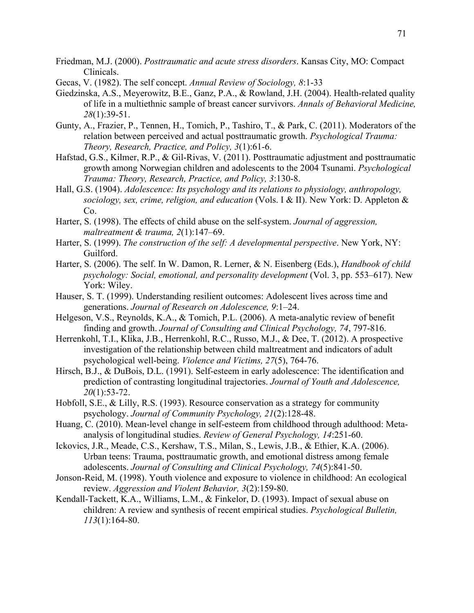- Friedman, M.J. (2000). *Posttraumatic and acute stress disorders*. Kansas City, MO: Compact Clinicals.
- Gecas, V. (1982). The self concept. *Annual Review of Sociology, 8*:1-33
- Giedzinska, A.S., Meyerowitz, B.E., Ganz, P.A., & Rowland, J.H. (2004). Health-related quality of life in a multiethnic sample of breast cancer survivors. *Annals of Behavioral Medicine, 28*(1):39-51.
- Gunty, A., Frazier, P., Tennen, H., Tomich, P., Tashiro, T., & Park, C. (2011). Moderators of the relation between perceived and actual posttraumatic growth. *Psychological Trauma: Theory, Research, Practice, and Policy, 3*(1):61-6.
- Hafstad, G.S., Kilmer, R.P., & Gil-Rivas, V. (2011). Posttraumatic adjustment and posttraumatic growth among Norwegian children and adolescents to the 2004 Tsunami. *Psychological Trauma: Theory, Research, Practice, and Policy, 3*:130-8.
- Hall, G.S. (1904). *Adolescence: Its psychology and its relations to physiology, anthropology, sociology, sex, crime, religion, and education* (Vols. I & II). New York: D. Appleton & Co.
- Harter, S. (1998). The effects of child abuse on the self-system. *Journal of aggression, maltreatment & trauma, 2*(1):147–69.
- Harter, S. (1999). *The construction of the self: A developmental perspective*. New York, NY: Guilford.
- Harter, S. (2006). The self. In W. Damon, R. Lerner, & N. Eisenberg (Eds.), *Handbook of child psychology: Social, emotional, and personality development* (Vol. 3, pp. 553–617). New York: Wiley.
- Hauser, S. T. (1999). Understanding resilient outcomes: Adolescent lives across time and generations. *Journal of Research on Adolescence, 9*:1–24.
- Helgeson, V.S., Reynolds, K.A., & Tomich, P.L. (2006). A meta-analytic review of benefit finding and growth. *Journal of Consulting and Clinical Psychology, 74*, 797-816.
- Herrenkohl, T.I., Klika, J.B., Herrenkohl, R.C., Russo, M.J., & Dee, T. (2012). A prospective investigation of the relationship between child maltreatment and indicators of adult psychological well-being. *Violence and Victims, 27*(5), 764-76.
- Hirsch, B.J., & DuBois, D.L. (1991). Self-esteem in early adolescence: The identification and prediction of contrasting longitudinal trajectories. *Journal of Youth and Adolescence, 20*(1):53-72.
- Hobfoll, S.E., & Lilly, R.S. (1993). Resource conservation as a strategy for community psychology. *Journal of Community Psychology, 21*(2):128-48.
- Huang, C. (2010). Mean-level change in self-esteem from childhood through adulthood: Metaanalysis of longitudinal studies. *Review of General Psychology, 14*:251-60.
- Ickovics, J.R., Meade, C.S., Kershaw, T.S., Milan, S., Lewis, J.B., & Ethier, K.A. (2006). Urban teens: Trauma, posttraumatic growth, and emotional distress among female adolescents. *Journal of Consulting and Clinical Psychology, 74*(5):841-50.
- Jonson-Reid, M. (1998). Youth violence and exposure to violence in childhood: An ecological review. *Aggression and Violent Behavior, 3*(2):159-80.
- Kendall-Tackett, K.A., Williams, L.M., & Finkelor, D. (1993). Impact of sexual abuse on children: A review and synthesis of recent empirical studies. *Psychological Bulletin, 113*(1):164-80.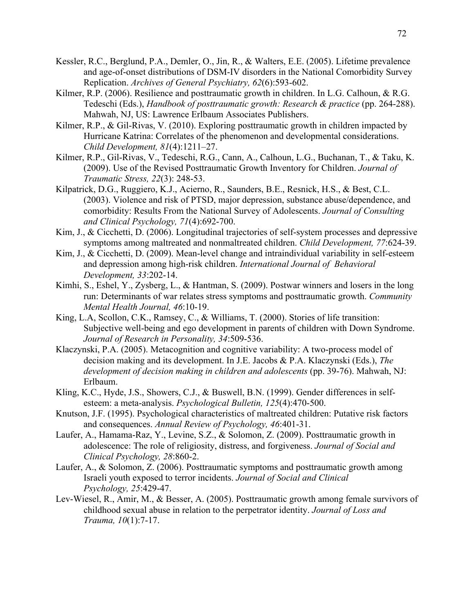- Kessler, R.C., Berglund, P.A., Demler, O., Jin, R., & Walters, E.E. (2005). Lifetime prevalence and age-of-onset distributions of DSM-IV disorders in the National Comorbidity Survey Replication. *Archives of General Psychiatry, 62*(6):593-602.
- Kilmer, R.P. (2006). Resilience and posttraumatic growth in children. In L.G. Calhoun, & R.G. Tedeschi (Eds.), *Handbook of posttraumatic growth: Research & practice* (pp. 264-288). Mahwah, NJ, US: Lawrence Erlbaum Associates Publishers.
- Kilmer, R.P., & Gil-Rivas, V. (2010). Exploring posttraumatic growth in children impacted by Hurricane Katrina: Correlates of the phenomenon and developmental considerations. *Child Development, 81*(4):1211–27.
- Kilmer, R.P., Gil-Rivas, V., Tedeschi, R.G., Cann, A., Calhoun, L.G., Buchanan, T., & Taku, K. (2009). Use of the Revised Posttraumatic Growth Inventory for Children. *Journal of Traumatic Stress, 22*(3): 248-53.
- Kilpatrick, D.G., Ruggiero, K.J., Acierno, R., Saunders, B.E., Resnick, H.S., & Best, C.L. (2003). Violence and risk of PTSD, major depression, substance abuse/dependence, and comorbidity: Results From the National Survey of Adolescents. *Journal of Consulting and Clinical Psychology, 71*(4):692-700.
- Kim, J., & Cicchetti, D. (2006). Longitudinal trajectories of self-system processes and depressive symptoms among maltreated and nonmaltreated children. *Child Development, 77*:624-39.
- Kim, J., & Cicchetti, D. (2009). Mean-level change and intraindividual variability in self-esteem and depression among high-risk children. *International Journal of Behavioral Development, 33*:202-14.
- Kimhi, S., Eshel, Y., Zysberg, L., & Hantman, S. (2009). Postwar winners and losers in the long run: Determinants of war relates stress symptoms and posttraumatic growth. *Community Mental Health Journal, 46*:10-19.
- King, L.A, Scollon, C.K., Ramsey, C., & Williams, T. (2000). Stories of life transition: Subjective well-being and ego development in parents of children with Down Syndrome. *Journal of Research in Personality, 34*:509-536.
- Klaczynski, P.A. (2005). Metacognition and cognitive variability: A two-process model of decision making and its development. In J.E. Jacobs & P.A. Klaczynski (Eds.), *The development of decision making in children and adolescents* (pp. 39-76). Mahwah, NJ: Erlbaum.
- Kling, K.C., Hyde, J.S., Showers, C.J., & Buswell, B.N. (1999). Gender differences in selfesteem: a meta-analysis. *Psychological Bulletin, 125*(4):470-500.
- Knutson, J.F. (1995). Psychological characteristics of maltreated children: Putative risk factors and consequences. *Annual Review of Psychology, 46*:401-31.
- Laufer, A., Hamama-Raz, Y., Levine, S.Z., & Solomon, Z. (2009). Posttraumatic growth in adolescence: The role of religiosity, distress, and forgiveness. *Journal of Social and Clinical Psychology, 28*:860-2.
- Laufer, A., & Solomon, Z. (2006). Posttraumatic symptoms and posttraumatic growth among Israeli youth exposed to terror incidents. *Journal of Social and Clinical Psychology, 25*:429-47.
- Lev-Wiesel, R., Amir, M., & Besser, A. (2005). Posttraumatic growth among female survivors of childhood sexual abuse in relation to the perpetrator identity. *Journal of Loss and Trauma, 10*(1):7-17.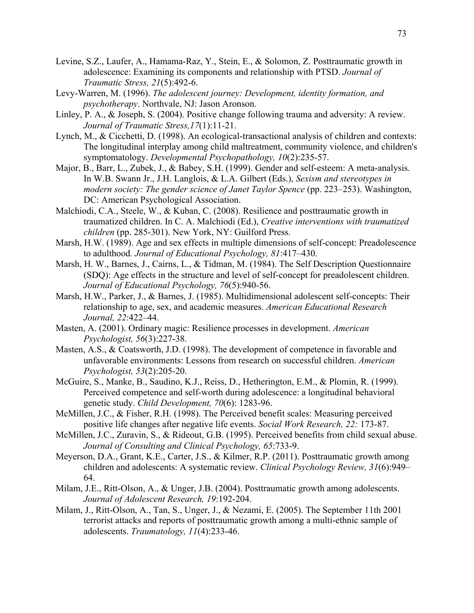- Levine, S.Z., Laufer, A., Hamama-Raz, Y., Stein, E., & Solomon, Z. Posttraumatic growth in adolescence: Examining its components and relationship with PTSD. *Journal of Traumatic Stress, 21*(5):492-6.
- Levy-Warren, M. (1996). *The adolescent journey: Development, identity formation, and psychotherapy*. Northvale, NJ: Jason Aronson.
- Linley, P. A., & Joseph, S. (2004). Positive change following trauma and adversity: A review. *Journal of Traumatic Stress,17*(1):11-21.
- Lynch, M., & Cicchetti, D. (1998). An ecological-transactional analysis of children and contexts: The longitudinal interplay among child maltreatment, community violence, and children's symptomatology. *Developmental Psychopathology, 10*(2):235-57.
- Major, B., Barr, L., Zubek, J., & Babey, S.H. (1999). Gender and self-esteem: A meta-analysis. In W.B. Swann Jr., J.H. Langlois, & L.A. Gilbert (Eds.), *Sexism and stereotypes in modern society: The gender science of Janet Taylor Spence* (pp. 223–253). Washington, DC: American Psychological Association.
- Malchiodi, C.A., Steele, W., & Kuban, C. (2008). Resilience and posttraumatic growth in traumatized children. In C. A. Malchiodi (Ed.), *Creative interventions with traumatized children* (pp. 285-301). New York, NY: Guilford Press.
- Marsh, H.W. (1989). Age and sex effects in multiple dimensions of self-concept: Preadolescence to adulthood*. Journal of Educational Psychology, 81*:417–430.
- Marsh, H. W., Barnes, J., Cairns, L., & Tidman, M. (1984). The Self Description Questionnaire (SDQ): Age effects in the structure and level of self-concept for preadolescent children. *Journal of Educational Psychology, 76*(5):940-56.
- Marsh, H.W., Parker, J., & Barnes, J. (1985). Multidimensional adolescent self-concepts: Their relationship to age, sex, and academic measures. *American Educational Research Journal, 22*:422–44.
- Masten, A. (2001). Ordinary magic: Resilience processes in development. *American Psychologist, 56*(3):227-38.
- Masten, A.S., & Coatsworth, J.D. (1998). The development of competence in favorable and unfavorable environments: Lessons from research on successful children. *American Psychologist, 53*(2):205-20.
- McGuire, S., Manke, B., Saudino, K.J., Reiss, D., Hetherington, E.M., & Plomin, R. (1999). Perceived competence and self-worth during adolescence: a longitudinal behavioral genetic study. *Child Development, 70*(6): 1283-96.
- McMillen, J.C., & Fisher, R.H. (1998). The Perceived benefit scales: Measuring perceived positive life changes after negative life events. *Social Work Research, 22:* 173-87.
- McMillen, J.C., Zuravin, S., & Rideout, G.B. (1995). Perceived benefits from child sexual abuse. *Journal of Consulting and Clinical Psychology, 65*:733-9.
- Meyerson, D.A., Grant, K.E., Carter, J.S., & Kilmer, R.P. (2011). Posttraumatic growth among children and adolescents: A systematic review. *Clinical Psychology Review, 31*(6):949– 64.
- Milam, J.E., Ritt-Olson, A., & Unger, J.B. (2004). Posttraumatic growth among adolescents. *Journal of Adolescent Research, 19*:192-204.
- Milam, J., Ritt-Olson, A., Tan, S., Unger, J., & Nezami, E. (2005). The September 11th 2001 terrorist attacks and reports of posttraumatic growth among a multi-ethnic sample of adolescents. *Traumatology, 11*(4):233-46.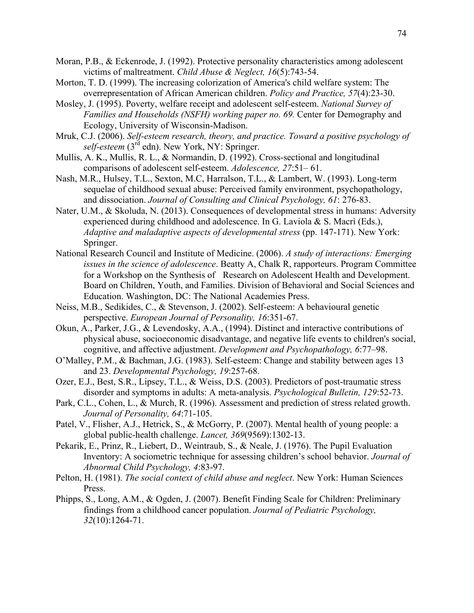- Moran, P.B., & Eckenrode, J. (1992). Protective personality characteristics among adolescent victims of maltreatment. *Child Abuse & Neglect, 16*(5):743-54.
- Morton, T. D. (1999). The increasing colorization of America's child welfare system: The overrepresentation of African American children. *Policy and Practice, 57*(4):23-30.
- Mosley, J. (1995). Poverty, welfare receipt and adolescent self-esteem. *National Survey of Families and Households (NSFH) working paper no. 69.* Center for Demography and Ecology, University of Wisconsin-Madison.
- Mruk, C.J. (2006). *Self-esteem research, theory, and practice. Toward a positive psychology of self-esteem* (3<sup>rd</sup> edn). New York, NY: Springer.
- Mullis, A. K., Mullis, R. L., & Normandin, D. (1992). Cross-sectional and longitudinal comparisons of adolescent self-esteem. *Adolescence, 27*:51– 61.
- Nash, M.R., Hulsey, T.L., Sexton, M.C, Harralson, T.L., & Lambert, W. (1993). Long-term sequelae of childhood sexual abuse: Perceived family environment, psychopathology, and dissociation. *Journal of Consulting and Clinical Psychology, 61*: 276-83.
- Nater, U.M., & Skoluda, N. (2013). Consequences of developmental stress in humans: Adversity experienced during childhood and adolescence. In G. Laviola & S. Macrì (Eds.), *Adaptive and maladaptive aspects of developmental stress* (pp. 147-171). New York: Springer.
- National Research Council and Institute of Medicine. (2006). *A study of interactions: Emerging issues in the science of adolescence*. Beatty A, Chalk R, rapporteurs. Program Committee for a Workshop on the Synthesis of Research on Adolescent Health and Development. Board on Children, Youth, and Families. Division of Behavioral and Social Sciences and Education. Washington, DC: The National Academies Press.
- Neiss, M.B., Sedikides, C., & Stevenson, J. (2002). Self-esteem: A behavioural genetic perspective. *European Journal of Personality, 16*:351-67.
- Okun, A., Parker, J.G., & Levendosky, A.A., (1994). Distinct and interactive contributions of physical abuse, socioeconomic disadvantage, and negative life events to children's social, cognitive, and affective adjustment. *Development and Psychopathology, 6*:77–98.
- O'Malley, P.M., & Bachman, J.G. (1983). Self-esteem: Change and stability between ages 13 and 23. *Developmental Psychology, 19*:257-68.
- Ozer, E.J., Best, S.R., Lipsey, T.L., & Weiss, D.S. (2003). Predictors of post-traumatic stress disorder and symptoms in adults: A meta-analysis. *Psychological Bulletin, 129*:52-73.
- Park, C.L., Cohen, L., & Murch, R. (1996). Assessment and prediction of stress related growth. *Journal of Personality, 64*:71-105.
- Patel, V., Flisher, A.J., Hetrick, S., & McGorry, P. (2007). Mental health of young people: a global public-health challenge. *Lancet, 369*(9569):1302-13.
- Pekarik, E., Prinz, R., Liebert, D., Weintraub, S., & Neale, J. (1976). The Pupil Evaluation Inventory: A sociometric technique for assessing children's school behavior. *Journal of Abnormal Child Psychology, 4*:83-97.
- Pelton, H. (1981). *The social context of child abuse and neglect*. New York: Human Sciences Press.
- Phipps, S., Long, A.M., & Ogden, J. (2007). Benefit Finding Scale for Children: Preliminary findings from a childhood cancer population. *Journal of Pediatric Psychology, 32*(10):1264-71.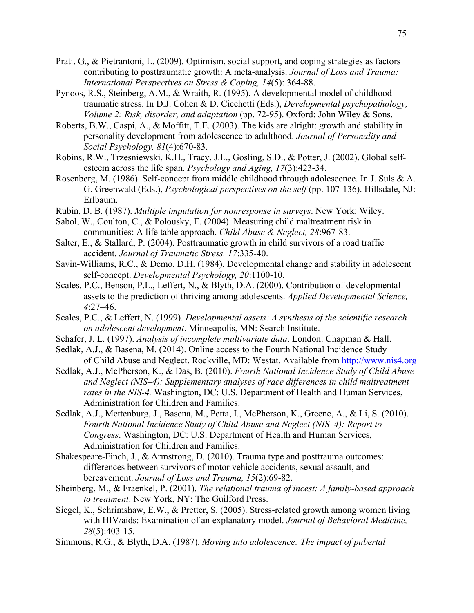- Prati, G., & Pietrantoni, L. (2009). Optimism, social support, and coping strategies as factors contributing to posttraumatic growth: A meta-analysis. *Journal of Loss and Trauma: International Perspectives on Stress & Coping, 14*(5): 364-88.
- Pynoos, R.S., Steinberg, A.M., & Wraith, R. (1995). A developmental model of childhood traumatic stress. In D.J. Cohen & D. Cicchetti (Eds.), *Developmental psychopathology, Volume 2: Risk, disorder, and adaptation* (pp. 72-95). Oxford: John Wiley & Sons.
- Roberts, B.W., Caspi, A., & Moffitt, T.E. (2003). The kids are alright: growth and stability in personality development from adolescence to adulthood. *Journal of Personality and Social Psychology, 81*(4):670-83.
- Robins, R.W., Trzesniewski, K.H., Tracy, J.L., Gosling, S.D., & Potter, J. (2002). Global selfesteem across the life span. *Psychology and Aging, 17*(3):423-34.
- Rosenberg, M. (1986). Self-concept from middle childhood through adolescence. In J. Suls & A. G. Greenwald (Eds.), *Psychological perspectives on the self* (pp. 107-136). Hillsdale, NJ: Erlbaum.
- Rubin, D. B. (1987). *Multiple imputation for nonresponse in surveys*. New York: Wiley.
- Sabol, W., Coulton, C., & Polousky, E. (2004). Measuring child maltreatment risk in communities: A life table approach. *Child Abuse & Neglect, 28*:967-83.
- Salter, E., & Stallard, P. (2004). Posttraumatic growth in child survivors of a road traffic accident. *Journal of Traumatic Stress, 17*:335-40.
- Savin-Williams, R.C., & Demo, D.H. (1984). Developmental change and stability in adolescent self-concept. *Developmental Psychology, 20*:1100-10.
- Scales, P.C., Benson, P.L., Leffert, N., & Blyth, D.A. (2000). Contribution of developmental assets to the prediction of thriving among adolescents. *Applied Developmental Science, 4*:27–46.
- Scales, P.C., & Leffert, N. (1999). *Developmental assets: A synthesis of the scientific research on adolescent development*. Minneapolis, MN: Search Institute.
- Schafer, J. L. (1997). *Analysis of incomplete multivariate data*. London: Chapman & Hall.
- Sedlak, A.J., & Basena, M. (2014). Online access to the Fourth National Incidence Study of Child Abuse and Neglect. Rockville, MD: Westat. Available from http://www.nis4.org
- Sedlak, A.J., McPherson, K., & Das, B. (2010). *Fourth National Incidence Study of Child Abuse and Neglect (NIS–4): Supplementary analyses of race differences in child maltreatment rates in the NIS-4.* Washington, DC: U.S. Department of Health and Human Services, Administration for Children and Families.
- Sedlak, A.J., Mettenburg, J., Basena, M., Petta, I., McPherson, K., Greene, A., & Li, S. (2010). *Fourth National Incidence Study of Child Abuse and Neglect (NIS–4): Report to Congress*. Washington, DC: U.S. Department of Health and Human Services, Administration for Children and Families.
- Shakespeare-Finch, J., & Armstrong, D. (2010). Trauma type and posttrauma outcomes: differences between survivors of motor vehicle accidents, sexual assault, and bereavement. *Journal of Loss and Trauma, 15*(2):69-82.
- Sheinberg, M., & Fraenkel, P. (2001). *The relational trauma of incest: A family-based approach to treatment*. New York, NY: The Guilford Press.
- Siegel, K., Schrimshaw, E.W., & Pretter, S. (2005). Stress-related growth among women living with HIV/aids: Examination of an explanatory model. *Journal of Behavioral Medicine, 28*(5):403-15.
- Simmons, R.G., & Blyth, D.A. (1987). *Moving into adolescence: The impact of pubertal*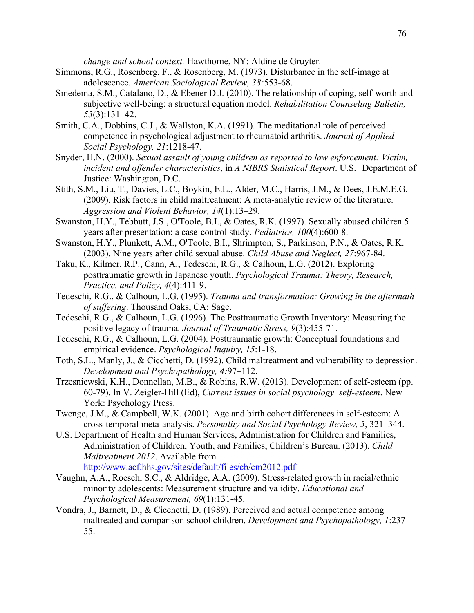*change and school context.* Hawthorne, NY: Aldine de Gruyter.

- Simmons, R.G., Rosenberg, F., & Rosenberg, M. (1973). Disturbance in the self-image at adolescence. *American Sociological Review, 38:*553-68.
- Smedema, S.M., Catalano, D., & Ebener D.J. (2010). The relationship of coping, self-worth and subjective well-being: a structural equation model. *Rehabilitation Counseling Bulletin, 53*(3):131–42.
- Smith, C.A., Dobbins, C.J., & Wallston, K.A. (1991). The meditational role of perceived competence in psychological adjustment to rheumatoid arthritis. *Journal of Applied Social Psychology, 21*:1218-47.
- Snyder, H.N. (2000). *Sexual assault of young children as reported to law enforcement: Victim, incident and offender characteristics*, in *A NIBRS Statistical Report*. U.S. Department of Justice: Washington, D.C.
- Stith, S.M., Liu, T., Davies, L.C., Boykin, E.L., Alder, M.C., Harris, J.M., & Dees, J.E.M.E.G. (2009). Risk factors in child maltreatment: A meta-analytic review of the literature. *Aggression and Violent Behavior, 14*(1):13–29.
- Swanston, H.Y., Tebbutt, J.S., O'Toole, B.I., & Oates, R.K. (1997). Sexually abused children 5 years after presentation: a case-control study. *Pediatrics, 100*(4):600-8.
- Swanston, H.Y., Plunkett, A.M., O'Toole, B.I., Shrimpton, S., Parkinson, P.N., & Oates, R.K. (2003). Nine years after child sexual abuse. *Child Abuse and Neglect, 27*:967-84.
- Taku, K., Kilmer, R.P., Cann, A., Tedeschi, R.G., & Calhoun, L.G. (2012). Exploring posttraumatic growth in Japanese youth. *Psychological Trauma: Theory, Research, Practice, and Policy, 4*(4):411-9.
- Tedeschi, R.G., & Calhoun, L.G. (1995). *Trauma and transformation: Growing in the aftermath of suffering*. Thousand Oaks, CA: Sage.
- Tedeschi, R.G., & Calhoun, L.G. (1996). The Posttraumatic Growth Inventory: Measuring the positive legacy of trauma. *Journal of Traumatic Stress, 9*(3):455-71.
- Tedeschi, R.G., & Calhoun, L.G. (2004). Posttraumatic growth: Conceptual foundations and empirical evidence. *Psychological Inquiry, 15*:1-18.
- Toth, S.L., Manly, J., & Cicchetti, D. (1992). Child maltreatment and vulnerability to depression. *Development and Psychopathology, 4:*97–112.
- Trzesniewski, K.H., Donnellan, M.B., & Robins, R.W. (2013). Development of self-esteem (pp. 60-79). In V. Zeigler-Hill (Ed), *Current issues in social psychology–self-esteem*. New York: Psychology Press.
- Twenge, J.M., & Campbell, W.K. (2001). Age and birth cohort differences in self-esteem: A cross-temporal meta-analysis. *Personality and Social Psychology Review, 5*, 321–344.
- U.S. Department of Health and Human Services, Administration for Children and Families, Administration of Children, Youth, and Families, Children's Bureau. (2013). *Child Maltreatment 2012*. Available from http://www.acf.hhs.gov/sites/default/files/cb/cm2012.pdf
- Vaughn, A.A., Roesch, S.C., & Aldridge, A.A. (2009). Stress-related growth in racial/ethnic minority adolescents: Measurement structure and validity. *Educational and Psychological Measurement, 69*(1):131-45.
- Vondra, J., Barnett, D., & Cicchetti, D. (1989). Perceived and actual competence among maltreated and comparison school children. *Development and Psychopathology, 1*:237- 55.